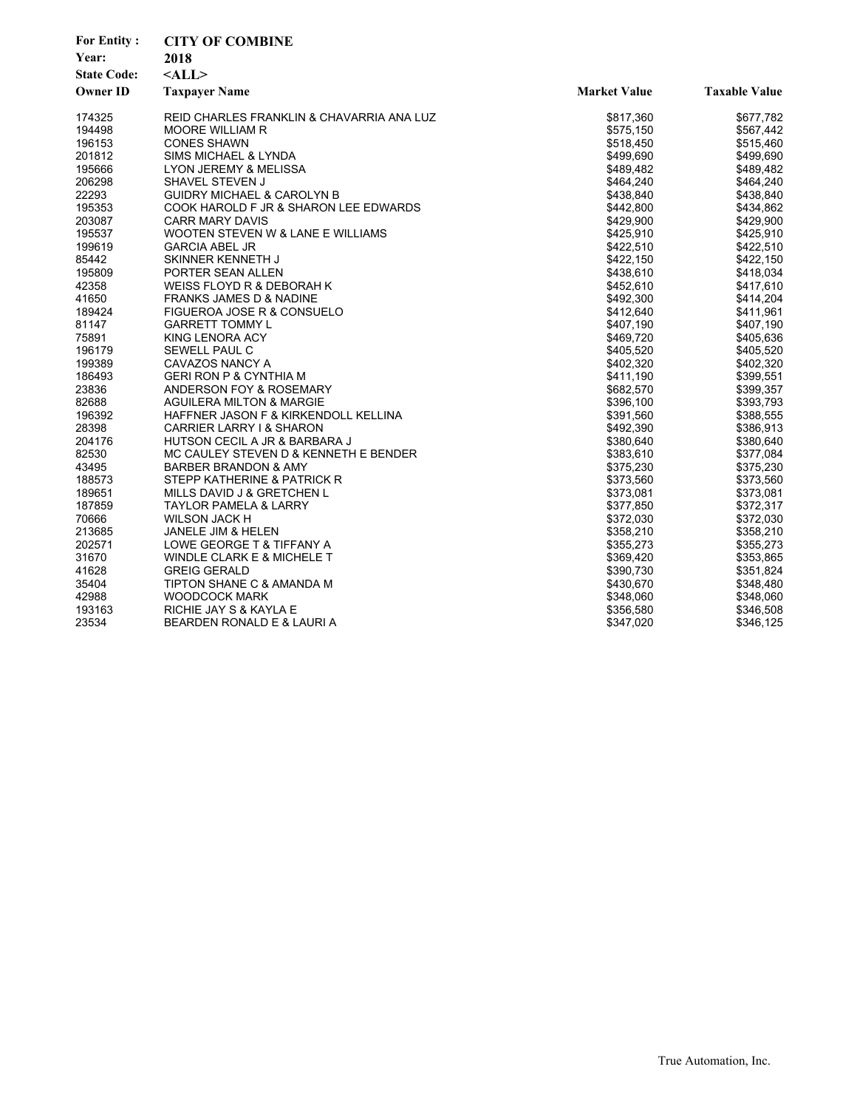| <b>For Entity:</b> | <b>CITY OF COMBINE</b>                    |                     |                      |
|--------------------|-------------------------------------------|---------------------|----------------------|
| Year:              | 2018                                      |                     |                      |
| <b>State Code:</b> | $<$ ALL $>$                               |                     |                      |
| <b>Owner ID</b>    | <b>Taxpayer Name</b>                      | <b>Market Value</b> | <b>Taxable Value</b> |
| 174325             | REID CHARLES FRANKLIN & CHAVARRIA ANA LUZ | \$817,360           | \$677,782            |
| 194498             | <b>MOORE WILLIAM R</b>                    | \$575,150           | \$567,442            |
| 196153             | <b>CONES SHAWN</b>                        | \$518,450           | \$515,460            |
| 201812             | SIMS MICHAEL & LYNDA                      | \$499,690           | \$499,690            |
| 195666             | LYON JEREMY & MELISSA                     | \$489,482           | \$489,482            |
| 206298             | SHAVEL STEVEN J                           | \$464,240           | \$464,240            |
| 22293              | <b>GUIDRY MICHAEL &amp; CAROLYN B</b>     | \$438,840           | \$438,840            |
| 195353             | COOK HAROLD F JR & SHARON LEE EDWARDS     | \$442,800           | \$434,862            |
| 203087             | <b>CARR MARY DAVIS</b>                    | \$429,900           | \$429,900            |
| 195537             | WOOTEN STEVEN W & LANE E WILLIAMS         | \$425,910           | \$425,910            |
| 199619             | <b>GARCIA ABEL JR</b>                     | \$422,510           | \$422,510            |
| 85442              | SKINNER KENNETH J                         | \$422,150           | \$422,150            |
| 195809             | PORTER SEAN ALLEN                         | \$438,610           | \$418,034            |
| 42358              | WEISS FLOYD R & DEBORAH K                 | \$452,610           | \$417,610            |
| 41650              | FRANKS JAMES D & NADINE                   | \$492,300           | \$414,204            |
| 189424             | FIGUEROA JOSE R & CONSUELO                | \$412,640           | \$411,961            |
| 81147              | <b>GARRETT TOMMY L</b>                    | \$407,190           | \$407,190            |
| 75891              | KING LENORA ACY                           | \$469,720           | \$405,636            |
| 196179             | SEWELL PAUL C                             | \$405,520           | \$405,520            |
| 199389             | CAVAZOS NANCY A                           | \$402,320           | \$402,320            |
| 186493             | <b>GERI RON P &amp; CYNTHIA M</b>         | \$411,190           | \$399,551            |
| 23836              | ANDERSON FOY & ROSEMARY                   | \$682,570           | \$399,357            |
| 82688              | <b>AGUILERA MILTON &amp; MARGIE</b>       | \$396,100           | \$393,793            |
| 196392             | HAFFNER JASON F & KIRKENDOLL KELLINA      | \$391,560           | \$388,555            |
| 28398              | <b>CARRIER LARRY I &amp; SHARON</b>       | \$492,390           | \$386,913            |
| 204176             | HUTSON CECIL A JR & BARBARA J             | \$380,640           | \$380,640            |
| 82530              | MC CAULEY STEVEN D & KENNETH E BENDER     | \$383,610           | \$377,084            |
| 43495              | BARBER BRANDON & AMY                      | \$375,230           | \$375,230            |
| 188573             | STEPP KATHERINE & PATRICK R               | \$373,560           | \$373,560            |
| 189651             | MILLS DAVID J & GRETCHEN L                | \$373,081           | \$373,081            |
| 187859             | TAYLOR PAMELA & LARRY                     | \$377,850           | \$372,317            |
| 70666              | WILSON JACK H                             | \$372,030           | \$372,030            |
| 213685             | <b>JANELE JIM &amp; HELEN</b>             | \$358,210           | \$358,210            |
| 202571             | LOWE GEORGE T & TIFFANY A                 | \$355,273           | \$355,273            |
| 31670              | WINDLE CLARK E & MICHELE T                | \$369,420           | \$353,865            |
| 41628              | <b>GREIG GERALD</b>                       | \$390,730           | \$351,824            |
| 35404              | TIPTON SHANE C & AMANDA M                 | \$430,670           | \$348,480            |
| 42988              | <b>WOODCOCK MARK</b>                      | \$348,060           | \$348,060            |
| 193163             | RICHIE JAY S & KAYLA E                    | \$356,580           | \$346,508            |
| 23534              | BEARDEN RONALD E & LAURI A                | \$347,020           | \$346,125            |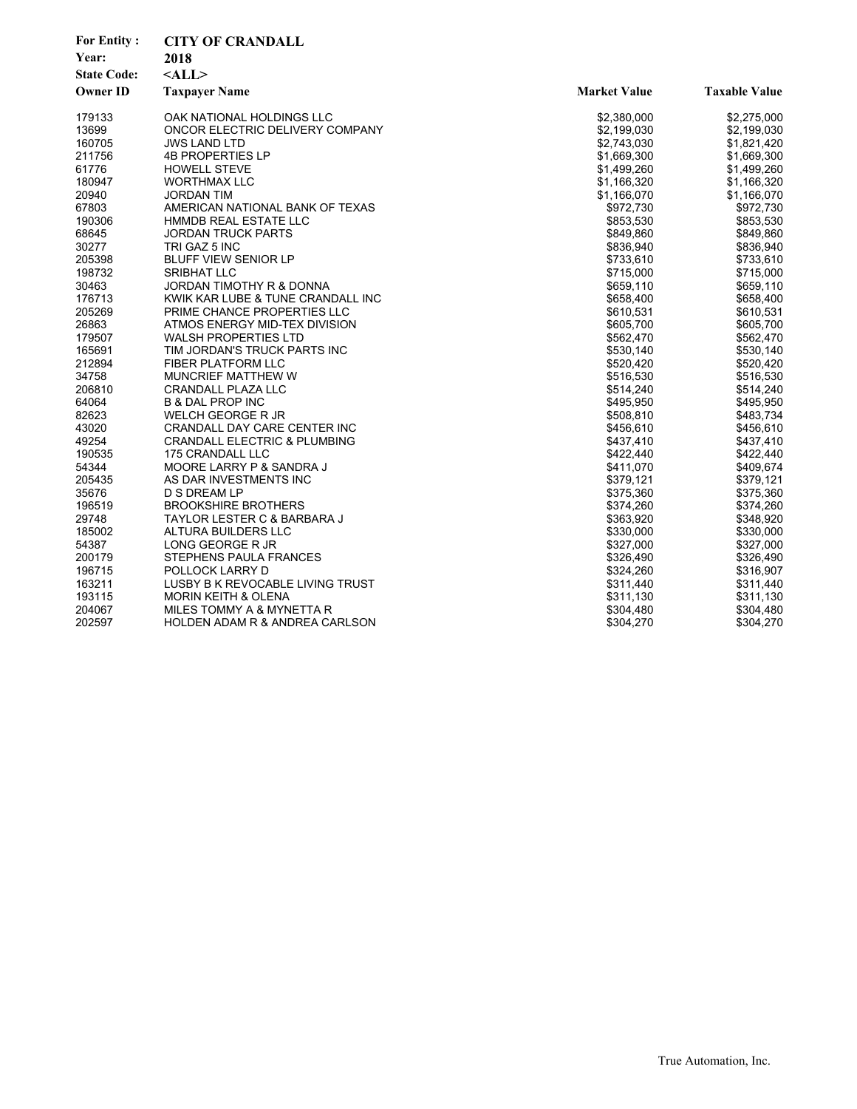| <b>For Entity:</b> | <b>CITY OF CRANDALL</b>                 |                     |                      |
|--------------------|-----------------------------------------|---------------------|----------------------|
| Year:              | 2018                                    |                     |                      |
| <b>State Code:</b> | $<$ ALL $>$                             |                     |                      |
| <b>Owner ID</b>    | <b>Taxpayer Name</b>                    | <b>Market Value</b> | <b>Taxable Value</b> |
| 179133             | OAK NATIONAL HOLDINGS LLC               | \$2,380,000         | \$2,275,000          |
| 13699              | ONCOR ELECTRIC DELIVERY COMPANY         | \$2,199,030         | \$2,199,030          |
| 160705             | <b>JWS LAND LTD</b>                     | \$2,743,030         | \$1,821,420          |
| 211756             | <b>4B PROPERTIES LP</b>                 | \$1,669,300         | \$1,669,300          |
| 61776              | <b>HOWELL STEVE</b>                     | \$1,499,260         | \$1,499,260          |
| 180947             | <b>WORTHMAX LLC</b>                     | \$1,166,320         | \$1,166,320          |
| 20940              | <b>JORDAN TIM</b>                       | \$1,166,070         | \$1,166,070          |
| 67803              | AMERICAN NATIONAL BANK OF TEXAS         | \$972,730           | \$972,730            |
| 190306             | HMMDB REAL ESTATE LLC                   | \$853,530           | \$853,530            |
| 68645              | <b>JORDAN TRUCK PARTS</b>               | \$849,860           | \$849,860            |
| 30277              | TRI GAZ 5 INC                           | \$836,940           | \$836,940            |
| 205398             | <b>BLUFF VIEW SENIOR LP</b>             | \$733,610           | \$733,610            |
| 198732             | <b>SRIBHAT LLC</b>                      | \$715,000           | \$715,000            |
| 30463              | JORDAN TIMOTHY R & DONNA                | \$659,110           | \$659,110            |
| 176713             | KWIK KAR LUBE & TUNE CRANDALL INC       | \$658,400           | \$658,400            |
| 205269             | PRIME CHANCE PROPERTIES LLC             | \$610,531           | \$610,531            |
| 26863              | ATMOS ENERGY MID-TEX DIVISION           | \$605,700           | \$605,700            |
| 179507             | <b>WALSH PROPERTIES LTD</b>             | \$562,470           | \$562,470            |
| 165691             | TIM JORDAN'S TRUCK PARTS INC            | \$530,140           | \$530,140            |
| 212894             | <b>FIBER PLATFORM LLC</b>               | \$520,420           | \$520,420            |
| 34758              | MUNCRIEF MATTHEW W                      | \$516,530           | \$516,530            |
| 206810             | CRANDALL PLAZA LLC                      | \$514,240           | \$514,240            |
| 64064              | <b>B &amp; DAL PROP INC</b>             | \$495,950           | \$495,950            |
| 82623              | WELCH GEORGE R JR                       | \$508,810           | \$483,734            |
| 43020              | CRANDALL DAY CARE CENTER INC            | \$456,610           | \$456,610            |
| 49254              | <b>CRANDALL ELECTRIC &amp; PLUMBING</b> | \$437,410           | \$437,410            |
| 190535             | 175 CRANDALL LLC                        | \$422,440           | \$422,440            |
| 54344              | MOORE LARRY P & SANDRA J                | \$411,070           | \$409,674            |
| 205435             | AS DAR INVESTMENTS INC                  | \$379,121           | \$379,121            |
| 35676              | D S DREAM LP                            | \$375,360           | \$375,360            |
| 196519             | <b>BROOKSHIRE BROTHERS</b>              | \$374,260           | \$374,260            |
| 29748              | TAYLOR LESTER C & BARBARA J             | \$363,920           | \$348,920            |
| 185002             | ALTURA BUILDERS LLC                     | \$330,000           | \$330,000            |
| 54387              | LONG GEORGE R JR                        | \$327,000           | \$327,000            |
| 200179             | STEPHENS PAULA FRANCES                  | \$326,490           | \$326,490            |
| 196715             | POLLOCK LARRY D                         | \$324,260           | \$316,907            |
| 163211             | LUSBY B K REVOCABLE LIVING TRUST        | \$311,440           | \$311,440            |
| 193115             | <b>MORIN KEITH &amp; OLENA</b>          | \$311,130           | \$311,130            |
| 204067             | MILES TOMMY A & MYNETTA R               | \$304,480           | \$304,480            |
| 202597             | HOLDEN ADAM R & ANDREA CARLSON          | \$304,270           | \$304,270            |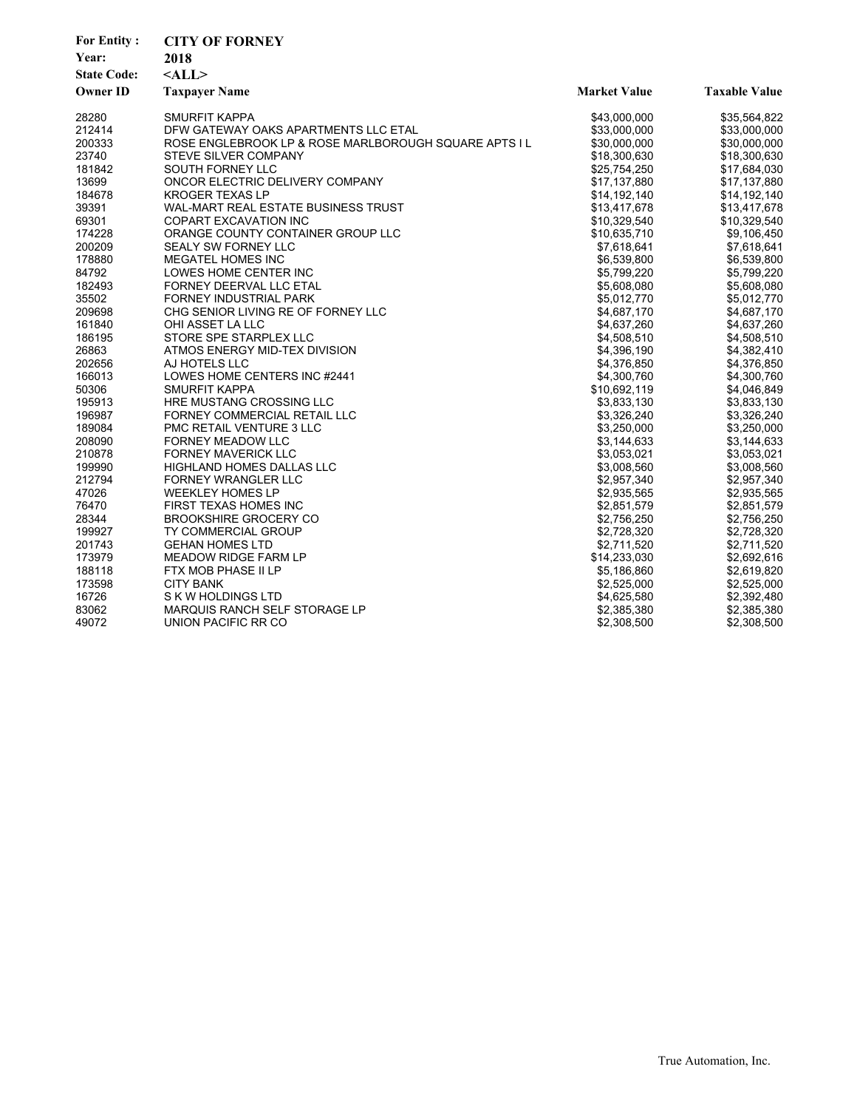| <b>For Entity:</b><br>Year:<br><b>State Code:</b><br><b>Owner ID</b> | <b>CITY OF FORNEY</b><br>2018<br>$<$ ALL $>$<br><b>Taxpayer Name</b> | <b>Market Value</b> | <b>Taxable Value</b> |
|----------------------------------------------------------------------|----------------------------------------------------------------------|---------------------|----------------------|
| 28280                                                                | SMURFIT KAPPA                                                        | \$43,000,000        | \$35,564,822         |
| 212414                                                               | DFW GATEWAY OAKS APARTMENTS LLC ETAL                                 | \$33,000,000        | \$33,000,000         |
| 200333                                                               | ROSE ENGLEBROOK LP & ROSE MARLBOROUGH SQUARE APTS I L                | \$30,000,000        | \$30,000,000         |
| 23740                                                                | STEVE SILVER COMPANY                                                 | \$18,300,630        | \$18,300,630         |
| 181842                                                               | SOUTH FORNEY LLC                                                     | \$25,754,250        | \$17,684,030         |
| 13699                                                                | ONCOR ELECTRIC DELIVERY COMPANY                                      | \$17,137,880        | \$17,137,880         |
| 184678                                                               | KROGER TEXAS LP                                                      | \$14,192,140        | \$14,192,140         |
| 39391                                                                | <b>WAL-MART REAL ESTATE BUSINESS TRUST</b>                           | \$13,417,678        | \$13,417,678         |
| 69301                                                                | <b>COPART EXCAVATION INC</b>                                         | \$10,329,540        | \$10,329,540         |
| 174228                                                               | ORANGE COUNTY CONTAINER GROUP LLC                                    | \$10,635,710        | \$9,106,450          |
| 200209                                                               | <b>SEALY SW FORNEY LLC</b>                                           | \$7,618,641         | \$7,618,641          |
| 178880                                                               | <b>MEGATEL HOMES INC</b>                                             | \$6,539,800         | \$6,539,800          |
| 84792                                                                | LOWES HOME CENTER INC                                                | \$5,799,220         | \$5,799,220          |
| 182493                                                               | FORNEY DEERVAL LLC ETAL                                              | \$5,608,080         | \$5,608,080          |
| 35502                                                                | FORNEY INDUSTRIAL PARK                                               | \$5,012,770         | \$5,012,770          |
| 209698                                                               | CHG SENIOR LIVING RE OF FORNEY LLC                                   | \$4,687,170         | \$4,687,170          |
| 161840                                                               | OHI ASSET LA LLC                                                     | \$4,637,260         | \$4,637,260          |
| 186195                                                               | STORE SPE STARPLEX LLC                                               | \$4,508,510         | \$4,508,510          |
| 26863                                                                | ATMOS ENERGY MID-TEX DIVISION                                        | \$4,396,190         | \$4,382,410          |
| 202656                                                               | AJ HOTELS LLC                                                        | \$4,376,850         | \$4,376,850          |
| 166013                                                               | LOWES HOME CENTERS INC #2441                                         | \$4,300,760         | \$4,300,760          |
| 50306                                                                | SMURFIT KAPPA                                                        | \$10,692,119        | \$4,046,849          |
| 195913                                                               | HRE MUSTANG CROSSING LLC                                             | \$3,833,130         | \$3,833,130          |
| 196987                                                               | FORNEY COMMERCIAL RETAIL LLC                                         | \$3,326,240         | \$3,326,240          |
| 189084                                                               | PMC RETAIL VENTURE 3 LLC                                             | \$3,250,000         | \$3,250,000          |
| 208090                                                               | FORNEY MEADOW LLC                                                    | \$3,144,633         | \$3,144,633          |
| 210878                                                               | <b>FORNEY MAVERICK LLC</b>                                           | \$3,053,021         | \$3,053,021          |
| 199990                                                               | <b>HIGHLAND HOMES DALLAS LLC</b>                                     | \$3,008,560         | \$3,008,560          |
| 212794                                                               | <b>FORNEY WRANGLER LLC</b>                                           | \$2,957,340         | \$2,957,340          |
| 47026                                                                | <b>WEEKLEY HOMES LP</b>                                              | \$2,935,565         | \$2,935,565          |
| 76470                                                                | FIRST TEXAS HOMES INC                                                | \$2,851,579         | \$2,851,579          |
| 28344                                                                | <b>BROOKSHIRE GROCERY CO</b>                                         | \$2,756,250         | \$2,756,250          |
| 199927                                                               | TY COMMERCIAL GROUP                                                  | \$2,728,320         | \$2,728,320          |
| 201743                                                               | <b>GEHAN HOMES LTD</b>                                               | \$2,711,520         | \$2,711,520          |
| 173979                                                               | <b>MEADOW RIDGE FARM LP</b>                                          | \$14,233,030        | \$2,692,616          |
| 188118                                                               | FTX MOB PHASE II LP                                                  | \$5,186,860         | \$2,619,820          |
| 173598                                                               | <b>CITY BANK</b>                                                     | \$2,525,000         | \$2,525,000          |
| 16726                                                                | S K W HOLDINGS LTD                                                   | \$4,625,580         | \$2,392,480          |
| 83062                                                                | MARQUIS RANCH SELF STORAGE LP                                        | \$2,385,380         | \$2,385,380          |
| 49072                                                                | UNION PACIFIC RR CO                                                  | \$2,308,500         | \$2,308,500          |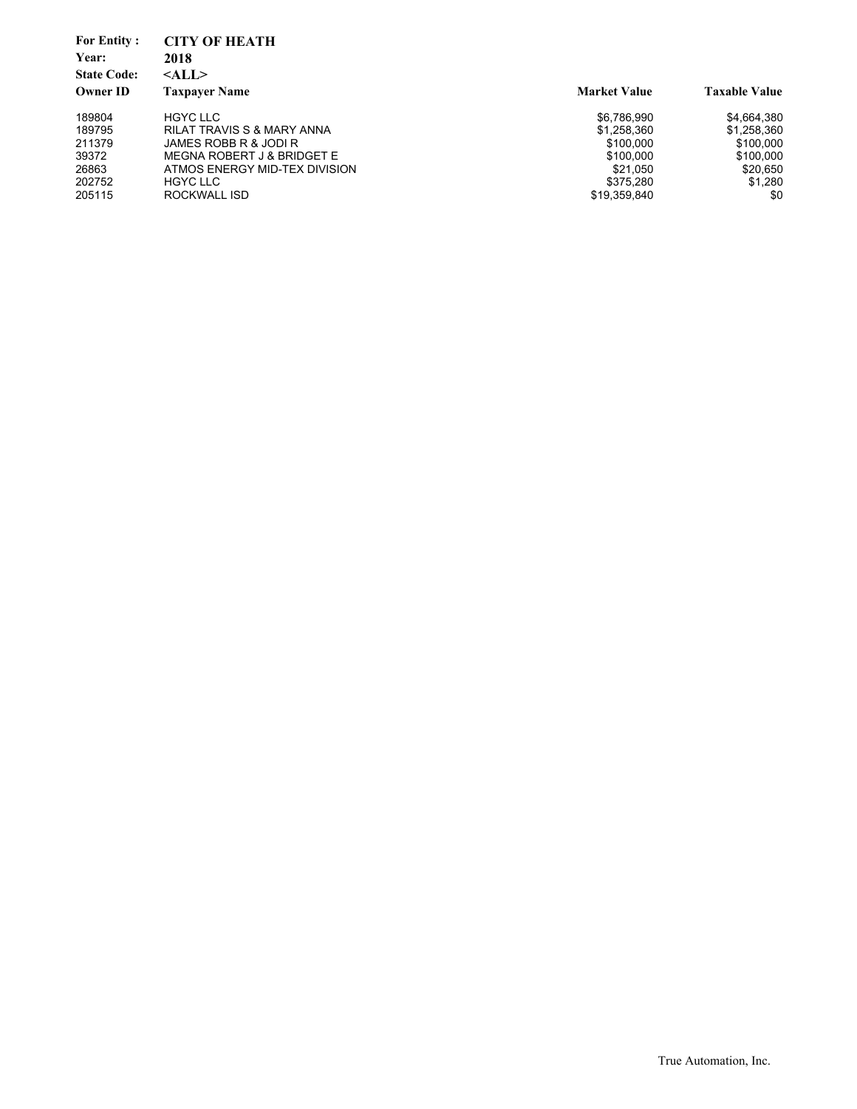| <b>For Entity:</b><br>Year:<br><b>State Code:</b> | <b>CITY OF HEATH</b><br>2018<br>$<$ ALL $>$ |                     |                      |
|---------------------------------------------------|---------------------------------------------|---------------------|----------------------|
| <b>Owner ID</b>                                   | <b>Taxpaver Name</b>                        | <b>Market Value</b> | <b>Taxable Value</b> |
| 189804                                            | <b>HGYC LLC</b>                             | \$6,786,990         | \$4,664,380          |
| 189795                                            | <b>RILAT TRAVIS S &amp; MARY ANNA</b>       | \$1,258,360         | \$1,258,360          |
| 211379                                            | JAMES ROBB R & JODI R                       | \$100,000           | \$100.000            |
| 39372                                             | MEGNA ROBERT J & BRIDGET E                  | \$100,000           | \$100,000            |
| 26863                                             | ATMOS ENERGY MID-TEX DIVISION               | \$21.050            | \$20,650             |
| 202752                                            | <b>HGYC LLC</b>                             | \$375.280           | \$1,280              |
| 205115                                            | ROCKWALL ISD                                | \$19,359,840        | \$0                  |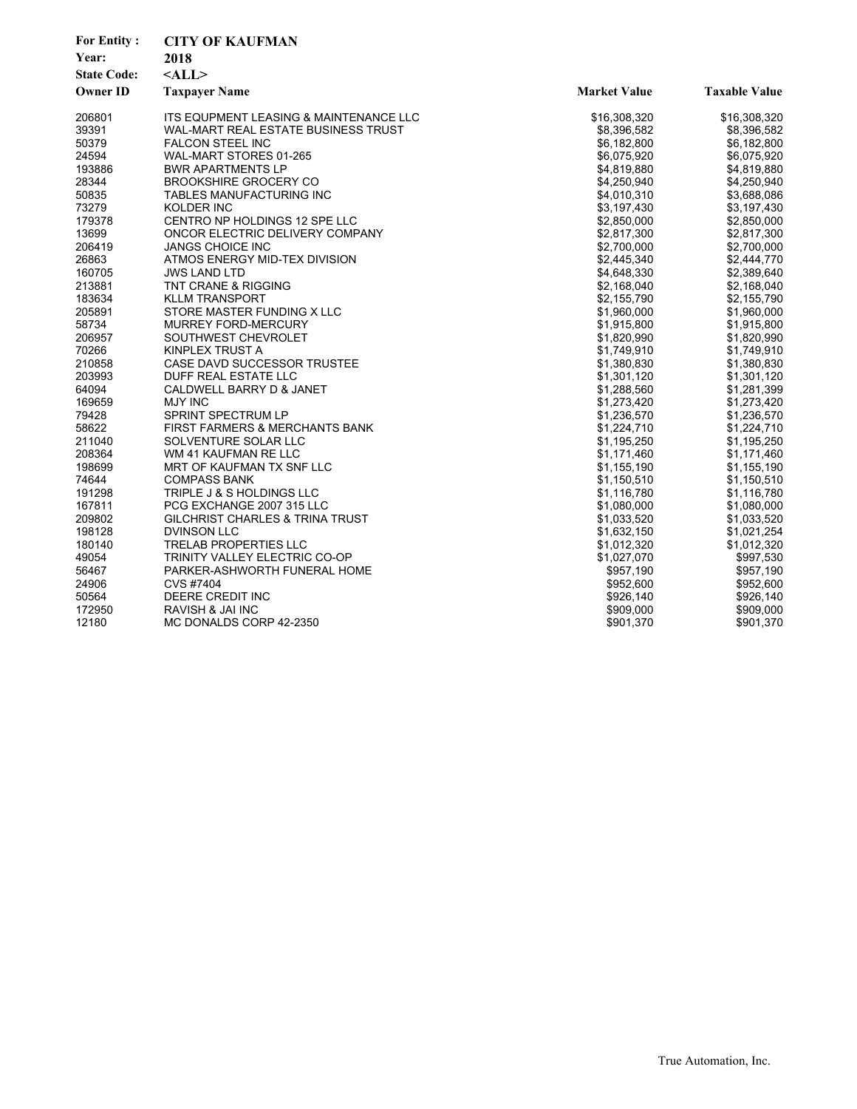| <b>For Entity:</b> | <b>CITY OF KAUFMAN</b>                 |                     |                      |
|--------------------|----------------------------------------|---------------------|----------------------|
| Year:              | 2018                                   |                     |                      |
| <b>State Code:</b> | $<$ ALL $>$                            |                     |                      |
| <b>Owner ID</b>    | <b>Taxpayer Name</b>                   | <b>Market Value</b> | <b>Taxable Value</b> |
|                    |                                        |                     |                      |
| 206801             | ITS EQUPMENT LEASING & MAINTENANCE LLC | \$16,308,320        | \$16,308,320         |
| 39391              | WAL-MART REAL ESTATE BUSINESS TRUST    | \$8,396,582         | \$8,396,582          |
| 50379              | <b>FALCON STEEL INC</b>                | \$6,182,800         | \$6,182,800          |
| 24594              | WAL-MART STORES 01-265                 | \$6,075,920         | \$6,075,920          |
| 193886             | <b>BWR APARTMENTS LP</b>               | \$4,819,880         | \$4,819,880          |
| 28344              | <b>BROOKSHIRE GROCERY CO</b>           | \$4,250,940         | \$4,250,940          |
| 50835              | TABLES MANUFACTURING INC               | \$4,010,310         | \$3,688,086          |
| 73279              | KOLDER INC                             | \$3,197,430         | \$3,197,430          |
| 179378             | CENTRO NP HOLDINGS 12 SPE LLC          | \$2,850,000         | \$2,850,000          |
| 13699              | ONCOR ELECTRIC DELIVERY COMPANY        | \$2,817,300         | \$2,817,300          |
| 206419             | <b>JANGS CHOICE INC</b>                | \$2,700,000         | \$2,700,000          |
| 26863              | ATMOS ENERGY MID-TEX DIVISION          | \$2,445,340         | \$2,444,770          |
| 160705             | <b>JWS LAND LTD</b>                    | \$4,648,330         | \$2,389,640          |
| 213881             | <b>TNT CRANE &amp; RIGGING</b>         | \$2,168,040         | \$2,168,040          |
| 183634             | <b>KLLM TRANSPORT</b>                  | \$2,155,790         | \$2,155,790          |
| 205891             | STORE MASTER FUNDING X LLC             | \$1,960,000         | \$1,960,000          |
| 58734              | <b>MURREY FORD-MERCURY</b>             | \$1,915,800         | \$1,915,800          |
| 206957             | SOUTHWEST CHEVROLET                    | \$1,820,990         | \$1,820,990          |
| 70266              | KINPLEX TRUST A                        | \$1,749,910         | \$1,749,910          |
| 210858             | CASE DAVD SUCCESSOR TRUSTEE            | \$1,380,830         | \$1,380,830          |
| 203993             | DUFF REAL ESTATE LLC                   | \$1,301,120         | \$1,301,120          |
| 64094              | CALDWELL BARRY D & JANET               | \$1,288,560         | \$1,281,399          |
| 169659             | <b>MJY INC</b>                         | \$1,273,420         | \$1,273,420          |
| 79428              | SPRINT SPECTRUM LP                     | \$1,236,570         | \$1,236,570          |
| 58622              | FIRST FARMERS & MERCHANTS BANK         | \$1,224,710         | \$1,224,710          |
| 211040             | SOLVENTURE SOLAR LLC                   | \$1,195,250         | \$1,195,250          |
| 208364             | WM 41 KAUFMAN RE LLC                   | \$1,171,460         | \$1,171,460          |
| 198699             | MRT OF KAUFMAN TX SNF LLC              | \$1,155,190         | \$1,155,190          |
| 74644              | <b>COMPASS BANK</b>                    | \$1,150,510         | \$1,150,510          |
| 191298             | TRIPLE J & S HOLDINGS LLC              | \$1,116,780         | \$1,116,780          |
| 167811             | PCG EXCHANGE 2007 315 LLC              | \$1,080,000         | \$1,080,000          |
| 209802             | GILCHRIST CHARLES & TRINA TRUST        | \$1,033,520         | \$1,033,520          |
| 198128             | <b>DVINSON LLC</b>                     | \$1,632,150         | \$1,021,254          |
| 180140             | <b>TRELAB PROPERTIES LLC</b>           | \$1,012,320         | \$1,012,320          |
| 49054              | <b>TRINITY VALLEY ELECTRIC CO-OP</b>   | \$1,027,070         | \$997,530            |
| 56467              | PARKER-ASHWORTH FUNERAL HOME           | \$957,190           | \$957,190            |
| 24906              | CVS #7404                              | \$952,600           | \$952,600            |
| 50564              | DEERE CREDIT INC                       | \$926,140           | \$926,140            |
| 172950             | RAVISH & JAI INC                       | \$909,000           | \$909,000            |
| 12180              | MC DONALDS CORP 42-2350                | \$901,370           | \$901,370            |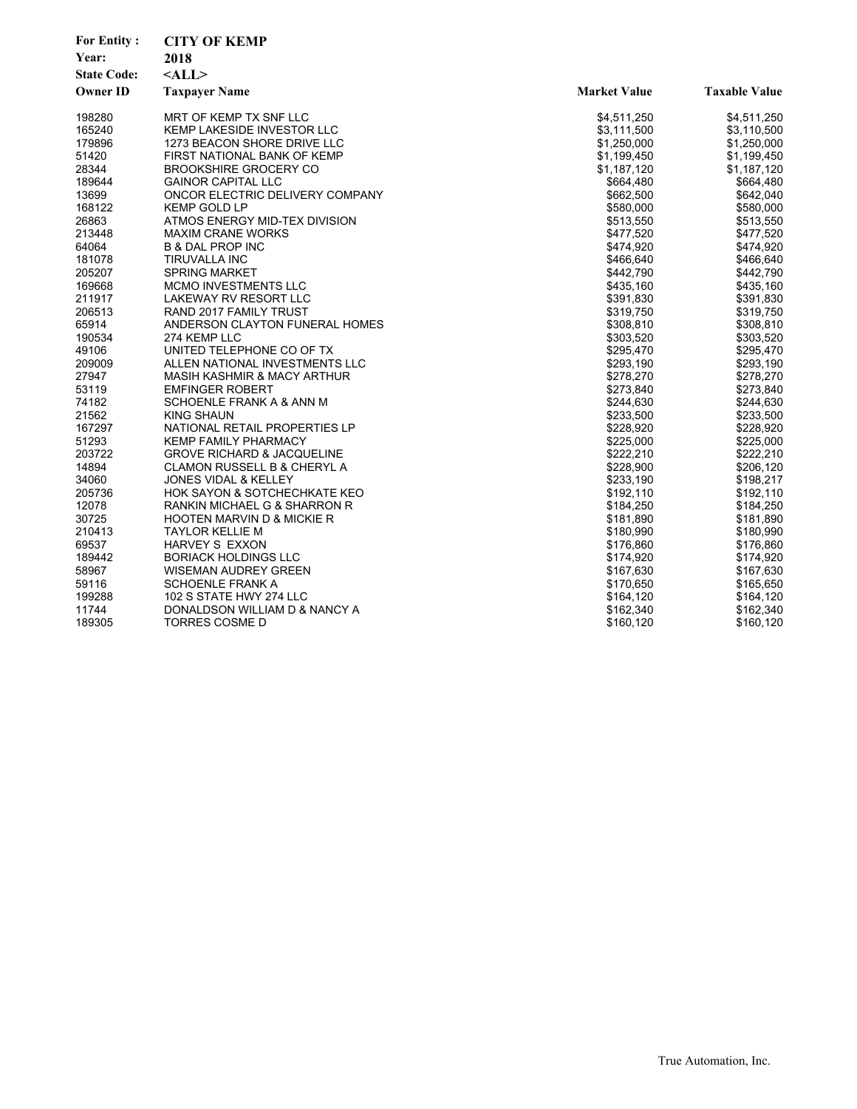| <b>For Entity:</b> | <b>CITY OF KEMP</b>                    |                     |                      |
|--------------------|----------------------------------------|---------------------|----------------------|
| Year:              | 2018                                   |                     |                      |
| <b>State Code:</b> | $<$ ALL $>$                            |                     |                      |
| <b>Owner ID</b>    | <b>Taxpayer Name</b>                   | <b>Market Value</b> | <b>Taxable Value</b> |
| 198280             | MRT OF KEMP TX SNF LLC                 | \$4,511,250         | \$4,511,250          |
| 165240             | KEMP LAKESIDE INVESTOR LLC             | \$3,111,500         | \$3,110,500          |
| 179896             | 1273 BEACON SHORE DRIVE LLC            | \$1,250,000         | \$1,250,000          |
| 51420              | FIRST NATIONAL BANK OF KEMP            | \$1,199,450         | \$1,199,450          |
| 28344              | <b>BROOKSHIRE GROCERY CO</b>           | \$1,187,120         | \$1,187,120          |
| 189644             | <b>GAINOR CAPITAL LLC</b>              | \$664,480           | \$664,480            |
| 13699              | ONCOR ELECTRIC DELIVERY COMPANY        | \$662,500           | \$642,040            |
| 168122             | <b>KEMP GOLD LP</b>                    | \$580,000           | \$580,000            |
| 26863              | ATMOS ENERGY MID-TEX DIVISION          | \$513,550           | \$513,550            |
| 213448             | <b>MAXIM CRANE WORKS</b>               | \$477,520           | \$477,520            |
| 64064              | <b>B &amp; DAL PROP INC</b>            | \$474,920           | \$474,920            |
| 181078             | TIRUVALLA INC                          | \$466,640           | \$466,640            |
| 205207             | <b>SPRING MARKET</b>                   | \$442,790           | \$442,790            |
| 169668             | MCMO INVESTMENTS LLC                   | \$435,160           | \$435,160            |
| 211917             | LAKEWAY RV RESORT LLC                  | \$391,830           | \$391,830            |
| 206513             | RAND 2017 FAMILY TRUST                 | \$319,750           | \$319,750            |
| 65914              | ANDERSON CLAYTON FUNERAL HOMES         | \$308,810           | \$308,810            |
| 190534             | 274 KEMP LLC                           | \$303,520           | \$303,520            |
| 49106              | UNITED TELEPHONE CO OF TX              | \$295,470           | \$295,470            |
| 209009             | ALLEN NATIONAL INVESTMENTS LLC         | \$293,190           | \$293,190            |
| 27947              | <b>MASIH KASHMIR &amp; MACY ARTHUR</b> | \$278,270           | \$278,270            |
| 53119              | <b>EMFINGER ROBERT</b>                 | \$273,840           | \$273,840            |
| 74182              | SCHOENLE FRANK A & ANN M               | \$244,630           | \$244,630            |
| 21562              | KING SHAUN                             | \$233,500           | \$233,500            |
| 167297             | NATIONAL RETAIL PROPERTIES LP          | \$228,920           | \$228,920            |
| 51293              | <b>KEMP FAMILY PHARMACY</b>            | \$225,000           | \$225,000            |
| 203722             | <b>GROVE RICHARD &amp; JACQUELINE</b>  | \$222,210           | \$222,210            |
| 14894              | <b>CLAMON RUSSELL B &amp; CHERYL A</b> | \$228,900           | \$206,120            |
| 34060              | <b>JONES VIDAL &amp; KELLEY</b>        | \$233,190           | \$198,217            |
| 205736             | HOK SAYON & SOTCHECHKATE KEO           | \$192,110           | \$192,110            |
| 12078              | RANKIN MICHAEL G & SHARRON R           | \$184,250           | \$184,250            |
| 30725              | <b>HOOTEN MARVIN D &amp; MICKIE R</b>  | \$181,890           | \$181,890            |
| 210413             | <b>TAYLOR KELLIE M</b>                 | \$180,990           | \$180,990            |
| 69537              | <b>HARVEY S EXXON</b>                  | \$176,860           | \$176,860            |
| 189442             | <b>BORIACK HOLDINGS LLC</b>            | \$174,920           | \$174,920            |
| 58967              | <b>WISEMAN AUDREY GREEN</b>            | \$167,630           | \$167,630            |
| 59116              | <b>SCHOENLE FRANK A</b>                | \$170,650           | \$165,650            |
| 199288             | 102 S STATE HWY 274 LLC                | \$164,120           | \$164,120            |
| 11744              | DONALDSON WILLIAM D & NANCY A          | \$162,340           | \$162,340            |
| 189305             | TORRES COSME D                         | \$160,120           | \$160,120            |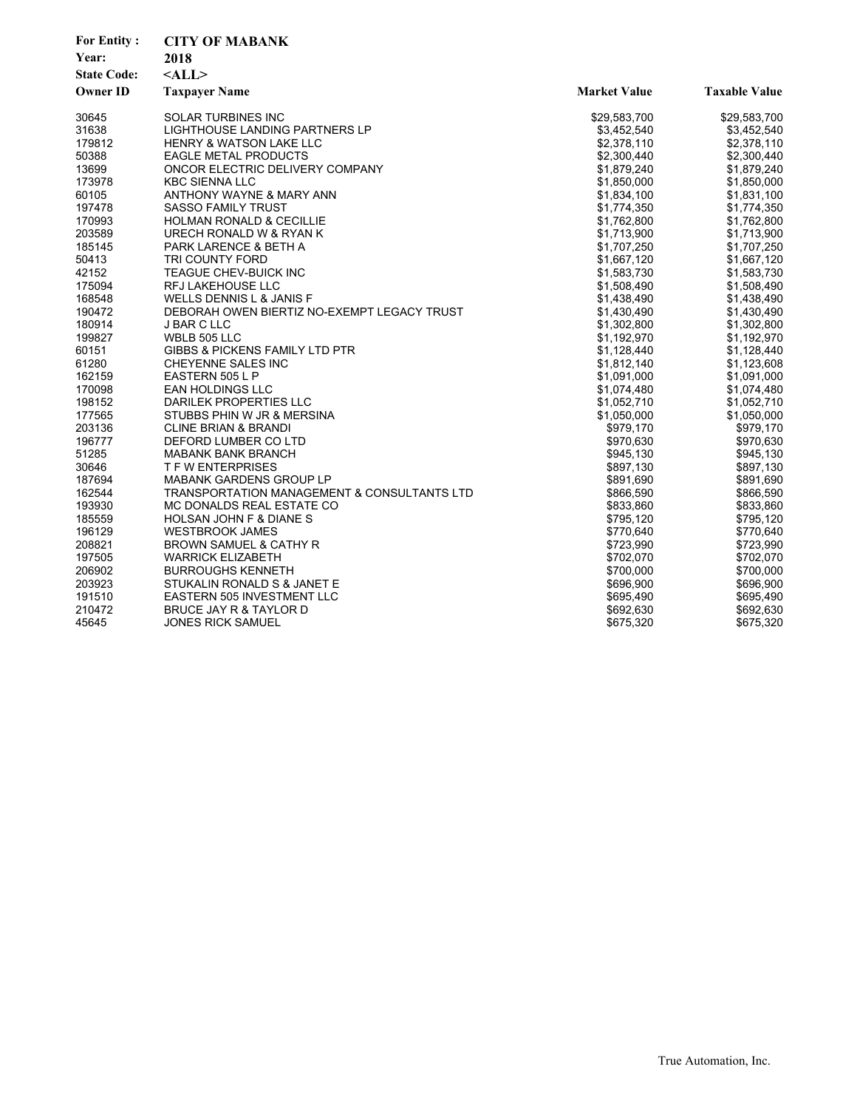| <b>CITY OF MABANK</b><br>Year:<br>2018<br><b>State Code:</b><br>$<$ ALL $>$<br><b>Owner ID</b><br><b>Market Value</b><br><b>Taxable Value</b><br><b>Taxpayer Name</b><br><b>SOLAR TURBINES INC</b><br>30645<br>\$29,583,700<br>\$29,583,700<br>31638<br>LIGHTHOUSE LANDING PARTNERS LP<br>\$3,452,540<br>\$3,452,540<br>179812<br><b>HENRY &amp; WATSON LAKE LLC</b><br>\$2,378,110<br>\$2,378,110<br>50388<br><b>EAGLE METAL PRODUCTS</b><br>\$2,300,440<br>\$2,300,440<br>13699<br>ONCOR ELECTRIC DELIVERY COMPANY<br>\$1,879,240<br>\$1,879,240<br>173978<br><b>KBC SIENNA LLC</b><br>\$1,850,000<br>\$1,850,000<br>ANTHONY WAYNE & MARY ANN<br>60105<br>\$1,834,100<br>\$1,831,100<br>197478<br><b>SASSO FAMILY TRUST</b><br>\$1,774,350<br>\$1,774,350<br>170993<br>HOLMAN RONALD & CECILLIE<br>\$1,762,800<br>\$1,762,800<br>203589<br>\$1,713,900<br>URECH RONALD W & RYAN K<br>\$1,713,900<br>185145<br>PARK LARENCE & BETH A<br>\$1,707,250<br>\$1,707,250<br>50413<br>TRI COUNTY FORD<br>\$1,667,120<br>\$1,667,120<br>42152<br><b>TEAGUE CHEV-BUICK INC</b><br>\$1,583,730<br>\$1,583,730<br>175094<br><b>RFJ LAKEHOUSE LLC</b><br>\$1,508,490<br>\$1,508,490<br>168548<br>WELLS DENNIS L & JANIS F<br>\$1,438,490<br>\$1,438,490<br>190472<br>DEBORAH OWEN BIERTIZ NO-EXEMPT LEGACY TRUST<br>\$1,430,490<br>\$1,430,490<br>180914<br><b>J BAR C LLC</b><br>\$1,302,800<br>\$1,302,800 |
|---------------------------------------------------------------------------------------------------------------------------------------------------------------------------------------------------------------------------------------------------------------------------------------------------------------------------------------------------------------------------------------------------------------------------------------------------------------------------------------------------------------------------------------------------------------------------------------------------------------------------------------------------------------------------------------------------------------------------------------------------------------------------------------------------------------------------------------------------------------------------------------------------------------------------------------------------------------------------------------------------------------------------------------------------------------------------------------------------------------------------------------------------------------------------------------------------------------------------------------------------------------------------------------------------------------------------------------------------------------------------------------------------|
|                                                                                                                                                                                                                                                                                                                                                                                                                                                                                                                                                                                                                                                                                                                                                                                                                                                                                                                                                                                                                                                                                                                                                                                                                                                                                                                                                                                                   |
|                                                                                                                                                                                                                                                                                                                                                                                                                                                                                                                                                                                                                                                                                                                                                                                                                                                                                                                                                                                                                                                                                                                                                                                                                                                                                                                                                                                                   |
|                                                                                                                                                                                                                                                                                                                                                                                                                                                                                                                                                                                                                                                                                                                                                                                                                                                                                                                                                                                                                                                                                                                                                                                                                                                                                                                                                                                                   |
|                                                                                                                                                                                                                                                                                                                                                                                                                                                                                                                                                                                                                                                                                                                                                                                                                                                                                                                                                                                                                                                                                                                                                                                                                                                                                                                                                                                                   |
|                                                                                                                                                                                                                                                                                                                                                                                                                                                                                                                                                                                                                                                                                                                                                                                                                                                                                                                                                                                                                                                                                                                                                                                                                                                                                                                                                                                                   |
|                                                                                                                                                                                                                                                                                                                                                                                                                                                                                                                                                                                                                                                                                                                                                                                                                                                                                                                                                                                                                                                                                                                                                                                                                                                                                                                                                                                                   |
|                                                                                                                                                                                                                                                                                                                                                                                                                                                                                                                                                                                                                                                                                                                                                                                                                                                                                                                                                                                                                                                                                                                                                                                                                                                                                                                                                                                                   |
|                                                                                                                                                                                                                                                                                                                                                                                                                                                                                                                                                                                                                                                                                                                                                                                                                                                                                                                                                                                                                                                                                                                                                                                                                                                                                                                                                                                                   |
|                                                                                                                                                                                                                                                                                                                                                                                                                                                                                                                                                                                                                                                                                                                                                                                                                                                                                                                                                                                                                                                                                                                                                                                                                                                                                                                                                                                                   |
|                                                                                                                                                                                                                                                                                                                                                                                                                                                                                                                                                                                                                                                                                                                                                                                                                                                                                                                                                                                                                                                                                                                                                                                                                                                                                                                                                                                                   |
|                                                                                                                                                                                                                                                                                                                                                                                                                                                                                                                                                                                                                                                                                                                                                                                                                                                                                                                                                                                                                                                                                                                                                                                                                                                                                                                                                                                                   |
|                                                                                                                                                                                                                                                                                                                                                                                                                                                                                                                                                                                                                                                                                                                                                                                                                                                                                                                                                                                                                                                                                                                                                                                                                                                                                                                                                                                                   |
|                                                                                                                                                                                                                                                                                                                                                                                                                                                                                                                                                                                                                                                                                                                                                                                                                                                                                                                                                                                                                                                                                                                                                                                                                                                                                                                                                                                                   |
|                                                                                                                                                                                                                                                                                                                                                                                                                                                                                                                                                                                                                                                                                                                                                                                                                                                                                                                                                                                                                                                                                                                                                                                                                                                                                                                                                                                                   |
|                                                                                                                                                                                                                                                                                                                                                                                                                                                                                                                                                                                                                                                                                                                                                                                                                                                                                                                                                                                                                                                                                                                                                                                                                                                                                                                                                                                                   |
|                                                                                                                                                                                                                                                                                                                                                                                                                                                                                                                                                                                                                                                                                                                                                                                                                                                                                                                                                                                                                                                                                                                                                                                                                                                                                                                                                                                                   |
|                                                                                                                                                                                                                                                                                                                                                                                                                                                                                                                                                                                                                                                                                                                                                                                                                                                                                                                                                                                                                                                                                                                                                                                                                                                                                                                                                                                                   |
|                                                                                                                                                                                                                                                                                                                                                                                                                                                                                                                                                                                                                                                                                                                                                                                                                                                                                                                                                                                                                                                                                                                                                                                                                                                                                                                                                                                                   |
|                                                                                                                                                                                                                                                                                                                                                                                                                                                                                                                                                                                                                                                                                                                                                                                                                                                                                                                                                                                                                                                                                                                                                                                                                                                                                                                                                                                                   |
|                                                                                                                                                                                                                                                                                                                                                                                                                                                                                                                                                                                                                                                                                                                                                                                                                                                                                                                                                                                                                                                                                                                                                                                                                                                                                                                                                                                                   |
| 199827<br>WBLB 505 LLC<br>\$1,192,970<br>\$1,192,970                                                                                                                                                                                                                                                                                                                                                                                                                                                                                                                                                                                                                                                                                                                                                                                                                                                                                                                                                                                                                                                                                                                                                                                                                                                                                                                                              |
| 60151<br><b>GIBBS &amp; PICKENS FAMILY LTD PTR</b><br>\$1,128,440<br>\$1,128,440                                                                                                                                                                                                                                                                                                                                                                                                                                                                                                                                                                                                                                                                                                                                                                                                                                                                                                                                                                                                                                                                                                                                                                                                                                                                                                                  |
| 61280<br>\$1,123,608<br>CHEYENNE SALES INC<br>\$1,812,140                                                                                                                                                                                                                                                                                                                                                                                                                                                                                                                                                                                                                                                                                                                                                                                                                                                                                                                                                                                                                                                                                                                                                                                                                                                                                                                                         |
| 162159<br>EASTERN 505 L P<br>\$1,091,000<br>\$1,091,000                                                                                                                                                                                                                                                                                                                                                                                                                                                                                                                                                                                                                                                                                                                                                                                                                                                                                                                                                                                                                                                                                                                                                                                                                                                                                                                                           |
| 170098<br><b>EAN HOLDINGS LLC</b><br>\$1,074,480<br>\$1,074,480                                                                                                                                                                                                                                                                                                                                                                                                                                                                                                                                                                                                                                                                                                                                                                                                                                                                                                                                                                                                                                                                                                                                                                                                                                                                                                                                   |
| 198152<br>DARILEK PROPERTIES LLC<br>\$1,052,710<br>\$1,052,710                                                                                                                                                                                                                                                                                                                                                                                                                                                                                                                                                                                                                                                                                                                                                                                                                                                                                                                                                                                                                                                                                                                                                                                                                                                                                                                                    |
| 177565<br>\$1,050,000<br>STUBBS PHIN W JR & MERSINA<br>\$1,050,000                                                                                                                                                                                                                                                                                                                                                                                                                                                                                                                                                                                                                                                                                                                                                                                                                                                                                                                                                                                                                                                                                                                                                                                                                                                                                                                                |
| 203136<br><b>CLINE BRIAN &amp; BRANDI</b><br>\$979,170<br>\$979,170                                                                                                                                                                                                                                                                                                                                                                                                                                                                                                                                                                                                                                                                                                                                                                                                                                                                                                                                                                                                                                                                                                                                                                                                                                                                                                                               |
| 196777<br>DEFORD LUMBER CO LTD<br>\$970,630<br>\$970,630                                                                                                                                                                                                                                                                                                                                                                                                                                                                                                                                                                                                                                                                                                                                                                                                                                                                                                                                                                                                                                                                                                                                                                                                                                                                                                                                          |
| 51285<br>MABANK BANK BRANCH<br>\$945,130<br>\$945,130                                                                                                                                                                                                                                                                                                                                                                                                                                                                                                                                                                                                                                                                                                                                                                                                                                                                                                                                                                                                                                                                                                                                                                                                                                                                                                                                             |
| 30646<br><b>T F W ENTERPRISES</b><br>\$897,130<br>\$897,130                                                                                                                                                                                                                                                                                                                                                                                                                                                                                                                                                                                                                                                                                                                                                                                                                                                                                                                                                                                                                                                                                                                                                                                                                                                                                                                                       |
| <b>MABANK GARDENS GROUP LP</b><br>187694<br>\$891,690<br>\$891,690                                                                                                                                                                                                                                                                                                                                                                                                                                                                                                                                                                                                                                                                                                                                                                                                                                                                                                                                                                                                                                                                                                                                                                                                                                                                                                                                |
| 162544<br>TRANSPORTATION MANAGEMENT & CONSULTANTS LTD<br>\$866,590<br>\$866,590                                                                                                                                                                                                                                                                                                                                                                                                                                                                                                                                                                                                                                                                                                                                                                                                                                                                                                                                                                                                                                                                                                                                                                                                                                                                                                                   |
| 193930<br>\$833,860<br>\$833,860<br>MC DONALDS REAL ESTATE CO                                                                                                                                                                                                                                                                                                                                                                                                                                                                                                                                                                                                                                                                                                                                                                                                                                                                                                                                                                                                                                                                                                                                                                                                                                                                                                                                     |
| 185559<br>\$795,120<br>\$795,120<br>HOLSAN JOHN F & DIANE S                                                                                                                                                                                                                                                                                                                                                                                                                                                                                                                                                                                                                                                                                                                                                                                                                                                                                                                                                                                                                                                                                                                                                                                                                                                                                                                                       |
| 196129<br><b>WESTBROOK JAMES</b><br>\$770,640<br>\$770,640                                                                                                                                                                                                                                                                                                                                                                                                                                                                                                                                                                                                                                                                                                                                                                                                                                                                                                                                                                                                                                                                                                                                                                                                                                                                                                                                        |
| 208821<br><b>BROWN SAMUEL &amp; CATHY R</b><br>\$723,990<br>\$723,990                                                                                                                                                                                                                                                                                                                                                                                                                                                                                                                                                                                                                                                                                                                                                                                                                                                                                                                                                                                                                                                                                                                                                                                                                                                                                                                             |
| 197505<br>\$702,070<br>\$702,070<br><b>WARRICK ELIZABETH</b>                                                                                                                                                                                                                                                                                                                                                                                                                                                                                                                                                                                                                                                                                                                                                                                                                                                                                                                                                                                                                                                                                                                                                                                                                                                                                                                                      |
| 206902<br><b>BURROUGHS KENNETH</b><br>\$700,000<br>\$700,000                                                                                                                                                                                                                                                                                                                                                                                                                                                                                                                                                                                                                                                                                                                                                                                                                                                                                                                                                                                                                                                                                                                                                                                                                                                                                                                                      |
| 203923<br>\$696,900<br>\$696,900<br>STUKALIN RONALD S & JANET E                                                                                                                                                                                                                                                                                                                                                                                                                                                                                                                                                                                                                                                                                                                                                                                                                                                                                                                                                                                                                                                                                                                                                                                                                                                                                                                                   |
| 191510<br>EASTERN 505 INVESTMENT LLC<br>\$695,490<br>\$695,490                                                                                                                                                                                                                                                                                                                                                                                                                                                                                                                                                                                                                                                                                                                                                                                                                                                                                                                                                                                                                                                                                                                                                                                                                                                                                                                                    |
| 210472<br>\$692,630<br>\$692,630<br>BRUCE JAY R & TAYLOR D                                                                                                                                                                                                                                                                                                                                                                                                                                                                                                                                                                                                                                                                                                                                                                                                                                                                                                                                                                                                                                                                                                                                                                                                                                                                                                                                        |
| \$675,320<br>45645<br><b>JONES RICK SAMUEL</b><br>\$675,320                                                                                                                                                                                                                                                                                                                                                                                                                                                                                                                                                                                                                                                                                                                                                                                                                                                                                                                                                                                                                                                                                                                                                                                                                                                                                                                                       |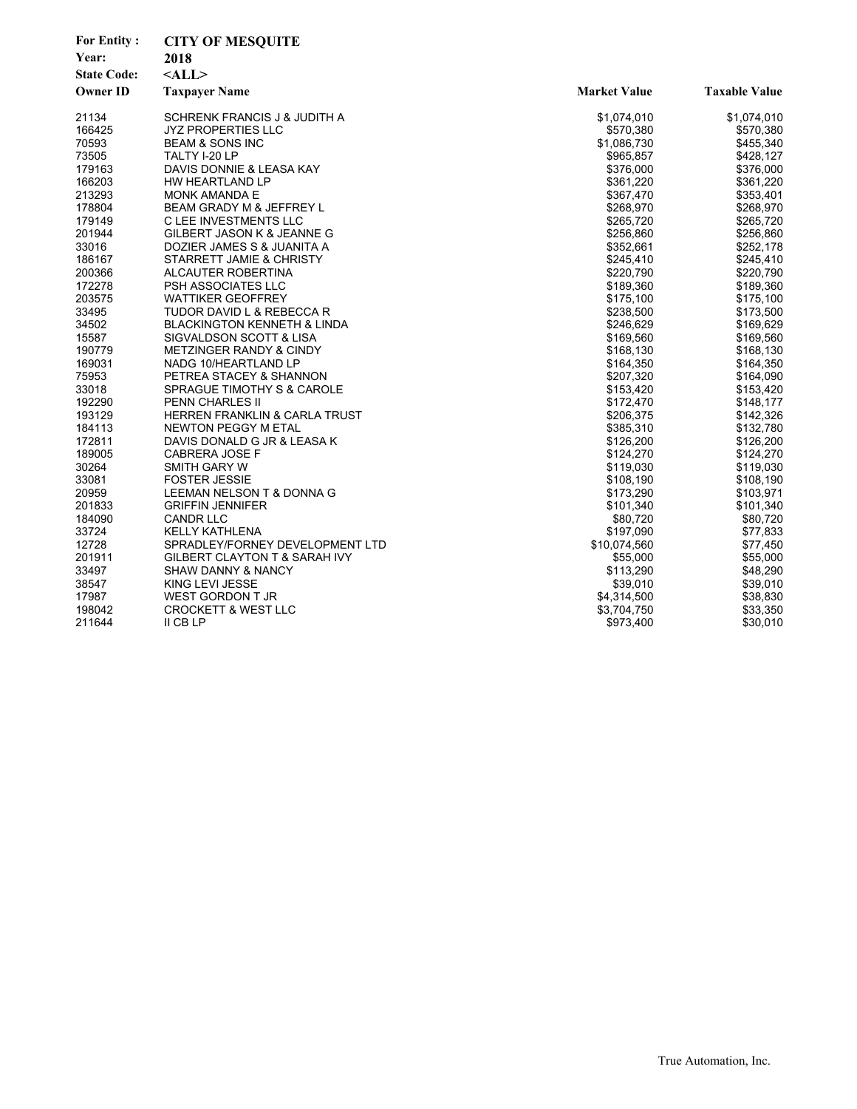| <b>For Entity:</b><br>Year:<br><b>State Code:</b> | <b>CITY OF MESQUITE</b><br>2018<br>$<$ ALL $>$ |                     |                      |
|---------------------------------------------------|------------------------------------------------|---------------------|----------------------|
| <b>Owner ID</b>                                   | <b>Taxpayer Name</b>                           | <b>Market Value</b> | <b>Taxable Value</b> |
| 21134                                             | SCHRENK FRANCIS J & JUDITH A                   | \$1,074,010         | \$1,074,010          |
| 166425                                            | <b>JYZ PROPERTIES LLC</b>                      | \$570,380           | \$570,380            |
| 70593                                             | <b>BEAM &amp; SONS INC</b>                     | \$1,086,730         | \$455,340            |
| 73505                                             | TALTY I-20 LP                                  | \$965,857           | \$428,127            |
| 179163                                            | DAVIS DONNIE & LEASA KAY                       | \$376,000           | \$376,000            |
| 166203                                            | HW HEARTLAND LP                                | \$361,220           | \$361,220            |
| 213293                                            | <b>MONK AMANDA E</b>                           | \$367,470           | \$353,401            |
| 178804                                            | BEAM GRADY M & JEFFREY L                       | \$268,970           | \$268,970            |
| 179149                                            | C LEE INVESTMENTS LLC                          | \$265,720           | \$265,720            |
| 201944                                            | GILBERT JASON K & JEANNE G                     | \$256,860           | \$256,860            |
| 33016                                             | DOZIER JAMES S & JUANITA A                     | \$352,661           | \$252,178            |
| 186167                                            | STARRETT JAMIE & CHRISTY                       | \$245,410           | \$245,410            |
| 200366                                            | ALCAUTER ROBERTINA                             | \$220,790           | \$220,790            |
| 172278                                            | PSH ASSOCIATES LLC                             | \$189,360           | \$189,360            |
| 203575                                            | <b>WATTIKER GEOFFREY</b>                       | \$175,100           | \$175,100            |
| 33495                                             | TUDOR DAVID L & REBECCA R                      | \$238,500           | \$173,500            |
| 34502                                             | <b>BLACKINGTON KENNETH &amp; LINDA</b>         | \$246,629           | \$169,629            |
| 15587                                             | SIGVALDSON SCOTT & LISA                        | \$169.560           | \$169,560            |
| 190779                                            | <b>METZINGER RANDY &amp; CINDY</b>             | \$168,130           | \$168,130            |
| 169031                                            | NADG 10/HEARTLAND LP                           | \$164,350           | \$164,350            |
| 75953                                             | PETREA STACEY & SHANNON                        | \$207,320           | \$164,090            |
| 33018                                             | SPRAGUE TIMOTHY S & CAROLE                     | \$153,420           | \$153,420            |
| 192290                                            | <b>PENN CHARLES II</b>                         | \$172,470           | \$148,177            |
| 193129                                            | HERREN FRANKLIN & CARLA TRUST                  | \$206,375           | \$142,326            |
| 184113                                            | NEWTON PEGGY M ETAL                            | \$385,310           | \$132,780            |
| 172811                                            | DAVIS DONALD G JR & LEASA K                    | \$126,200           | \$126,200            |
| 189005                                            | <b>CABRERA JOSE F</b>                          | \$124,270           | \$124,270            |
| 30264                                             | SMITH GARY W                                   | \$119,030           | \$119,030            |
| 33081                                             | <b>FOSTER JESSIE</b>                           | \$108,190           | \$108,190            |
| 20959                                             | LEEMAN NELSON T & DONNA G                      | \$173,290           | \$103,971            |
| 201833                                            | <b>GRIFFIN JENNIFER</b>                        | \$101,340           | \$101,340            |
| 184090                                            | <b>CANDR LLC</b>                               | \$80,720            | \$80,720             |
| 33724                                             | <b>KELLY KATHLENA</b>                          | \$197,090           | \$77,833             |
| 12728                                             | SPRADLEY/FORNEY DEVELOPMENT LTD                | \$10,074,560        | \$77,450             |
| 201911                                            | GILBERT CLAYTON T & SARAH IVY                  | \$55,000            | \$55,000             |
| 33497                                             | <b>SHAW DANNY &amp; NANCY</b>                  | \$113,290           | \$48,290             |
| 38547                                             | KING LEVI JESSE                                | \$39,010            | \$39,010             |
| 17987                                             | WEST GORDON T JR                               | \$4,314,500         | \$38,830             |
| 198042                                            | <b>CROCKETT &amp; WEST LLC</b>                 | \$3,704,750         | \$33,350             |
| 211644                                            | II CB LP                                       | \$973,400           | \$30,010             |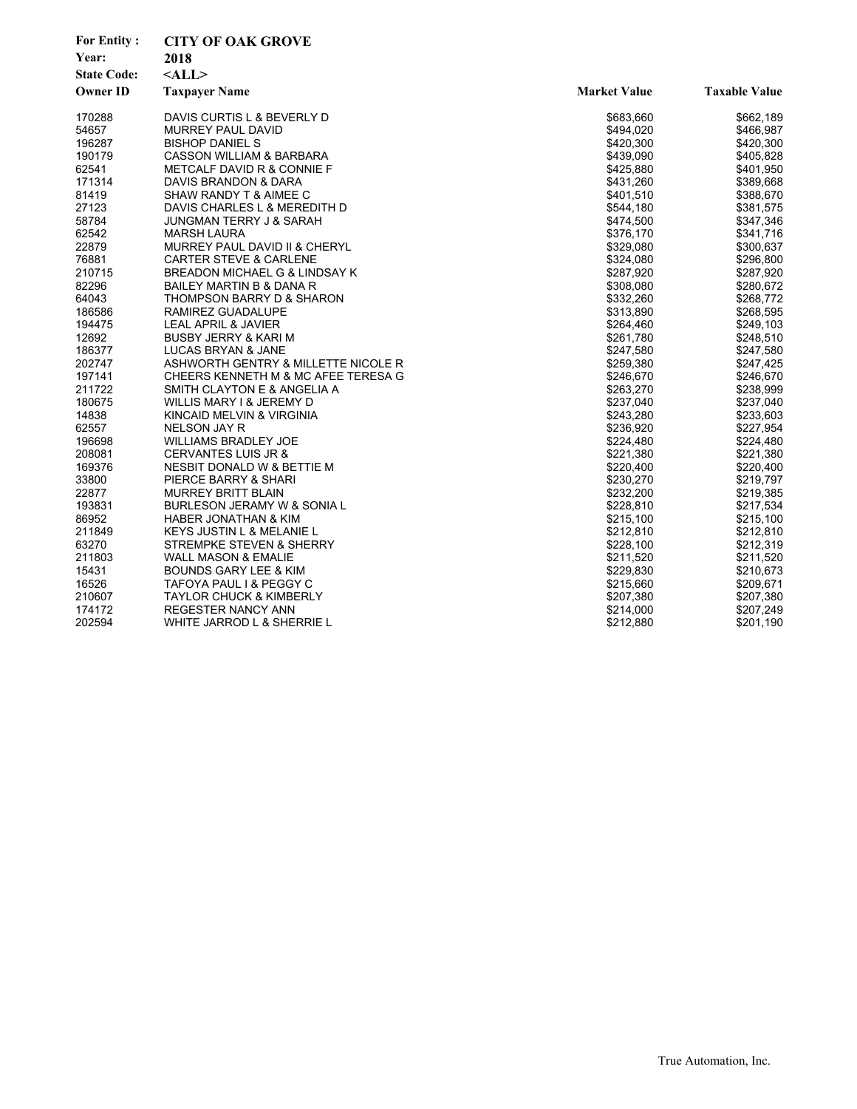| <b>For Entity:</b><br>Year:<br><b>State Code:</b><br><b>Owner ID</b> | <b>CITY OF OAK GROVE</b><br>2018<br>$<$ ALL $>$<br><b>Taxpayer Name</b> | <b>Market Value</b> | <b>Taxable Value</b> |
|----------------------------------------------------------------------|-------------------------------------------------------------------------|---------------------|----------------------|
| 170288                                                               | DAVIS CURTIS L & BEVERLY D                                              | \$683,660           | \$662,189            |
| 54657                                                                | <b>MURREY PAUL DAVID</b>                                                | \$494,020           | \$466,987            |
| 196287                                                               | <b>BISHOP DANIEL S</b>                                                  | \$420.300           | \$420,300            |
| 190179                                                               | <b>CASSON WILLIAM &amp; BARBARA</b>                                     | \$439,090           | \$405,828            |
| 62541                                                                | METCALF DAVID R & CONNIE F                                              | \$425,880           | \$401,950            |
| 171314                                                               | DAVIS BRANDON & DARA                                                    | \$431,260           | \$389,668            |
| 81419                                                                | SHAW RANDY T & AIMEE C                                                  | \$401,510           | \$388,670            |
| 27123                                                                | DAVIS CHARLES L & MEREDITH D                                            | \$544,180           | \$381,575            |
| 58784                                                                | JUNGMAN TERRY J & SARAH                                                 | \$474,500           | \$347,346            |
| 62542                                                                | <b>MARSH LAURA</b>                                                      | \$376,170           | \$341,716            |
| 22879                                                                | MURREY PAUL DAVID II & CHERYL                                           | \$329,080           | \$300,637            |
| 76881                                                                | <b>CARTER STEVE &amp; CARLENE</b>                                       | \$324,080           | \$296,800            |
| 210715                                                               | BREADON MICHAEL G & LINDSAY K                                           | \$287,920           | \$287,920            |
| 82296                                                                | BAILEY MARTIN B & DANA R                                                | \$308,080           | \$280,672            |
| 64043                                                                | THOMPSON BARRY D & SHARON                                               | \$332,260           | \$268,772            |
| 186586                                                               | RAMIREZ GUADALUPE                                                       | \$313,890           | \$268,595            |
| 194475                                                               | <b>LEAL APRIL &amp; JAVIER</b>                                          | \$264,460           | \$249,103            |
| 12692                                                                | <b>BUSBY JERRY &amp; KARI M</b>                                         | \$261,780           | \$248,510            |
| 186377                                                               | LUCAS BRYAN & JANE                                                      | \$247,580           | \$247,580            |
| 202747                                                               | ASHWORTH GENTRY & MILLETTE NICOLE R                                     | \$259,380           | \$247,425            |
| 197141                                                               | CHEERS KENNETH M & MC AFEE TERESA G                                     | \$246,670           | \$246,670            |
| 211722                                                               | SMITH CLAYTON E & ANGELIA A                                             | \$263,270           | \$238,999            |
| 180675                                                               | WILLIS MARY I & JEREMY D                                                | \$237,040           | \$237,040            |
| 14838                                                                | KINCAID MELVIN & VIRGINIA                                               | \$243,280           | \$233,603            |
| 62557                                                                | NELSON JAY R                                                            | \$236,920           | \$227,954            |
| 196698                                                               | <b>WILLIAMS BRADLEY JOE</b>                                             | \$224,480           | \$224,480            |
| 208081                                                               | <b>CERVANTES LUIS JR &amp;</b>                                          | \$221,380           | \$221,380            |
| 169376                                                               | NESBIT DONALD W & BETTIE M                                              | \$220,400           | \$220,400            |
| 33800                                                                | PIERCE BARRY & SHARI                                                    | \$230,270           | \$219,797            |
| 22877                                                                | <b>MURREY BRITT BLAIN</b>                                               | \$232,200           | \$219,385            |
| 193831                                                               | BURLESON JERAMY W & SONIA L                                             | \$228,810           | \$217,534            |
| 86952                                                                | <b>HABER JONATHAN &amp; KIM</b>                                         | \$215,100           | \$215,100            |
| 211849                                                               | KEYS JUSTIN L & MELANIE L                                               | \$212,810           | \$212,810            |
| 63270                                                                | STREMPKE STEVEN & SHERRY                                                | \$228,100           | \$212,319            |
| 211803                                                               | WALL MASON & EMALIE                                                     | \$211,520           | \$211,520            |
| 15431                                                                | BOUNDS GARY LEE & KIM                                                   | \$229,830           | \$210,673            |
| 16526                                                                | TAFOYA PAUL I & PEGGY C                                                 | \$215,660           | \$209,671            |
| 210607                                                               | <b>TAYLOR CHUCK &amp; KIMBERLY</b>                                      | \$207,380           | \$207,380            |
| 174172                                                               | <b>REGESTER NANCY ANN</b>                                               | \$214,000           | \$207,249            |
| 202594                                                               | WHITE JARROD L & SHERRIE L                                              | \$212,880           | \$201,190            |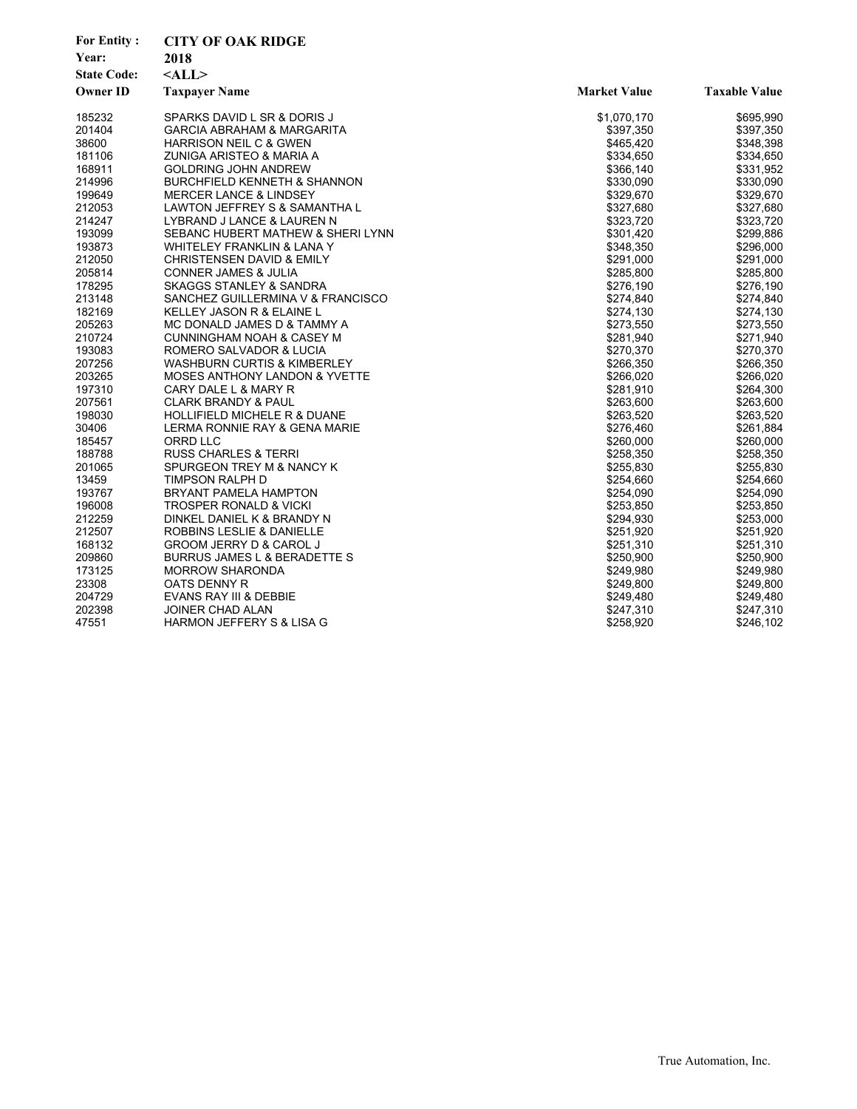| <b>For Entity:</b><br>Year:<br><b>State Code:</b><br><b>Owner ID</b> | <b>CITY OF OAK RIDGE</b><br>2018<br>$<$ ALL><br><b>Taxpayer Name</b> | <b>Market Value</b> | <b>Taxable Value</b> |
|----------------------------------------------------------------------|----------------------------------------------------------------------|---------------------|----------------------|
| 185232                                                               | SPARKS DAVID L SR & DORIS J                                          | \$1,070,170         | \$695,990            |
| 201404                                                               | <b>GARCIA ABRAHAM &amp; MARGARITA</b>                                | \$397,350           | \$397,350            |
| 38600                                                                | <b>HARRISON NEIL C &amp; GWEN</b>                                    | \$465,420           | \$348,398            |
| 181106                                                               | ZUNIGA ARISTEO & MARIA A                                             | \$334,650           | \$334,650            |
| 168911                                                               | <b>GOLDRING JOHN ANDREW</b>                                          | \$366,140           | \$331,952            |
| 214996                                                               | <b>BURCHFIELD KENNETH &amp; SHANNON</b>                              | \$330,090           | \$330,090            |
| 199649                                                               | <b>MERCER LANCE &amp; LINDSEY</b>                                    | \$329,670           | \$329,670            |
| 212053                                                               | LAWTON JEFFREY S & SAMANTHA L                                        | \$327,680           | \$327,680            |
| 214247                                                               | LYBRAND J LANCE & LAUREN N                                           | \$323,720           | \$323,720            |
| 193099                                                               | SEBANC HUBERT MATHEW & SHERI LYNN                                    | \$301,420           | \$299,886            |
| 193873                                                               | WHITELEY FRANKLIN & LANA Y                                           | \$348,350           | \$296,000            |
| 212050                                                               | CHRISTENSEN DAVID & EMILY                                            | \$291,000           | \$291,000            |
| 205814                                                               | <b>CONNER JAMES &amp; JULIA</b>                                      | \$285,800           | \$285,800            |
| 178295                                                               | <b>SKAGGS STANLEY &amp; SANDRA</b>                                   | \$276,190           | \$276,190            |
| 213148                                                               | SANCHEZ GUILLERMINA V & FRANCISCO                                    | \$274,840           | \$274,840            |
| 182169                                                               | KELLEY JASON R & ELAINE L                                            | \$274,130           | \$274,130            |
| 205263                                                               | MC DONALD JAMES D & TAMMY A                                          | \$273,550           | \$273,550            |
| 210724                                                               | <b>CUNNINGHAM NOAH &amp; CASEY M</b>                                 | \$281,940           | \$271,940            |
| 193083                                                               | ROMERO SALVADOR & LUCIA                                              | \$270,370           | \$270,370            |
| 207256                                                               | <b>WASHBURN CURTIS &amp; KIMBERLEY</b>                               | \$266,350           | \$266,350            |
| 203265                                                               | <b>MOSES ANTHONY LANDON &amp; YVETTE</b>                             | \$266,020           | \$266,020            |
| 197310                                                               | CARY DALE L & MARY R                                                 | \$281,910           | \$264,300            |
| 207561                                                               | <b>CLARK BRANDY &amp; PAUL</b>                                       | \$263,600           | \$263,600            |
| 198030                                                               | <b>HOLLIFIELD MICHELE R &amp; DUANE</b>                              | \$263,520           | \$263,520            |
| 30406                                                                | LERMA RONNIE RAY & GENA MARIE                                        | \$276,460           | \$261,884            |
| 185457                                                               | ORRD LLC                                                             | \$260,000           | \$260,000            |
| 188788                                                               | <b>RUSS CHARLES &amp; TERRI</b>                                      | \$258,350           | \$258,350            |
| 201065                                                               | SPURGEON TREY M & NANCY K                                            | \$255,830           | \$255,830            |
| 13459                                                                | TIMPSON RALPH D                                                      | \$254,660           | \$254,660            |
| 193767                                                               | <b>BRYANT PAMELA HAMPTON</b>                                         | \$254,090           | \$254,090            |
| 196008                                                               | <b>TROSPER RONALD &amp; VICKI</b>                                    | \$253,850           | \$253,850            |
| 212259                                                               | DINKEL DANIEL K & BRANDY N                                           | \$294,930           | \$253,000            |
| 212507                                                               | ROBBINS LESLIE & DANIELLE                                            | \$251,920           | \$251,920            |
| 168132                                                               | GROOM JERRY D & CAROL J                                              | \$251,310           | \$251,310            |
| 209860                                                               | BURRUS JAMES L & BERADETTE S                                         | \$250,900           | \$250,900            |
| 173125                                                               | <b>MORROW SHARONDA</b>                                               | \$249,980           | \$249,980            |
| 23308                                                                | OATS DENNY R                                                         | \$249,800           | \$249,800            |
| 204729                                                               | EVANS RAY III & DEBBIE                                               | \$249,480           | \$249,480            |
| 202398                                                               | JOINER CHAD ALAN                                                     | \$247,310           | \$247,310            |
| 47551                                                                | <b>HARMON JEFFERY S &amp; LISA G</b>                                 | \$258,920           | \$246,102            |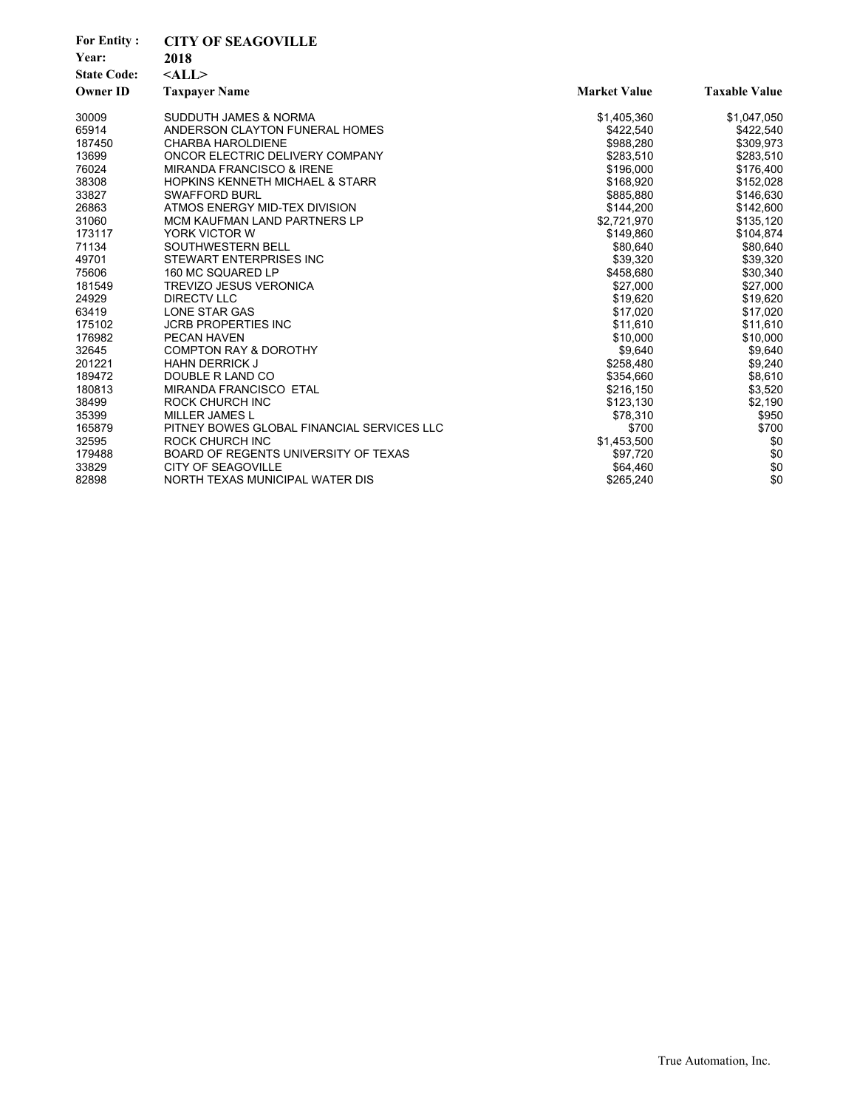| <b>For Entity:</b> | <b>CITY OF SEAGOVILLE</b>                  |                     |                      |
|--------------------|--------------------------------------------|---------------------|----------------------|
| Year:              | 2018                                       |                     |                      |
| <b>State Code:</b> | $<$ ALL $>$                                |                     |                      |
| <b>Owner ID</b>    | <b>Taxpayer Name</b>                       | <b>Market Value</b> | <b>Taxable Value</b> |
| 30009              | <b>SUDDUTH JAMES &amp; NORMA</b>           | \$1,405,360         | \$1,047,050          |
| 65914              | ANDERSON CLAYTON FUNERAL HOMES             | \$422,540           | \$422,540            |
| 187450             | <b>CHARBA HAROLDIENE</b>                   | \$988,280           | \$309,973            |
| 13699              | ONCOR ELECTRIC DELIVERY COMPANY            | \$283,510           | \$283,510            |
| 76024              | <b>MIRANDA FRANCISCO &amp; IRENE</b>       | \$196,000           | \$176,400            |
| 38308              | <b>HOPKINS KENNETH MICHAEL &amp; STARR</b> | \$168,920           | \$152,028            |
| 33827              | <b>SWAFFORD BURL</b>                       | \$885,880           | \$146,630            |
| 26863              | ATMOS ENERGY MID-TEX DIVISION              | \$144,200           | \$142,600            |
| 31060              | <b>MCM KAUFMAN LAND PARTNERS LP</b>        | \$2,721,970         | \$135,120            |
| 173117             | YORK VICTOR W                              | \$149,860           | \$104,874            |
| 71134              | SOUTHWESTERN BELL                          | \$80,640            | \$80,640             |
| 49701              | STEWART ENTERPRISES INC                    | \$39,320            | \$39,320             |
| 75606              | 160 MC SQUARED LP                          | \$458,680           | \$30,340             |
| 181549             | <b>TREVIZO JESUS VERONICA</b>              | \$27,000            | \$27,000             |
| 24929              | <b>DIRECTV LLC</b>                         | \$19,620            | \$19,620             |
| 63419              | LONE STAR GAS                              | \$17,020            | \$17,020             |
| 175102             | <b>JCRB PROPERTIES INC</b>                 | \$11,610            | \$11,610             |
| 176982             | PECAN HAVEN                                | \$10,000            | \$10,000             |
| 32645              | <b>COMPTON RAY &amp; DOROTHY</b>           | \$9,640             | \$9,640              |
| 201221             | <b>HAHN DERRICK J</b>                      | \$258,480           | \$9,240              |
| 189472             | DOUBLE R LAND CO                           | \$354,660           | \$8,610              |
| 180813             | <b>MIRANDA FRANCISCO ETAL</b>              | \$216,150           | \$3,520              |
| 38499              | <b>ROCK CHURCH INC</b>                     | \$123,130           | \$2,190              |
| 35399              | <b>MILLER JAMES L</b>                      | \$78,310            | \$950                |
| 165879             | PITNEY BOWES GLOBAL FINANCIAL SERVICES LLC | \$700               | \$700                |
| 32595              | <b>ROCK CHURCH INC</b>                     | \$1,453,500         | \$0                  |
| 179488             | BOARD OF REGENTS UNIVERSITY OF TEXAS       | \$97,720            | \$0                  |
| 33829              | <b>CITY OF SEAGOVILLE</b>                  | \$64,460            | \$0                  |
| 82898              | NORTH TEXAS MUNICIPAL WATER DIS            | \$265,240           | \$0                  |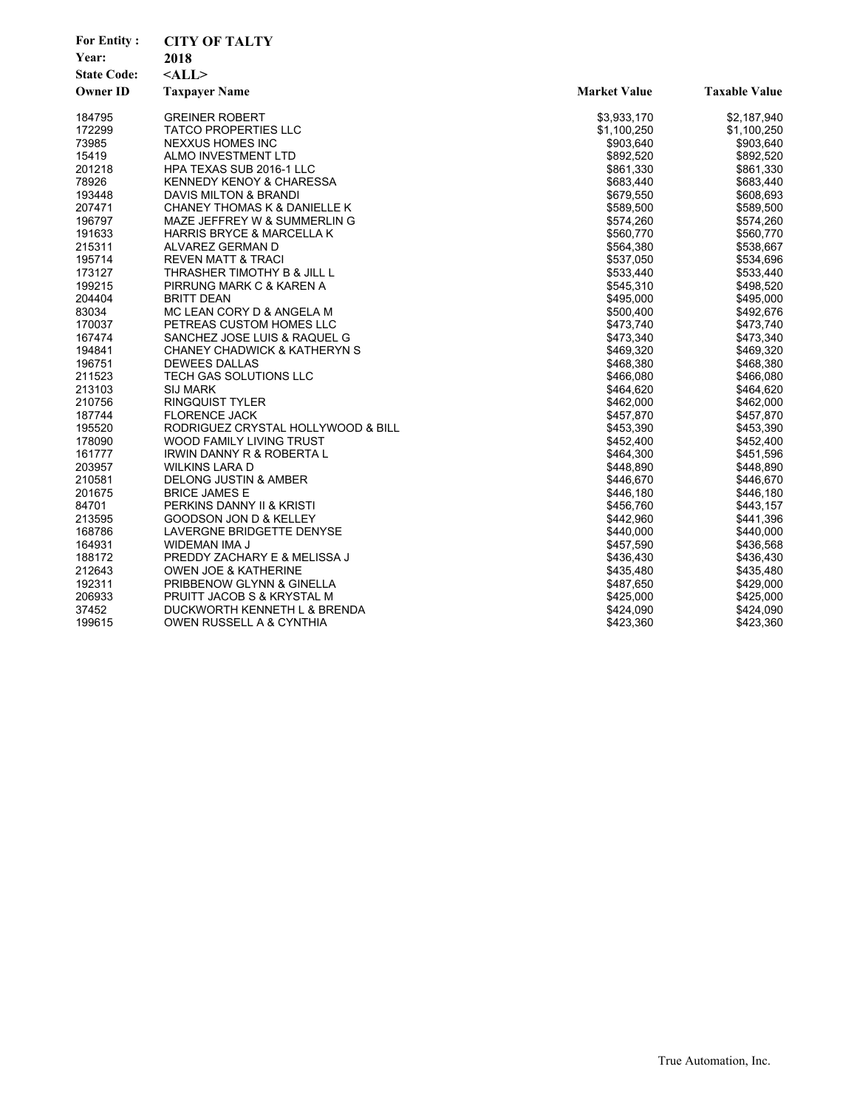| <b>For Entity:</b> | <b>CITY OF TALTY</b>                    |                     |                      |
|--------------------|-----------------------------------------|---------------------|----------------------|
| Year:              | 2018                                    |                     |                      |
| <b>State Code:</b> | $<$ ALL>                                |                     |                      |
| <b>Owner ID</b>    | <b>Taxpayer Name</b>                    | <b>Market Value</b> | <b>Taxable Value</b> |
| 184795             | <b>GREINER ROBERT</b>                   | \$3,933,170         | \$2,187,940          |
| 172299             | <b>TATCO PROPERTIES LLC</b>             | \$1,100,250         | \$1,100,250          |
| 73985              | NEXXUS HOMES INC                        | \$903,640           | \$903,640            |
| 15419              | ALMO INVESTMENT LTD                     | \$892,520           | \$892,520            |
| 201218             | HPA TEXAS SUB 2016-1 LLC                | \$861,330           | \$861,330            |
| 78926              | <b>KENNEDY KENOY &amp; CHARESSA</b>     | \$683,440           | \$683,440            |
| 193448             | DAVIS MILTON & BRANDI                   | \$679,550           | \$608,693            |
| 207471             | CHANEY THOMAS K & DANIELLE K            | \$589,500           | \$589,500            |
| 196797             | MAZE JEFFREY W & SUMMERLIN G            | \$574,260           | \$574,260            |
| 191633             | <b>HARRIS BRYCE &amp; MARCELLA K</b>    | \$560,770           | \$560,770            |
| 215311             | ALVAREZ GERMAN D                        | \$564,380           | \$538,667            |
| 195714             | REVEN MATT & TRACI                      | \$537,050           | \$534,696            |
| 173127             | THRASHER TIMOTHY B & JILL L             | \$533,440           | \$533,440            |
| 199215             | PIRRUNG MARK C & KAREN A                | \$545,310           | \$498,520            |
| 204404             | BRITT DEAN                              | \$495,000           | \$495,000            |
| 83034              | MC LEAN CORY D & ANGELA M               | \$500,400           | \$492,676            |
| 170037             | PETREAS CUSTOM HOMES LLC                | \$473,740           | \$473,740            |
| 167474             | SANCHEZ JOSE LUIS & RAQUEL G            | \$473,340           | \$473,340            |
| 194841             | <b>CHANEY CHADWICK &amp; KATHERYN S</b> | \$469,320           | \$469,320            |
| 196751             | <b>DEWEES DALLAS</b>                    | \$468,380           | \$468,380            |
| 211523             | TECH GAS SOLUTIONS LLC                  | \$466,080           | \$466,080            |
| 213103             | <b>SIJ MARK</b>                         | \$464,620           | \$464,620            |
| 210756             | RINGQUIST TYLER                         | \$462,000           | \$462,000            |
| 187744             | <b>FLORENCE JACK</b>                    | \$457,870           | \$457,870            |
| 195520             | RODRIGUEZ CRYSTAL HOLLYWOOD & BILL      | \$453,390           | \$453,390            |
| 178090             | WOOD FAMILY LIVING TRUST                | \$452,400           | \$452,400            |
| 161777             | IRWIN DANNY R & ROBERTA L               | \$464,300           | \$451,596            |
| 203957             | <b>WILKINS LARA D</b>                   | \$448,890           | \$448,890            |
| 210581             | <b>DELONG JUSTIN &amp; AMBER</b>        | \$446,670           | \$446,670            |
| 201675             | <b>BRICE JAMES E</b>                    | \$446,180           | \$446,180            |
| 84701              | PERKINS DANNY II & KRISTI               | \$456,760           | \$443,157            |
| 213595             | GOODSON JON D & KELLEY                  | \$442,960           | \$441,396            |
| 168786             | LAVERGNE BRIDGETTE DENYSE               | \$440,000           | \$440,000            |
| 164931             | WIDEMAN IMA J                           | \$457,590           | \$436,568            |
| 188172             | PREDDY ZACHARY E & MELISSA J            | \$436,430           | \$436,430            |
| 212643             | OWEN JOE & KATHERINE                    | \$435,480           | \$435,480            |
| 192311             | PRIBBENOW GLYNN & GINELLA               | \$487,650           | \$429,000            |
| 206933             | PRUITT JACOB S & KRYSTAL M              | \$425,000           | \$425,000            |
| 37452              | DUCKWORTH KENNETH L & BRENDA            | \$424,090           | \$424,090            |
| 199615             | OWEN RUSSELL A & CYNTHIA                | \$423,360           | \$423,360            |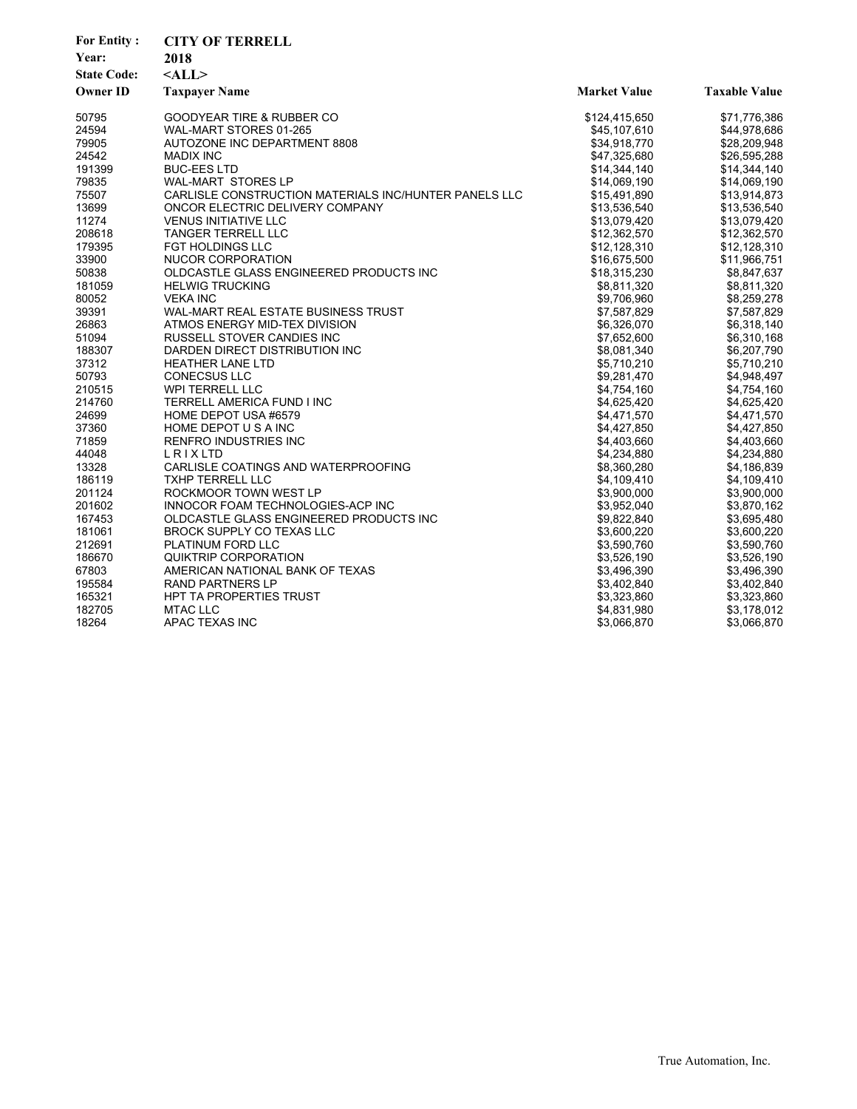| <b>For Entity:</b> | <b>CITY OF TERRELL</b>                                |                     |                      |  |
|--------------------|-------------------------------------------------------|---------------------|----------------------|--|
| Year:              | 2018                                                  |                     |                      |  |
| <b>State Code:</b> | $<$ ALL $>$                                           |                     |                      |  |
| <b>Owner ID</b>    | <b>Taxpayer Name</b>                                  | <b>Market Value</b> | <b>Taxable Value</b> |  |
| 50795              | <b>GOODYEAR TIRE &amp; RUBBER CO</b>                  | \$124,415,650       | \$71,776,386         |  |
| 24594              | WAL-MART STORES 01-265                                | \$45,107,610        | \$44,978,686         |  |
| 79905              | AUTOZONE INC DEPARTMENT 8808                          | \$34,918,770        | \$28,209,948         |  |
| 24542              | <b>MADIX INC</b>                                      | \$47,325,680        | \$26,595,288         |  |
| 191399             | <b>BUC-EES LTD</b>                                    | \$14,344,140        | \$14,344,140         |  |
| 79835              | <b>WAL-MART STORES LP</b>                             | \$14,069,190        | \$14,069,190         |  |
| 75507              | CARLISLE CONSTRUCTION MATERIALS INC/HUNTER PANELS LLC | \$15,491,890        | \$13,914,873         |  |
| 13699              | ONCOR ELECTRIC DELIVERY COMPANY                       | \$13,536,540        | \$13,536,540         |  |
| 11274              | <b>VENUS INITIATIVE LLC</b>                           | \$13,079,420        | \$13,079,420         |  |
| 208618             | <b>TANGER TERRELL LLC</b>                             | \$12,362,570        | \$12,362,570         |  |
| 179395             | <b>FGT HOLDINGS LLC</b>                               | \$12,128,310        | \$12,128,310         |  |
| 33900              | NUCOR CORPORATION                                     | \$16,675,500        | \$11,966,751         |  |
| 50838              | OLDCASTLE GLASS ENGINEERED PRODUCTS INC               | \$18,315,230        | \$8,847,637          |  |
| 181059             | <b>HELWIG TRUCKING</b>                                | \$8,811,320         | \$8,811,320          |  |
| 80052              | <b>VEKA INC</b>                                       | \$9,706,960         | \$8,259,278          |  |
| 39391              | WAL-MART REAL ESTATE BUSINESS TRUST                   | \$7,587,829         | \$7,587,829          |  |
| 26863              | ATMOS ENERGY MID-TEX DIVISION                         | \$6,326,070         | \$6,318,140          |  |
| 51094              | <b>RUSSELL STOVER CANDIES INC</b>                     | \$7,652,600         | \$6,310,168          |  |
| 188307             | DARDEN DIRECT DISTRIBUTION INC                        | \$8,081,340         | \$6,207,790          |  |
| 37312              | <b>HEATHER LANE LTD</b>                               | \$5,710,210         | \$5,710,210          |  |
| 50793              | <b>CONECSUS LLC</b>                                   | \$9,281,470         | \$4,948,497          |  |
| 210515             | <b>WPI TERRELL LLC</b>                                | \$4,754,160         | \$4,754,160          |  |
| 214760             | TERRELL AMERICA FUND I INC                            | \$4,625,420         | \$4,625,420          |  |
| 24699              | HOME DEPOT USA #6579                                  | \$4,471,570         | \$4,471,570          |  |
| 37360              | HOME DEPOT U S A INC                                  | \$4,427,850         | \$4,427,850          |  |
| 71859              | RENFRO INDUSTRIES INC                                 | \$4,403,660         | \$4,403,660          |  |
| 44048              | LRIXLTD                                               | \$4,234,880         | \$4,234,880          |  |
| 13328              | CARLISLE COATINGS AND WATERPROOFING                   | \$8,360,280         | \$4,186,839          |  |
| 186119             | <b>TXHP TERRELL LLC</b>                               | \$4,109,410         | \$4,109,410          |  |
| 201124             | ROCKMOOR TOWN WEST LP                                 | \$3,900,000         | \$3,900,000          |  |
| 201602             | INNOCOR FOAM TECHNOLOGIES-ACP INC                     | \$3,952,040         | \$3,870,162          |  |
| 167453             | OLDCASTLE GLASS ENGINEERED PRODUCTS INC               | \$9,822,840         | \$3,695,480          |  |
| 181061             | <b>BROCK SUPPLY CO TEXAS LLC</b>                      | \$3,600,220         | \$3,600,220          |  |
| 212691             | PLATINUM FORD LLC                                     | \$3,590,760         | \$3,590,760          |  |
| 186670             | QUIKTRIP CORPORATION                                  | \$3,526,190         | \$3,526,190          |  |
| 67803              | AMERICAN NATIONAL BANK OF TEXAS                       | \$3,496,390         | \$3,496,390          |  |
| 195584             | <b>RAND PARTNERS LP</b>                               | \$3,402,840         | \$3,402,840          |  |
| 165321             | <b>HPT TA PROPERTIES TRUST</b>                        | \$3,323,860         | \$3,323,860          |  |
| 182705             | <b>MTAC LLC</b>                                       | \$4,831,980         | \$3,178,012          |  |
| 18264              | APAC TEXAS INC                                        | \$3,066,870         | \$3,066,870          |  |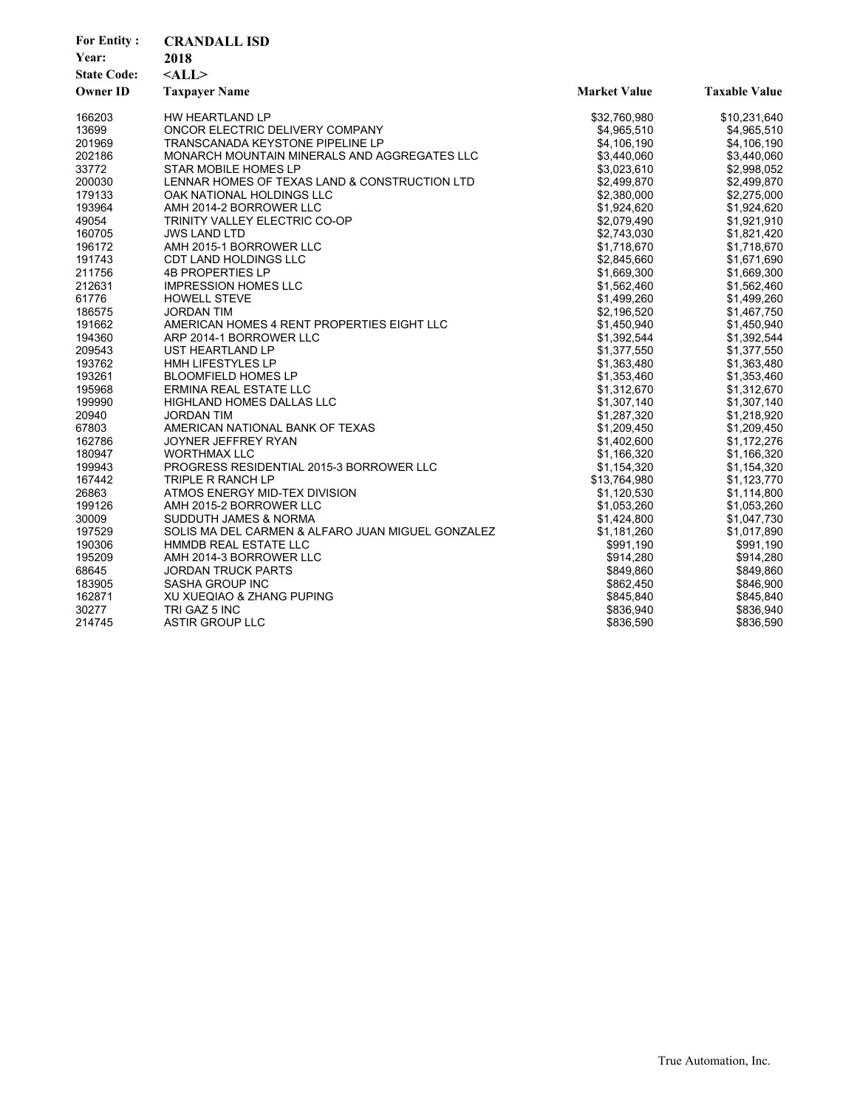| <b>For Entity:</b><br>Year:<br><b>State Code:</b><br><b>Owner ID</b> | <b>CRANDALL ISD</b><br>2018<br>$<$ ALL $>$<br><b>Taxpayer Name</b> | <b>Market Value</b> | <b>Taxable Value</b> |
|----------------------------------------------------------------------|--------------------------------------------------------------------|---------------------|----------------------|
| 166203                                                               | HW HEARTLAND LP                                                    | \$32,760,980        | \$10,231,640         |
| 13699                                                                | ONCOR ELECTRIC DELIVERY COMPANY                                    | \$4,965,510         | \$4,965,510          |
| 201969                                                               | <b>TRANSCANADA KEYSTONE PIPELINE LP</b>                            | \$4,106,190         | \$4,106,190          |
| 202186                                                               | MONARCH MOUNTAIN MINERALS AND AGGREGATES LLC                       | \$3,440,060         | \$3,440,060          |
| 33772                                                                | STAR MOBILE HOMES LP                                               | \$3,023,610         | \$2,998,052          |
| 200030                                                               | LENNAR HOMES OF TEXAS LAND & CONSTRUCTION LTD                      | \$2,499,870         | \$2,499,870          |
| 179133                                                               | OAK NATIONAL HOLDINGS LLC                                          | \$2,380,000         | \$2,275,000          |
| 193964                                                               | AMH 2014-2 BORROWER LLC                                            | \$1,924,620         | \$1,924,620          |
| 49054                                                                | TRINITY VALLEY ELECTRIC CO-OP                                      | \$2,079,490         | \$1,921,910          |
| 160705                                                               | <b>JWS LAND LTD</b>                                                | \$2,743,030         | \$1,821,420          |
| 196172                                                               | AMH 2015-1 BORROWER LLC                                            | \$1,718,670         | \$1,718,670          |
| 191743                                                               | CDT LAND HOLDINGS LLC                                              | \$2,845,660         | \$1,671,690          |
| 211756                                                               | <b>4B PROPERTIES LP</b>                                            | \$1,669,300         | \$1,669,300          |
| 212631                                                               | <b>IMPRESSION HOMES LLC</b>                                        | \$1,562,460         | \$1,562,460          |
| 61776                                                                | <b>HOWELL STEVE</b>                                                | \$1,499,260         | \$1,499,260          |
| 186575                                                               | <b>JORDAN TIM</b>                                                  | \$2,196,520         | \$1,467,750          |
| 191662                                                               | AMERICAN HOMES 4 RENT PROPERTIES EIGHT LLC                         | \$1,450,940         | \$1,450,940          |
| 194360                                                               | ARP 2014-1 BORROWER LLC                                            | \$1,392,544         | \$1,392,544          |
| 209543                                                               | UST HEARTLAND LP                                                   | \$1,377,550         | \$1,377,550          |
| 193762                                                               | <b>HMH LIFESTYLES LP</b>                                           | \$1,363,480         | \$1,363,480          |
| 193261                                                               | <b>BLOOMFIELD HOMES LP</b>                                         | \$1,353,460         | \$1,353,460          |
| 195968                                                               | ERMINA REAL ESTATE LLC                                             | \$1,312,670         | \$1,312,670          |
| 199990                                                               | <b>HIGHLAND HOMES DALLAS LLC</b>                                   | \$1,307,140         | \$1,307,140          |
| 20940                                                                | JORDAN TIM                                                         | \$1,287,320         | \$1,218,920          |
| 67803                                                                | AMERICAN NATIONAL BANK OF TEXAS                                    | \$1,209,450         | \$1,209,450          |
| 162786                                                               | JOYNER JEFFREY RYAN                                                | \$1,402,600         | \$1,172,276          |
| 180947                                                               | <b>WORTHMAX LLC</b>                                                | \$1,166,320         | \$1,166,320          |
| 199943                                                               | PROGRESS RESIDENTIAL 2015-3 BORROWER LLC                           | \$1,154,320         | \$1,154,320          |
| 167442                                                               | TRIPLE R RANCH LP                                                  | \$13,764,980        | \$1,123,770          |
| 26863                                                                | ATMOS ENERGY MID-TEX DIVISION                                      | \$1,120,530         | \$1,114,800          |
| 199126                                                               | AMH 2015-2 BORROWER LLC                                            | \$1,053,260         | \$1,053,260          |
| 30009                                                                | SUDDUTH JAMES & NORMA                                              | \$1,424,800         | \$1,047,730          |
| 197529                                                               | SOLIS MA DEL CARMEN & ALFARO JUAN MIGUEL GONZALEZ                  | \$1,181,260         | \$1,017,890          |
| 190306                                                               | HMMDB REAL ESTATE LLC                                              | \$991,190           | \$991,190            |
| 195209                                                               | AMH 2014-3 BORROWER LLC                                            | \$914,280           | \$914,280            |
| 68645                                                                | <b>JORDAN TRUCK PARTS</b>                                          | \$849,860           | \$849,860            |
| 183905                                                               | SASHA GROUP INC                                                    | \$862,450           | \$846,900            |
| 162871                                                               | XU XUEQIAO & ZHANG PUPING                                          | \$845,840           | \$845,840            |
| 30277                                                                | TRI GAZ 5 INC                                                      | \$836,940           | \$836,940            |
| 214745                                                               | ASTIR GROUP LLC                                                    | \$836,590           | \$836,590            |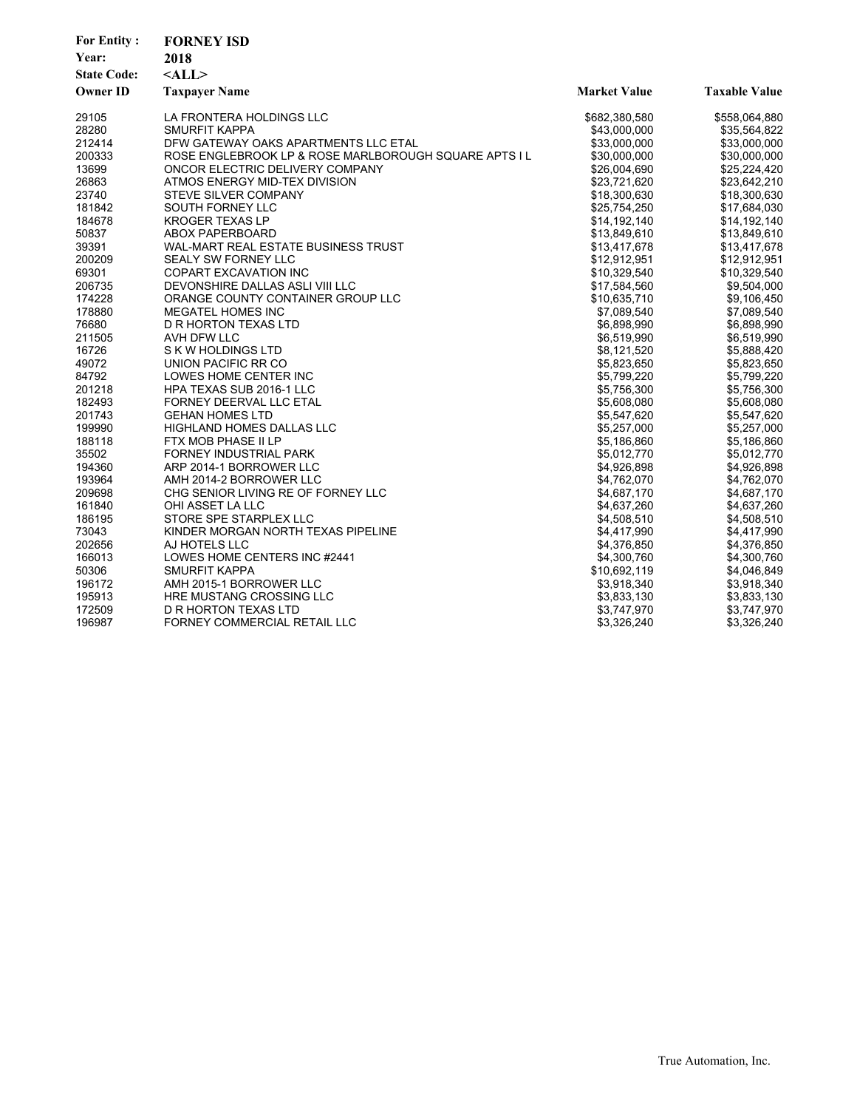| <b>For Entity:</b><br>Year: | <b>FORNEY ISD</b><br>2018                             |                     |                      |
|-----------------------------|-------------------------------------------------------|---------------------|----------------------|
| <b>State Code:</b>          | $<$ ALL $>$                                           |                     |                      |
| <b>Owner ID</b>             | <b>Taxpayer Name</b>                                  | <b>Market Value</b> | <b>Taxable Value</b> |
| 29105                       | LA FRONTERA HOLDINGS LLC                              | \$682,380,580       | \$558,064,880        |
| 28280                       | SMURFIT KAPPA                                         | \$43,000,000        | \$35,564,822         |
| 212414                      | DFW GATEWAY OAKS APARTMENTS LLC ETAL                  | \$33,000,000        | \$33,000,000         |
| 200333                      | ROSE ENGLEBROOK LP & ROSE MARLBOROUGH SQUARE APTS I L | \$30,000,000        | \$30,000,000         |
| 13699                       | ONCOR ELECTRIC DELIVERY COMPANY                       | \$26,004,690        | \$25,224,420         |
| 26863                       | ATMOS ENERGY MID-TEX DIVISION                         | \$23,721,620        | \$23,642,210         |
| 23740                       | <b>STEVE SILVER COMPANY</b>                           | \$18,300,630        | \$18,300,630         |
| 181842                      | SOUTH FORNEY LLC                                      | \$25,754,250        | \$17,684,030         |
| 184678                      | <b>KROGER TEXAS LP</b>                                | \$14,192,140        | \$14,192,140         |
| 50837                       | <b>ABOX PAPERBOARD</b>                                | \$13,849,610        | \$13,849,610         |
| 39391                       | WAL-MART REAL ESTATE BUSINESS TRUST                   | \$13,417,678        | \$13,417,678         |
| 200209                      | SEALY SW FORNEY LLC                                   | \$12,912,951        | \$12,912,951         |
| 69301                       | COPART EXCAVATION INC                                 | \$10,329,540        | \$10,329,540         |
| 206735                      | DEVONSHIRE DALLAS ASLI VIII LLC                       | \$17,584,560        | \$9,504,000          |
| 174228                      | ORANGE COUNTY CONTAINER GROUP LLC                     | \$10,635,710        | \$9,106,450          |
| 178880                      | <b>MEGATEL HOMES INC</b>                              | \$7,089,540         | \$7,089,540          |
| 76680                       | D R HORTON TEXAS LTD                                  | \$6,898,990         | \$6,898,990          |
| 211505                      | AVH DFW LLC                                           | \$6,519,990         | \$6,519,990          |
| 16726                       | S K W HOLDINGS LTD                                    | \$8,121,520         | \$5,888,420          |
| 49072                       | UNION PACIFIC RR CO                                   | \$5,823,650         | \$5,823,650          |
| 84792                       | LOWES HOME CENTER INC                                 | \$5,799,220         | \$5,799,220          |
| 201218                      | HPA TEXAS SUB 2016-1 LLC                              | \$5,756,300         | \$5,756,300          |
| 182493                      | FORNEY DEERVAL LLC ETAL                               | \$5,608,080         | \$5,608,080          |
| 201743                      | <b>GEHAN HOMES LTD</b>                                | \$5,547,620         | \$5,547,620          |
| 199990                      | <b>HIGHLAND HOMES DALLAS LLC</b>                      | \$5,257,000         | \$5,257,000          |
| 188118                      | FTX MOB PHASE II LP                                   | \$5,186,860         | \$5,186,860          |
| 35502                       | <b>FORNEY INDUSTRIAL PARK</b>                         | \$5,012,770         | \$5,012,770          |
| 194360                      | ARP 2014-1 BORROWER LLC                               | \$4,926,898         | \$4,926,898          |
| 193964                      | AMH 2014-2 BORROWER LLC                               | \$4,762,070         | \$4,762,070          |
| 209698                      | CHG SENIOR LIVING RE OF FORNEY LLC                    | \$4,687,170         | \$4,687,170          |
| 161840                      | OHI ASSET LA LLC                                      | \$4,637,260         | \$4,637,260          |
| 186195                      | STORE SPE STARPLEX LLC                                | \$4,508,510         | \$4,508,510          |
| 73043                       | KINDER MORGAN NORTH TEXAS PIPELINE                    | \$4,417,990         | \$4,417,990          |
| 202656                      | AJ HOTELS LLC                                         | \$4,376,850         | \$4,376,850          |
| 166013                      | LOWES HOME CENTERS INC #2441                          | \$4,300,760         | \$4,300,760          |
| 50306                       | <b>SMURFIT KAPPA</b>                                  | \$10,692,119        | \$4,046,849          |
| 196172                      | AMH 2015-1 BORROWER LLC                               | \$3,918,340         | \$3,918,340          |
| 195913                      | HRE MUSTANG CROSSING LLC                              | \$3,833,130         | \$3,833,130          |
| 172509                      | D R HORTON TEXAS LTD                                  | \$3,747,970         | \$3,747,970          |
| 196987                      | FORNEY COMMERCIAL RETAIL LLC                          | \$3,326,240         | \$3,326,240          |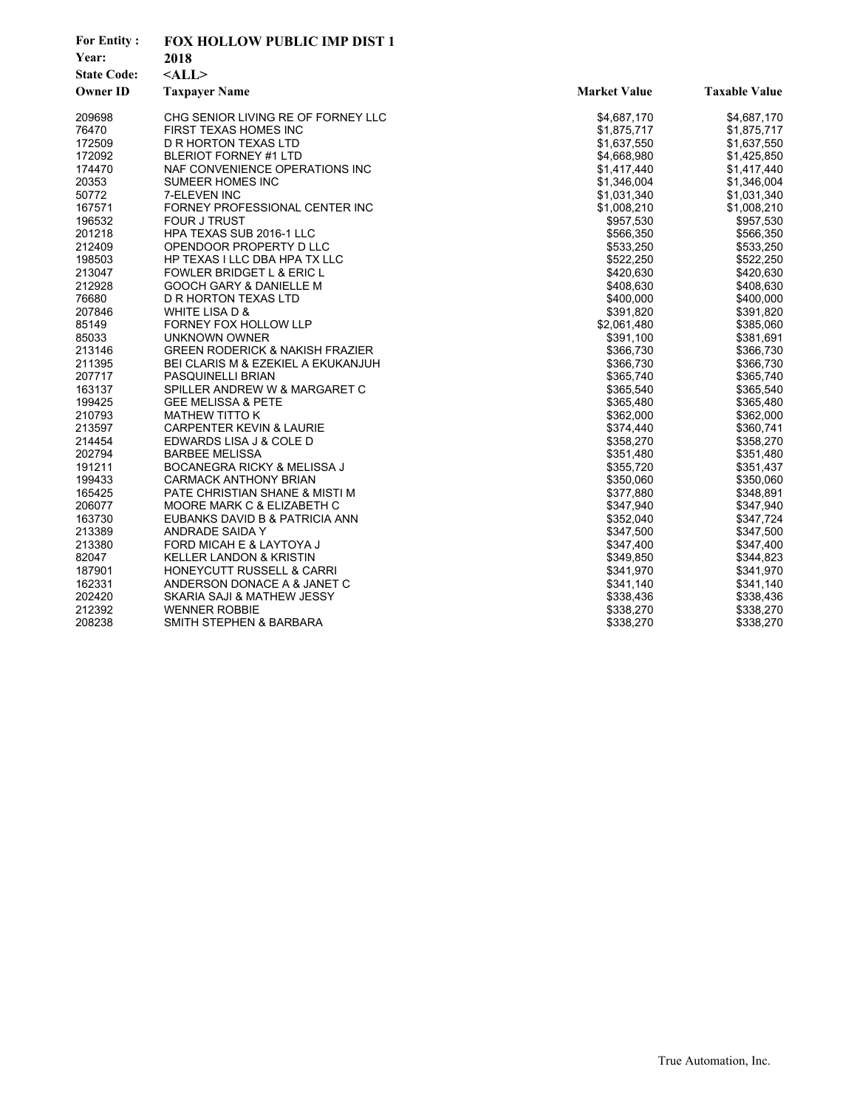| <b>For Entity:</b> | FOX HOLLOW PUBLIC IMP DIST 1               |                     |                      |
|--------------------|--------------------------------------------|---------------------|----------------------|
| Year:              | 2018                                       |                     |                      |
| <b>State Code:</b> | $<$ ALL $>$                                |                     |                      |
| <b>Owner ID</b>    | <b>Taxpayer Name</b>                       | <b>Market Value</b> | <b>Taxable Value</b> |
| 209698             | CHG SENIOR LIVING RE OF FORNEY LLC         | \$4,687,170         | \$4,687,170          |
| 76470              | <b>FIRST TEXAS HOMES INC</b>               | \$1,875,717         | \$1,875,717          |
| 172509             | D R HORTON TEXAS LTD                       | \$1,637,550         | \$1,637,550          |
| 172092             | <b>BLERIOT FORNEY #1 LTD</b>               | \$4,668,980         | \$1,425,850          |
| 174470             | NAF CONVENIENCE OPERATIONS INC             | \$1,417,440         | \$1,417,440          |
| 20353              | <b>SUMEER HOMES INC</b>                    | \$1,346,004         | \$1,346,004          |
| 50772              | <b>7-ELEVEN INC</b>                        | \$1,031,340         | \$1,031,340          |
| 167571             | FORNEY PROFESSIONAL CENTER INC             | \$1,008,210         | \$1,008,210          |
| 196532             | <b>FOUR J TRUST</b>                        | \$957,530           | \$957,530            |
| 201218             | HPA TEXAS SUB 2016-1 LLC                   | \$566,350           | \$566,350            |
| 212409             | OPENDOOR PROPERTY D LLC                    | \$533,250           | \$533,250            |
| 198503             | HP TEXAS I LLC DBA HPA TX LLC              | \$522,250           | \$522,250            |
| 213047             | FOWLER BRIDGET L & ERIC L                  | \$420,630           | \$420,630            |
| 212928             | GOOCH GARY & DANIELLE M                    | \$408,630           | \$408,630            |
| 76680              | D R HORTON TEXAS LTD                       | \$400,000           | \$400,000            |
| 207846             | WHITE LISA D &                             | \$391,820           | \$391,820            |
| 85149              | FORNEY FOX HOLLOW LLP                      | \$2,061,480         | \$385,060            |
| 85033              | UNKNOWN OWNER                              | \$391,100           | \$381,691            |
| 213146             | <b>GREEN RODERICK &amp; NAKISH FRAZIER</b> | \$366,730           | \$366,730            |
| 211395             | BEI CLARIS M & EZEKIEL A EKUKANJUH         | \$366,730           | \$366,730            |
| 207717             | PASQUINELLI BRIAN                          | \$365,740           | \$365,740            |
| 163137             | SPILLER ANDREW W & MARGARET C              | \$365,540           | \$365,540            |
| 199425             | <b>GEE MELISSA &amp; PETE</b>              | \$365,480           | \$365,480            |
| 210793             | <b>MATHEW TITTO K</b>                      | \$362,000           | \$362,000            |
| 213597             | <b>CARPENTER KEVIN &amp; LAURIE</b>        | \$374,440           | \$360,741            |
| 214454             | EDWARDS LISA J & COLE D                    | \$358,270           | \$358,270            |
| 202794             | <b>BARBEE MELISSA</b>                      | \$351,480           | \$351,480            |
| 191211             | BOCANEGRA RICKY & MELISSA J                | \$355,720           | \$351,437            |
| 199433             | <b>CARMACK ANTHONY BRIAN</b>               | \$350,060           | \$350,060            |
| 165425             | PATE CHRISTIAN SHANE & MISTI M             | \$377,880           | \$348,891            |
| 206077             | MOORE MARK C & ELIZABETH C                 | \$347,940           | \$347,940            |
| 163730             | EUBANKS DAVID B & PATRICIA ANN             | \$352,040           | \$347,724            |
| 213389             | ANDRADE SAIDA Y                            | \$347,500           | \$347,500            |
| 213380             | FORD MICAH E & LAYTOYA J                   | \$347,400           | \$347,400            |
| 82047              | <b>KELLER LANDON &amp; KRISTIN</b>         | \$349,850           | \$344,823            |
| 187901             | <b>HONEYCUTT RUSSELL &amp; CARRI</b>       | \$341,970           | \$341,970            |
| 162331             | ANDERSON DONACE A & JANET C                | \$341,140           | \$341,140            |
| 202420             | SKARIA SAJI & MATHEW JESSY                 | \$338,436           | \$338,436            |
| 212392             | <b>WENNER ROBBIE</b>                       | \$338,270           | \$338,270            |
| 208238             | SMITH STEPHEN & BARBARA                    | \$338,270           | \$338,270            |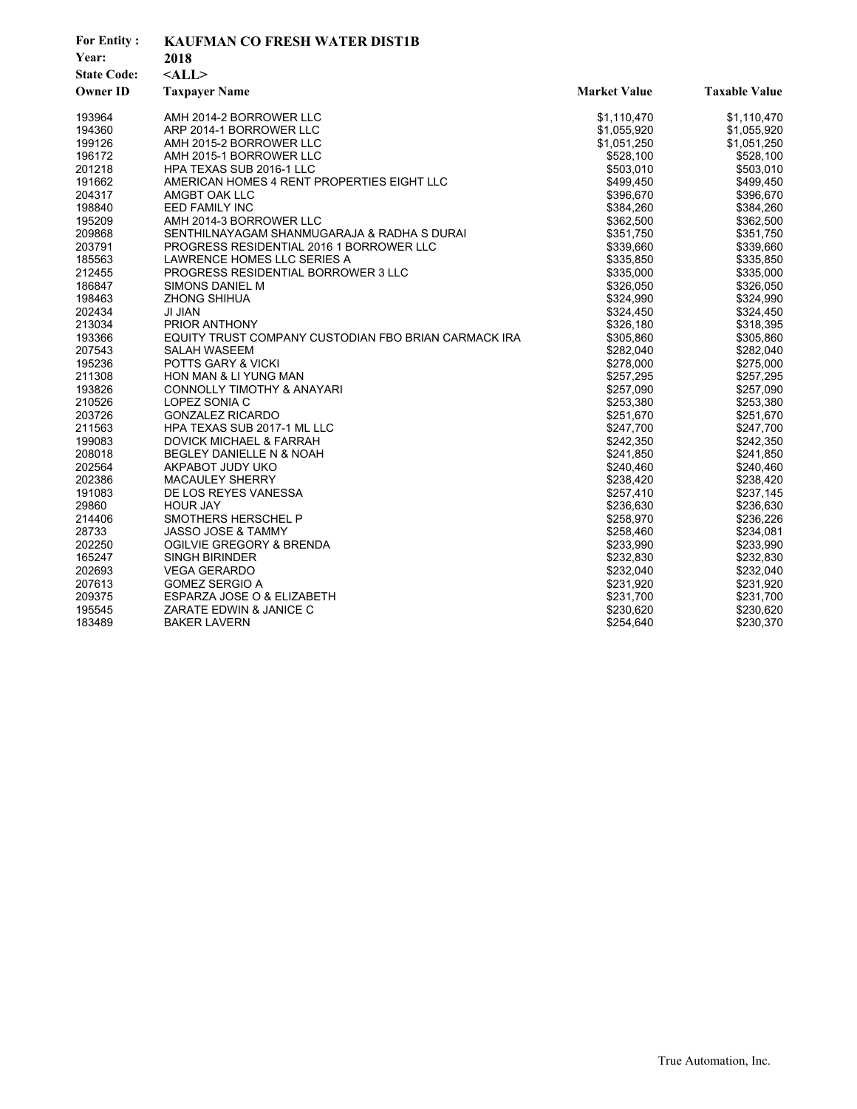| <b>For Entity:</b><br>Year:<br><b>State Code:</b> | <b>KAUFMAN CO FRESH WATER DIST1B</b><br>2018<br>$<$ ALL $>$ |                     |                      |
|---------------------------------------------------|-------------------------------------------------------------|---------------------|----------------------|
| <b>Owner ID</b>                                   | <b>Taxpayer Name</b>                                        | <b>Market Value</b> | <b>Taxable Value</b> |
| 193964                                            | AMH 2014-2 BORROWER LLC                                     | \$1,110,470         | \$1,110,470          |
| 194360                                            | ARP 2014-1 BORROWER LLC                                     | \$1,055,920         | \$1,055,920          |
| 199126                                            | AMH 2015-2 BORROWER LLC                                     | \$1,051,250         | \$1,051,250          |
| 196172                                            | AMH 2015-1 BORROWER LLC                                     | \$528,100           | \$528,100            |
| 201218                                            | <b>HPA TEXAS SUB 2016-1 LLC</b>                             | \$503,010           | \$503,010            |
| 191662                                            | AMERICAN HOMES 4 RENT PROPERTIES EIGHT LLC                  | \$499.450           | \$499,450            |
| 204317                                            | AMGBT OAK LLC                                               | \$396,670           | \$396,670            |
| 198840                                            | <b>EED FAMILY INC</b>                                       | \$384,260           | \$384,260            |
| 195209                                            | AMH 2014-3 BORROWER LLC                                     | \$362,500           | \$362,500            |
| 209868                                            | SENTHILNAYAGAM SHANMUGARAJA & RADHA S DURAI                 | \$351,750           | \$351,750            |
| 203791                                            | PROGRESS RESIDENTIAL 2016 1 BORROWER LLC                    | \$339,660           | \$339,660            |
| 185563                                            | LAWRENCE HOMES LLC SERIES A                                 | \$335,850           | \$335,850            |
| 212455                                            | PROGRESS RESIDENTIAL BORROWER 3 LLC                         | \$335,000           | \$335,000            |
| 186847                                            | SIMONS DANIEL M                                             | \$326,050           | \$326,050            |
| 198463                                            | <b>ZHONG SHIHUA</b>                                         | \$324,990           | \$324,990            |
| 202434                                            | JI JIAN                                                     | \$324,450           | \$324,450            |
| 213034                                            | PRIOR ANTHONY                                               | \$326,180           | \$318,395            |
| 193366                                            | EQUITY TRUST COMPANY CUSTODIAN FBO BRIAN CARMACK IRA        | \$305,860           | \$305,860            |
| 207543                                            | <b>SALAH WASEEM</b>                                         | \$282,040           | \$282,040            |
| 195236                                            | POTTS GARY & VICKI                                          | \$278,000           | \$275,000            |
| 211308                                            | HON MAN & LI YUNG MAN                                       | \$257,295           | \$257,295            |
| 193826                                            | CONNOLLY TIMOTHY & ANAYARI                                  | \$257,090           | \$257,090            |
| 210526                                            | LOPEZ SONIA C                                               | \$253,380           | \$253,380            |
| 203726                                            | <b>GONZALEZ RICARDO</b>                                     | \$251,670           | \$251,670            |
| 211563                                            | HPA TEXAS SUB 2017-1 ML LLC                                 | \$247,700           | \$247,700            |
| 199083                                            | <b>DOVICK MICHAEL &amp; FARRAH</b>                          | \$242,350           | \$242,350            |
| 208018                                            | BEGLEY DANIELLE N & NOAH                                    | \$241,850           | \$241,850            |
| 202564                                            | AKPABOT JUDY UKO                                            | \$240,460           | \$240,460            |
| 202386                                            | <b>MACAULEY SHERRY</b>                                      | \$238,420           | \$238,420            |
| 191083                                            | DE LOS REYES VANESSA                                        | \$257,410           | \$237,145            |
| 29860                                             | <b>HOUR JAY</b>                                             | \$236,630           | \$236,630            |
| 214406                                            | SMOTHERS HERSCHEL P                                         | \$258,970           | \$236,226            |
| 28733                                             | <b>JASSO JOSE &amp; TAMMY</b>                               | \$258,460           | \$234,081            |
| 202250                                            | OGILVIE GREGORY & BRENDA                                    | \$233,990           | \$233,990            |
| 165247                                            | <b>SINGH BIRINDER</b>                                       | \$232,830           | \$232,830            |
| 202693                                            | <b>VEGA GERARDO</b>                                         | \$232,040           | \$232,040            |
| 207613                                            | <b>GOMEZ SERGIO A</b>                                       | \$231,920           | \$231,920            |
| 209375                                            | ESPARZA JOSE O & ELIZABETH                                  | \$231,700           | \$231,700            |
| 195545                                            | ZARATE EDWIN & JANICE C                                     | \$230,620           | \$230,620            |
| 183489                                            | <b>BAKER LAVERN</b>                                         | \$254,640           | \$230,370            |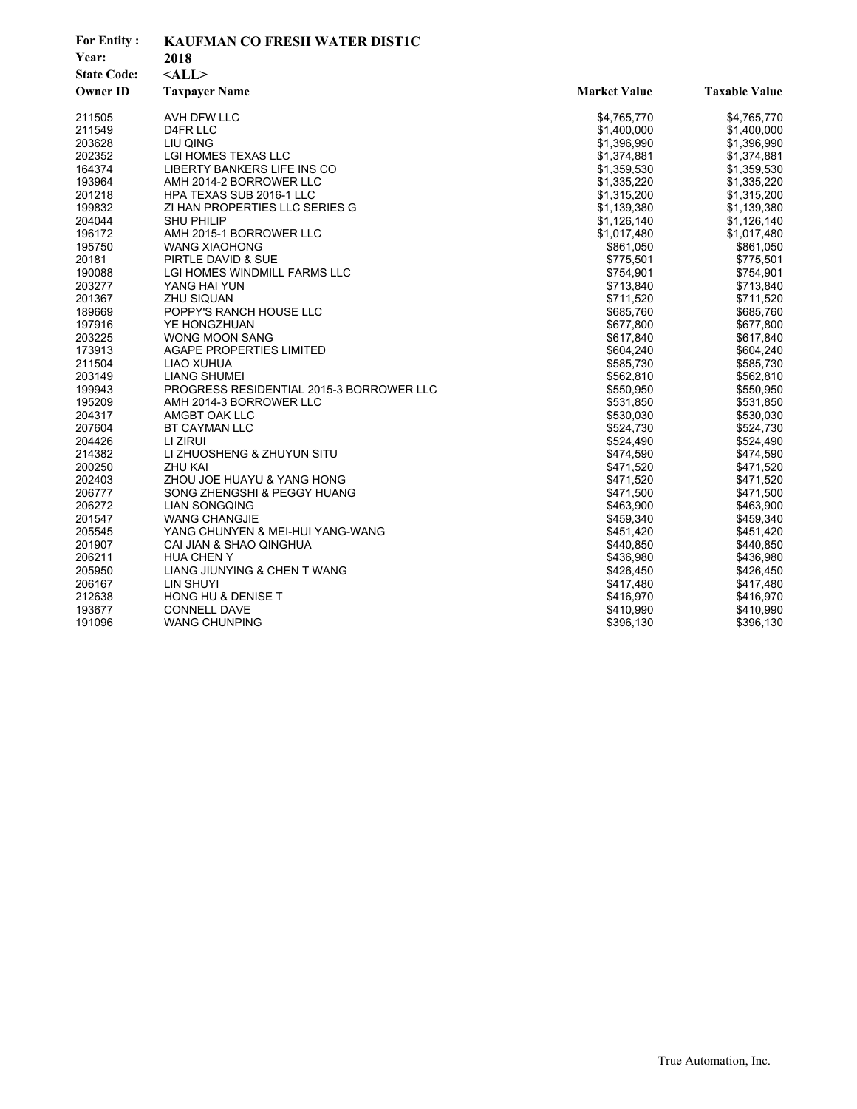| <b>For Entity:</b> | <b>KAUFMAN CO FRESH WATER DIST1C</b>     |                     |                      |
|--------------------|------------------------------------------|---------------------|----------------------|
| Year:              | 2018                                     |                     |                      |
| <b>State Code:</b> | $<$ ALL $>$                              |                     |                      |
| <b>Owner ID</b>    | <b>Taxpayer Name</b>                     | <b>Market Value</b> | <b>Taxable Value</b> |
| 211505             | AVH DFW LLC                              | \$4,765,770         | \$4,765,770          |
| 211549             | D4FR LLC                                 | \$1,400,000         | \$1,400,000          |
| 203628             | LIU QING                                 | \$1,396,990         | \$1,396,990          |
| 202352             | LGI HOMES TEXAS LLC                      | \$1,374,881         | \$1,374,881          |
| 164374             | LIBERTY BANKERS LIFE INS CO              | \$1,359,530         | \$1,359,530          |
| 193964             | AMH 2014-2 BORROWER LLC                  | \$1,335,220         | \$1,335,220          |
| 201218             | <b>HPA TEXAS SUB 2016-1 LLC</b>          | \$1,315,200         | \$1,315,200          |
| 199832             | ZI HAN PROPERTIES LLC SERIES G           | \$1,139,380         | \$1,139,380          |
| 204044             | <b>SHU PHILIP</b>                        | \$1,126,140         | \$1,126,140          |
| 196172             | AMH 2015-1 BORROWER LLC                  | \$1,017,480         | \$1,017,480          |
| 195750             | <b>WANG XIAOHONG</b>                     | \$861,050           | \$861,050            |
| 20181              | PIRTLE DAVID & SUE                       | \$775,501           | \$775,501            |
| 190088             | LGI HOMES WINDMILL FARMS LLC             | \$754,901           | \$754,901            |
| 203277             | YANG HAI YUN                             | \$713,840           | \$713,840            |
| 201367             | <b>ZHU SIQUAN</b>                        | \$711,520           | \$711,520            |
| 189669             | POPPY'S RANCH HOUSE LLC                  | \$685,760           | \$685,760            |
| 197916             | YE HONGZHUAN                             | \$677,800           | \$677,800            |
| 203225             | <b>WONG MOON SANG</b>                    | \$617,840           | \$617,840            |
| 173913             | <b>AGAPE PROPERTIES LIMITED</b>          | \$604,240           | \$604,240            |
| 211504             | LIAO XUHUA                               | \$585,730           | \$585,730            |
| 203149             | <b>LIANG SHUMEI</b>                      | \$562,810           | \$562,810            |
| 199943             | PROGRESS RESIDENTIAL 2015-3 BORROWER LLC | \$550,950           | \$550,950            |
| 195209             | AMH 2014-3 BORROWER LLC                  | \$531,850           | \$531,850            |
| 204317             | AMGBT OAK LLC                            | \$530,030           | \$530,030            |
| 207604             | <b>BT CAYMAN LLC</b>                     | \$524,730           | \$524,730            |
| 204426             | LI ZIRUI                                 | \$524,490           | \$524,490            |
| 214382             | LI ZHUOSHENG & ZHUYUN SITU               | \$474,590           | \$474,590            |
| 200250             | <b>ZHU KAI</b>                           | \$471,520           | \$471,520            |
| 202403             | ZHOU JOE HUAYU & YANG HONG               | \$471,520           | \$471,520            |
| 206777             | SONG ZHENGSHI & PEGGY HUANG              | \$471,500           | \$471,500            |
| 206272             | <b>LIAN SONGQING</b>                     | \$463,900           | \$463,900            |
| 201547             | <b>WANG CHANGJIE</b>                     | \$459,340           | \$459,340            |
| 205545             | YANG CHUNYEN & MEI-HUI YANG-WANG         | \$451,420           | \$451,420            |
| 201907             | CAI JIAN & SHAO QINGHUA                  | \$440,850           | \$440,850            |
| 206211             | <b>HUA CHEN Y</b>                        | \$436,980           | \$436,980            |
| 205950             | LIANG JIUNYING & CHEN T WANG             | \$426,450           | \$426,450            |
| 206167             | LIN SHUYI                                | \$417,480           | \$417,480            |
| 212638             | HONG HU & DENISE T                       | \$416,970           | \$416,970            |
| 193677             | <b>CONNELL DAVE</b>                      | \$410,990           | \$410,990            |
| 191096             | <b>WANG CHUNPING</b>                     | \$396,130           | \$396,130            |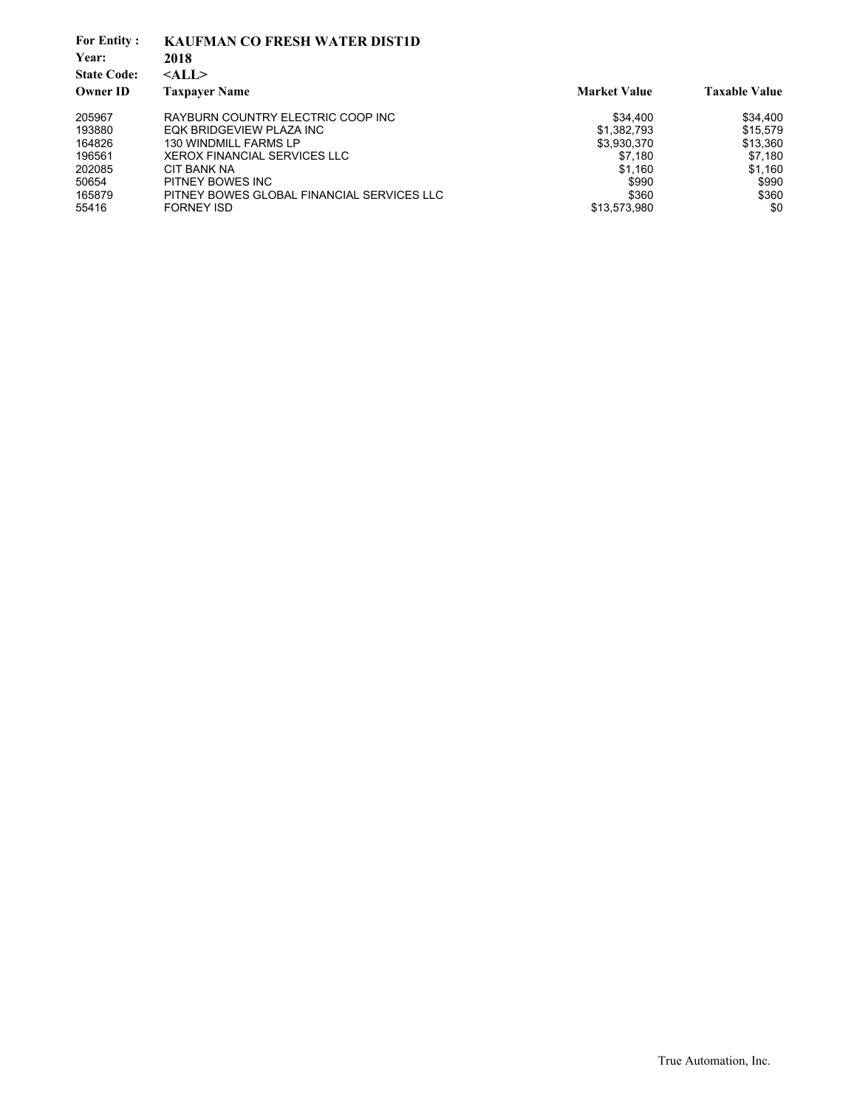| <b>For Entity:</b><br>Year: | <b>KAUFMAN CO FRESH WATER DIST1D</b><br>2018 |                     |                      |
|-----------------------------|----------------------------------------------|---------------------|----------------------|
| <b>State Code:</b>          | $<$ ALL $>$                                  |                     |                      |
| <b>Owner ID</b>             | <b>Taxpayer Name</b>                         | <b>Market Value</b> | <b>Taxable Value</b> |
| 205967                      | RAYBURN COUNTRY ELECTRIC COOP INC            | \$34,400            | \$34,400             |
| 193880                      | EQK BRIDGEVIEW PLAZA INC                     | \$1,382,793         | \$15,579             |
| 164826                      | <b>130 WINDMILL FARMS LP</b>                 | \$3,930,370         | \$13,360             |
| 196561                      | <b>XEROX FINANCIAL SERVICES LLC</b>          | \$7.180             | \$7,180              |
| 202085                      | CIT BANK NA                                  | \$1.160             | \$1,160              |
| 50654                       | PITNEY BOWES INC                             | \$990               | \$990                |
| 165879                      | PITNEY BOWES GLOBAL FINANCIAL SERVICES LLC   | \$360               | \$360                |
| 55416                       | <b>FORNEY ISD</b>                            | \$13,573,980        | \$0                  |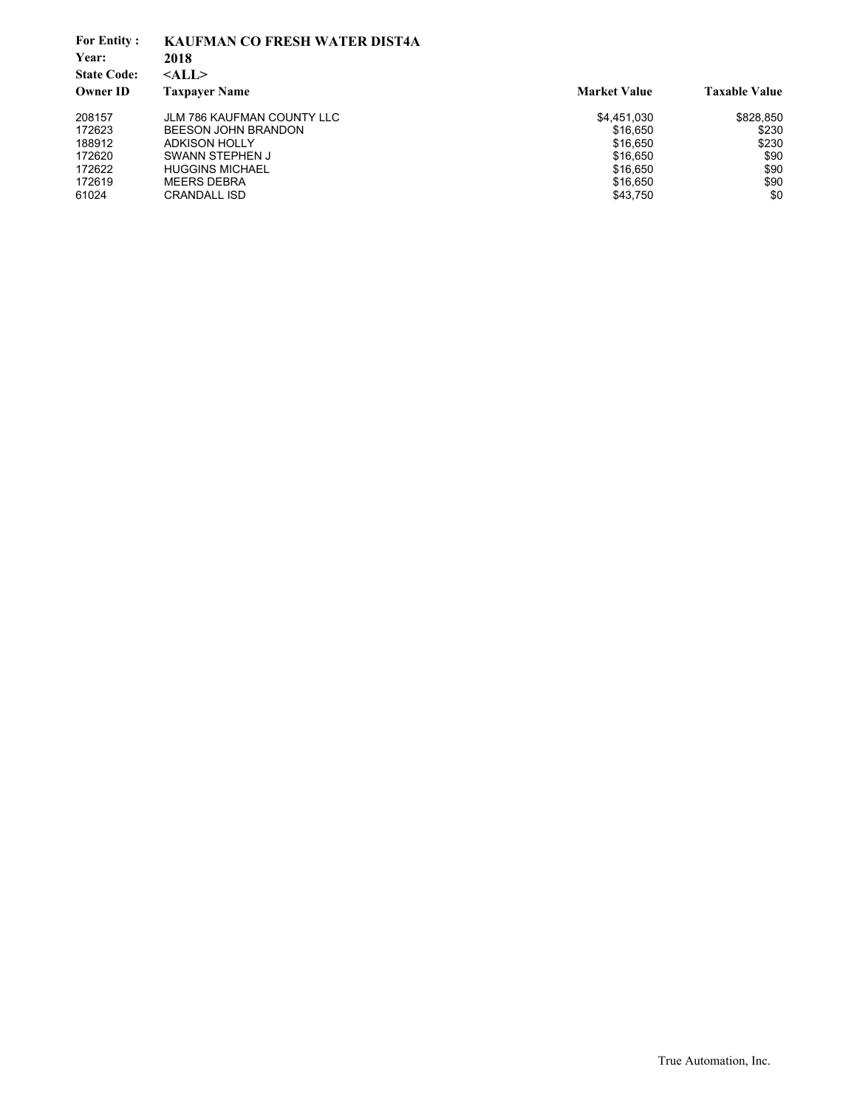| <b>For Entity:</b> | <b>KAUFMAN CO FRESH WATER DIST4A</b> |                     |                      |
|--------------------|--------------------------------------|---------------------|----------------------|
| Year:              | 2018                                 |                     |                      |
| <b>State Code:</b> | $<$ ALL $>$                          |                     |                      |
| <b>Owner ID</b>    | <b>Taxpayer Name</b>                 | <b>Market Value</b> | <b>Taxable Value</b> |
| 208157             | <b>JLM 786 KAUFMAN COUNTY LLC</b>    | \$4,451,030         | \$828,850            |
| 172623             | BEESON JOHN BRANDON                  | \$16.650            | \$230                |
| 188912             | <b>ADKISON HOLLY</b>                 | \$16,650            | \$230                |
| 172620             | SWANN STEPHEN J                      | \$16,650            | \$90                 |
| 172622             | <b>HUGGINS MICHAEL</b>               | \$16,650            | \$90                 |
| 172619             | <b>MEERS DEBRA</b>                   | \$16,650            | \$90                 |
| 61024              | <b>CRANDALL ISD</b>                  | \$43,750            | \$0                  |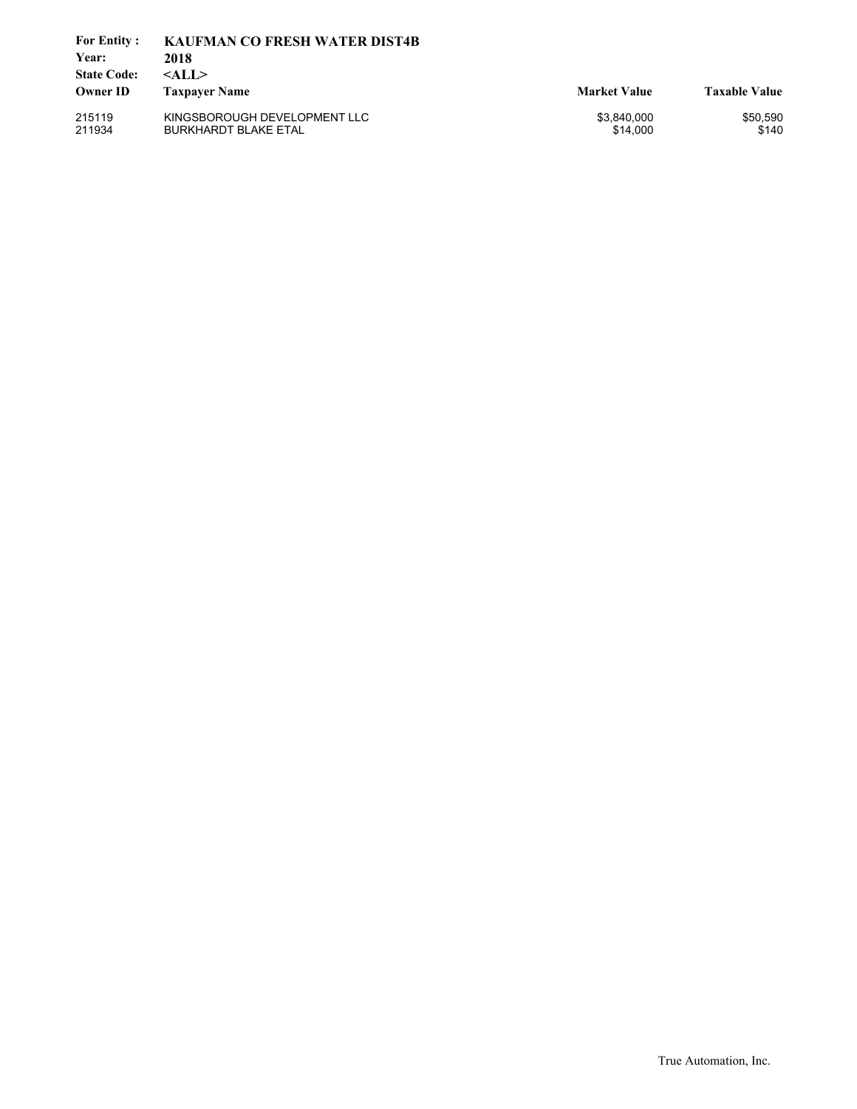| <b>For Entity:</b><br>Year:<br><b>State Code:</b> | <b>KAUFMAN CO FRESH WATER DIST4B</b><br>2018<br>$<$ ALL $>$ |                         |                      |
|---------------------------------------------------|-------------------------------------------------------------|-------------------------|----------------------|
| <b>Owner ID</b>                                   | <b>Taxpayer Name</b>                                        | <b>Market Value</b>     | <b>Taxable Value</b> |
| 215119<br>211934                                  | KINGSBOROUGH DEVELOPMENT LLC<br><b>BURKHARDT BLAKE ETAL</b> | \$3,840,000<br>\$14,000 | \$50,590<br>\$140    |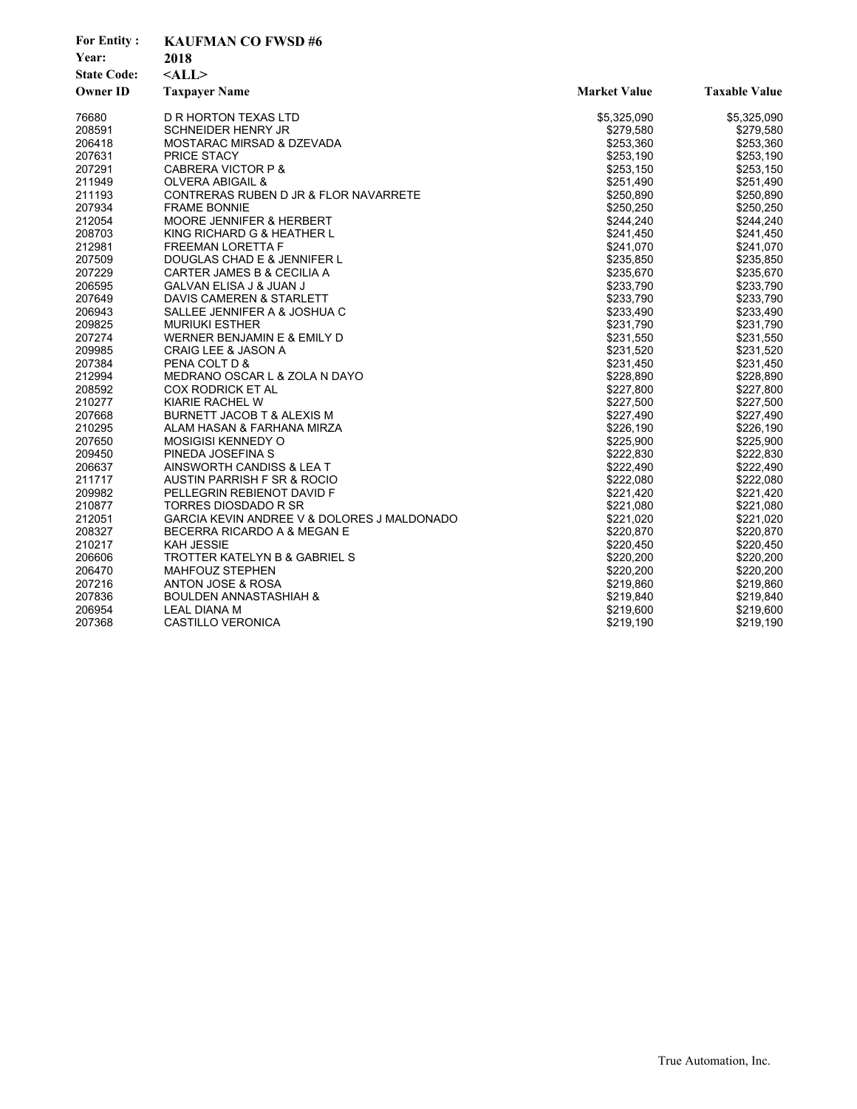| <b>For Entity:</b> | <b>KAUFMAN CO FWSD#6</b>                    |                     |                      |
|--------------------|---------------------------------------------|---------------------|----------------------|
| Year:              | 2018                                        |                     |                      |
| <b>State Code:</b> | $<$ ALL $>$                                 |                     |                      |
| <b>Owner ID</b>    | <b>Taxpayer Name</b>                        | <b>Market Value</b> | <b>Taxable Value</b> |
| 76680              | D R HORTON TEXAS LTD                        | \$5,325,090         | \$5,325,090          |
| 208591             | <b>SCHNEIDER HENRY JR</b>                   | \$279,580           | \$279,580            |
| 206418             | MOSTARAC MIRSAD & DZEVADA                   | \$253,360           | \$253,360            |
| 207631             | <b>PRICE STACY</b>                          | \$253,190           | \$253,190            |
| 207291             | <b>CABRERA VICTOR P &amp;</b>               | \$253,150           | \$253,150            |
| 211949             | OLVERA ABIGAIL &                            | \$251,490           | \$251,490            |
| 211193             | CONTRERAS RUBEN D JR & FLOR NAVARRETE       | \$250,890           | \$250,890            |
| 207934             | <b>FRAME BONNIE</b>                         | \$250,250           | \$250,250            |
| 212054             | <b>MOORE JENNIFER &amp; HERBERT</b>         | \$244,240           | \$244,240            |
| 208703             | KING RICHARD G & HEATHER L                  | \$241,450           | \$241,450            |
| 212981             | <b>FREEMAN LORETTA F</b>                    | \$241,070           | \$241,070            |
| 207509             | DOUGLAS CHAD E & JENNIFER L                 | \$235,850           | \$235,850            |
| 207229             | CARTER JAMES B & CECILIA A                  | \$235,670           | \$235,670            |
| 206595             | GALVAN ELISA J & JUAN J                     | \$233,790           | \$233,790            |
| 207649             | DAVIS CAMEREN & STARLETT                    | \$233,790           | \$233,790            |
| 206943             | SALLEE JENNIFER A & JOSHUA C                | \$233,490           | \$233,490            |
| 209825             | <b>MURIUKI ESTHER</b>                       | \$231,790           | \$231,790            |
| 207274             | WERNER BENJAMIN E & EMILY D                 | \$231,550           | \$231,550            |
| 209985             | <b>CRAIG LEE &amp; JASON A</b>              | \$231,520           | \$231,520            |
| 207384             | PENA COLT D &                               | \$231,450           | \$231,450            |
| 212994             | MEDRANO OSCAR L & ZOLA N DAYO               | \$228,890           | \$228,890            |
| 208592             | <b>COX RODRICK ET AL</b>                    | \$227,800           | \$227,800            |
| 210277             | KIARIE RACHEL W                             | \$227,500           | \$227,500            |
| 207668             | BURNETT JACOB T & ALEXIS M                  | \$227,490           | \$227,490            |
| 210295             | ALAM HASAN & FARHANA MIRZA                  | \$226,190           | \$226,190            |
| 207650             | <b>MOSIGISI KENNEDY O</b>                   | \$225,900           | \$225,900            |
| 209450             | PINEDA JOSEFINA S                           | \$222,830           | \$222,830            |
| 206637             | AINSWORTH CANDISS & LEA T                   | \$222,490           | \$222,490            |
| 211717             | AUSTIN PARRISH F SR & ROCIO                 | \$222,080           | \$222,080            |
| 209982             | PELLEGRIN REBIENOT DAVID F                  | \$221,420           | \$221,420            |
| 210877             | TORRES DIOSDADO R SR                        | \$221,080           | \$221,080            |
| 212051             | GARCIA KEVIN ANDREE V & DOLORES J MALDONADO | \$221,020           | \$221,020            |
| 208327             | BECERRA RICARDO A & MEGAN E                 | \$220,870           | \$220,870            |
| 210217             | <b>KAH JESSIE</b>                           | \$220,450           | \$220,450            |
| 206606             | TROTTER KATELYN B & GABRIEL S               | \$220,200           | \$220,200            |
| 206470             | <b>MAHFOUZ STEPHEN</b>                      | \$220,200           | \$220,200            |
| 207216             | ANTON JOSE & ROSA                           | \$219,860           | \$219,860            |
| 207836             | <b>BOULDEN ANNASTASHIAH &amp;</b>           | \$219,840           | \$219,840            |
| 206954             | <b>LEAL DIANA M</b>                         | \$219,600           | \$219,600            |
| 207368             | CASTILLO VERONICA                           | \$219,190           | \$219,190            |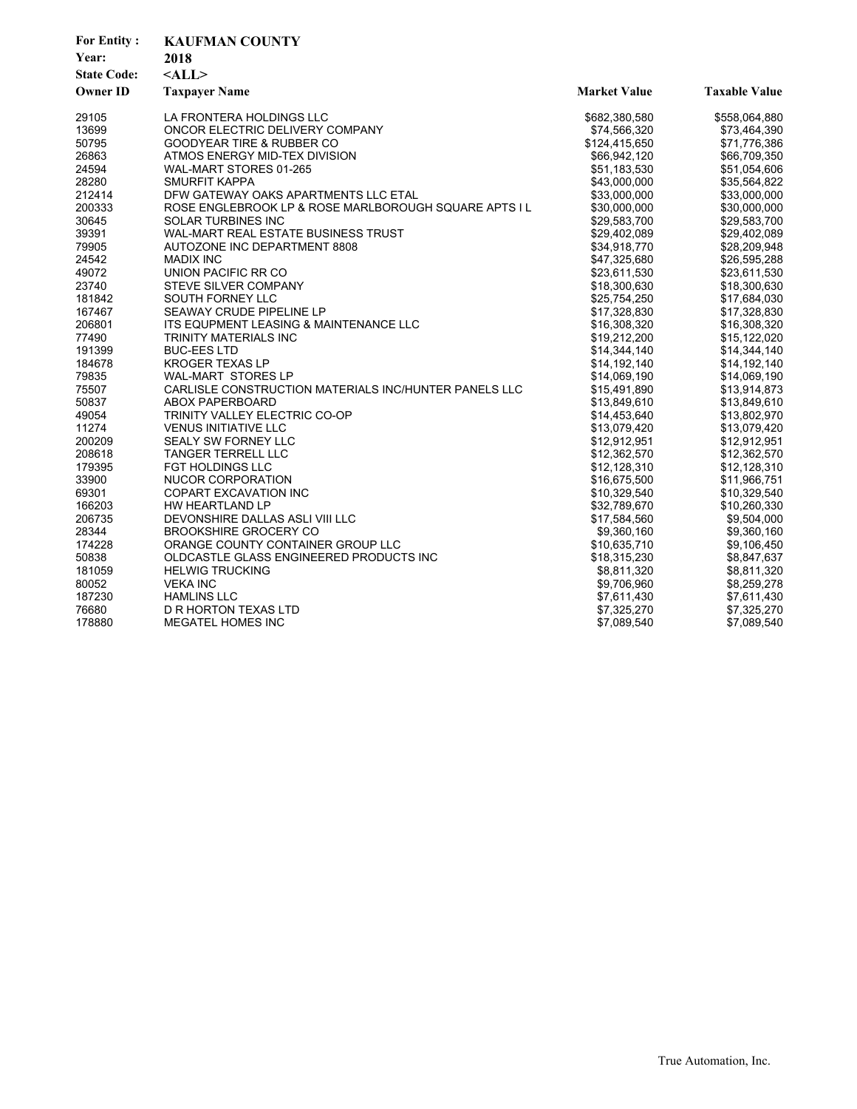| <b>For Entity:</b><br>Year:<br><b>State Code:</b><br><b>Owner ID</b> | <b>KAUFMAN COUNTY</b><br>2018<br>$<$ ALL $>$<br><b>Taxpayer Name</b> | <b>Market Value</b> | <b>Taxable Value</b> |
|----------------------------------------------------------------------|----------------------------------------------------------------------|---------------------|----------------------|
| 29105                                                                | LA FRONTERA HOLDINGS LLC                                             | \$682,380,580       | \$558,064,880        |
| 13699                                                                | ONCOR ELECTRIC DELIVERY COMPANY                                      | \$74,566,320        | \$73,464,390         |
| 50795                                                                | <b>GOODYEAR TIRE &amp; RUBBER CO</b>                                 | \$124,415,650       | \$71,776,386         |
| 26863                                                                | ATMOS ENERGY MID-TEX DIVISION                                        | \$66,942,120        | \$66,709,350         |
| 24594                                                                | WAL-MART STORES 01-265                                               | \$51,183,530        | \$51,054,606         |
| 28280                                                                | <b>SMURFIT KAPPA</b>                                                 | \$43,000,000        | \$35,564,822         |
| 212414                                                               | DFW GATEWAY OAKS APARTMENTS LLC ETAL                                 | \$33,000,000        | \$33,000,000         |
| 200333                                                               | ROSE ENGLEBROOK LP & ROSE MARLBOROUGH SQUARE APTS I L                | \$30,000,000        | \$30,000,000         |
| 30645                                                                | SOLAR TURBINES INC                                                   | \$29,583,700        | \$29,583,700         |
| 39391                                                                | WAL-MART REAL ESTATE BUSINESS TRUST                                  | \$29,402,089        | \$29,402,089         |
| 79905                                                                | AUTOZONE INC DEPARTMENT 8808                                         | \$34.918.770        | \$28,209,948         |
| 24542                                                                | <b>MADIX INC</b>                                                     | \$47,325,680        | \$26,595,288         |
| 49072                                                                | UNION PACIFIC RR CO                                                  | \$23,611,530        | \$23,611,530         |
| 23740                                                                | STEVE SILVER COMPANY                                                 | \$18,300,630        | \$18,300,630         |
| 181842                                                               | <b>SOUTH FORNEY LLC</b>                                              | \$25,754,250        | \$17,684,030         |
| 167467                                                               | SEAWAY CRUDE PIPELINE LP                                             | \$17,328,830        | \$17,328,830         |
| 206801                                                               | ITS EQUPMENT LEASING & MAINTENANCE LLC                               | \$16,308,320        | \$16,308,320         |
| 77490                                                                | TRINITY MATERIALS INC                                                | \$19,212,200        | \$15,122,020         |
| 191399                                                               | <b>BUC-EES LTD</b>                                                   | \$14,344,140        | \$14,344,140         |
| 184678                                                               | <b>KROGER TEXAS LP</b>                                               | \$14,192,140        | \$14,192,140         |
| 79835                                                                | WAL-MART STORES LP                                                   | \$14,069,190        | \$14,069,190         |
| 75507                                                                | CARLISLE CONSTRUCTION MATERIALS INC/HUNTER PANELS LLC                | \$15,491,890        | \$13,914,873         |
| 50837                                                                | <b>ABOX PAPERBOARD</b>                                               | \$13,849,610        | \$13,849,610         |
| 49054                                                                | TRINITY VALLEY ELECTRIC CO-OP                                        | \$14,453,640        | \$13,802,970         |
| 11274                                                                | <b>VENUS INITIATIVE LLC</b>                                          | \$13,079,420        | \$13,079,420         |
| 200209                                                               | SEALY SW FORNEY LLC                                                  | \$12,912,951        | \$12,912,951         |
| 208618                                                               | <b>TANGER TERRELL LLC</b>                                            | \$12,362,570        | \$12,362,570         |
| 179395                                                               | <b>FGT HOLDINGS LLC</b>                                              | \$12,128,310        | \$12,128,310         |
| 33900                                                                | NUCOR CORPORATION                                                    | \$16,675,500        | \$11,966,751         |
| 69301                                                                | <b>COPART EXCAVATION INC</b>                                         | \$10,329,540        | \$10,329,540         |
| 166203                                                               | HW HEARTLAND LP                                                      | \$32,789,670        | \$10,260,330         |
| 206735                                                               | DEVONSHIRE DALLAS ASLI VIII LLC                                      | \$17,584,560        | \$9,504,000          |
| 28344                                                                | <b>BROOKSHIRE GROCERY CO</b>                                         | \$9,360,160         | \$9,360,160          |
| 174228                                                               | ORANGE COUNTY CONTAINER GROUP LLC                                    | \$10,635,710        | \$9,106,450          |
| 50838                                                                | OLDCASTLE GLASS ENGINEERED PRODUCTS INC                              | \$18,315,230        | \$8,847,637          |
| 181059                                                               | <b>HELWIG TRUCKING</b>                                               | \$8,811,320         | \$8,811,320          |
| 80052                                                                | <b>VEKA INC</b>                                                      | \$9,706,960         | \$8,259,278          |
| 187230                                                               | <b>HAMLINS LLC</b>                                                   | \$7,611,430         | \$7,611,430          |
| 76680                                                                | D R HORTON TEXAS LTD                                                 | \$7,325,270         | \$7,325,270          |
| 178880                                                               | MEGATEL HOMES INC                                                    | \$7,089,540         | \$7,089,540          |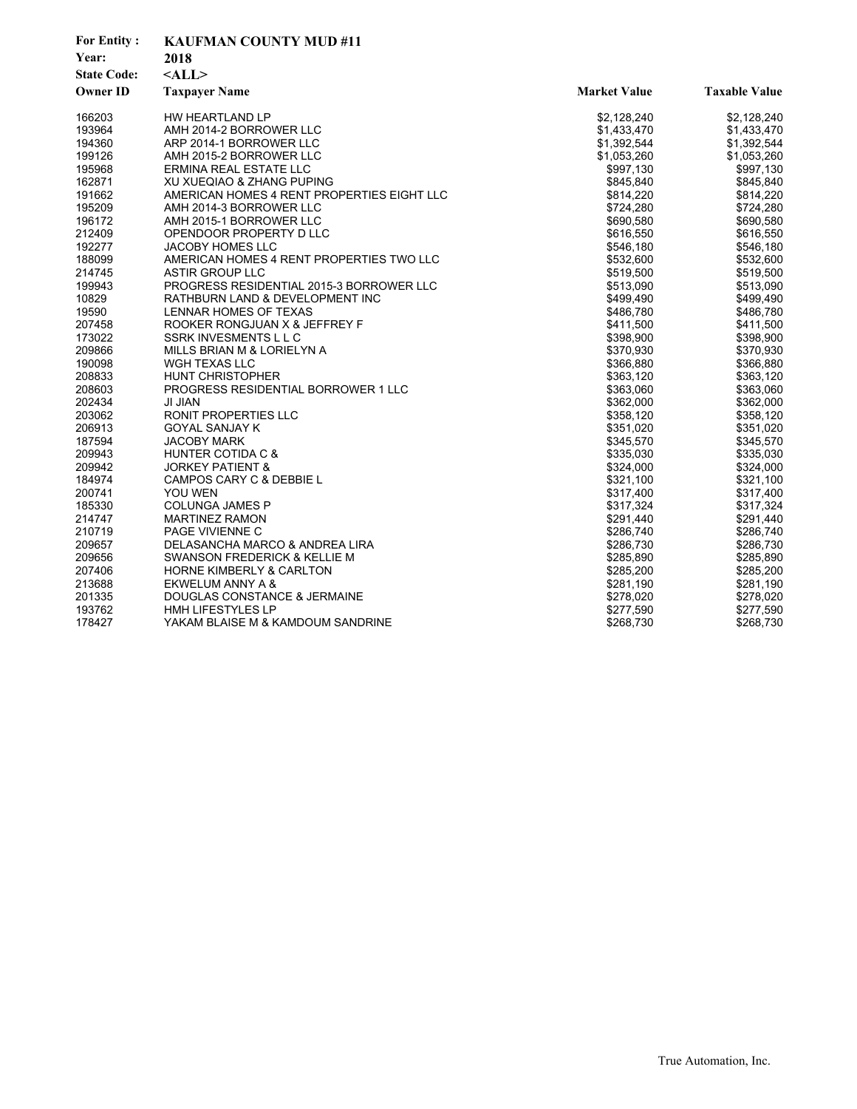| <b>For Entity:</b> | <b>KAUFMAN COUNTY MUD #11</b>              |                     |                      |
|--------------------|--------------------------------------------|---------------------|----------------------|
| Year:              | 2018                                       |                     |                      |
| <b>State Code:</b> | $<$ ALL $>$                                |                     |                      |
| <b>Owner ID</b>    | <b>Taxpayer Name</b>                       | <b>Market Value</b> | <b>Taxable Value</b> |
| 166203             | HW HEARTLAND LP                            | \$2,128,240         | \$2,128,240          |
| 193964             | AMH 2014-2 BORROWER LLC                    | \$1,433,470         | \$1,433,470          |
| 194360             | ARP 2014-1 BORROWER LLC                    | \$1,392,544         | \$1,392,544          |
| 199126             | AMH 2015-2 BORROWER LLC                    | \$1,053,260         | \$1,053,260          |
| 195968             | <b>ERMINA REAL ESTATE LLC</b>              | \$997,130           | \$997,130            |
| 162871             | XU XUEQIAO & ZHANG PUPING                  | \$845,840           | \$845,840            |
| 191662             | AMERICAN HOMES 4 RENT PROPERTIES EIGHT LLC | \$814,220           | \$814,220            |
| 195209             | AMH 2014-3 BORROWER LLC                    | \$724,280           | \$724,280            |
| 196172             | AMH 2015-1 BORROWER LLC                    | \$690,580           | \$690,580            |
| 212409             | OPENDOOR PROPERTY D LLC                    | \$616,550           | \$616,550            |
| 192277             | <b>JACOBY HOMES LLC</b>                    | \$546,180           | \$546,180            |
| 188099             | AMERICAN HOMES 4 RENT PROPERTIES TWO LLC   | \$532,600           | \$532,600            |
| 214745             | <b>ASTIR GROUP LLC</b>                     | \$519,500           | \$519,500            |
| 199943             | PROGRESS RESIDENTIAL 2015-3 BORROWER LLC   | \$513,090           | \$513,090            |
| 10829              | RATHBURN LAND & DEVELOPMENT INC            | \$499,490           | \$499,490            |
| 19590              | LENNAR HOMES OF TEXAS                      | \$486,780           | \$486,780            |
| 207458             | ROOKER RONGJUAN X & JEFFREY F              | \$411,500           | \$411,500            |
| 173022             | SSRK INVESMENTS L L C                      | \$398,900           | \$398,900            |
| 209866             | MILLS BRIAN M & LORIELYN A                 | \$370,930           | \$370,930            |
| 190098             | WGH TEXAS LLC                              | \$366,880           | \$366,880            |
| 208833             | <b>HUNT CHRISTOPHER</b>                    | \$363,120           | \$363,120            |
| 208603             | PROGRESS RESIDENTIAL BORROWER 1 LLC        | \$363,060           | \$363,060            |
| 202434             | JI JIAN                                    | \$362,000           | \$362,000            |
| 203062             | <b>RONIT PROPERTIES LLC</b>                | \$358,120           | \$358,120            |
| 206913             | <b>GOYAL SANJAY K</b>                      | \$351,020           | \$351,020            |
| 187594             | <b>JACOBY MARK</b>                         | \$345,570           | \$345,570            |
| 209943             | <b>HUNTER COTIDA C &amp;</b>               | \$335,030           | \$335,030            |
| 209942             | <b>JORKEY PATIENT &amp;</b>                | \$324,000           | \$324,000            |
| 184974             | CAMPOS CARY C & DEBBIE L                   | \$321,100           | \$321,100            |
| 200741             | <b>YOU WEN</b>                             | \$317,400           | \$317,400            |
| 185330             | <b>COLUNGA JAMES P</b>                     | \$317,324           | \$317,324            |
| 214747             | <b>MARTINEZ RAMON</b>                      | \$291,440           | \$291,440            |
| 210719             | <b>PAGE VIVIENNE C</b>                     | \$286,740           | \$286,740            |
| 209657             | DELASANCHA MARCO & ANDREA LIRA             | \$286,730           | \$286,730            |
| 209656             | SWANSON FREDERICK & KELLIE M               | \$285,890           | \$285,890            |
| 207406             | <b>HORNE KIMBERLY &amp; CARLTON</b>        | \$285,200           | \$285,200            |
| 213688             | EKWELUM ANNY A &                           | \$281,190           | \$281,190            |
| 201335             | DOUGLAS CONSTANCE & JERMAINE               | \$278,020           | \$278,020            |
| 193762             | <b>HMH LIFESTYLES LP</b>                   | \$277,590           | \$277,590            |
| 178427             | YAKAM BLAISE M & KAMDOUM SANDRINE          | \$268,730           | \$268,730            |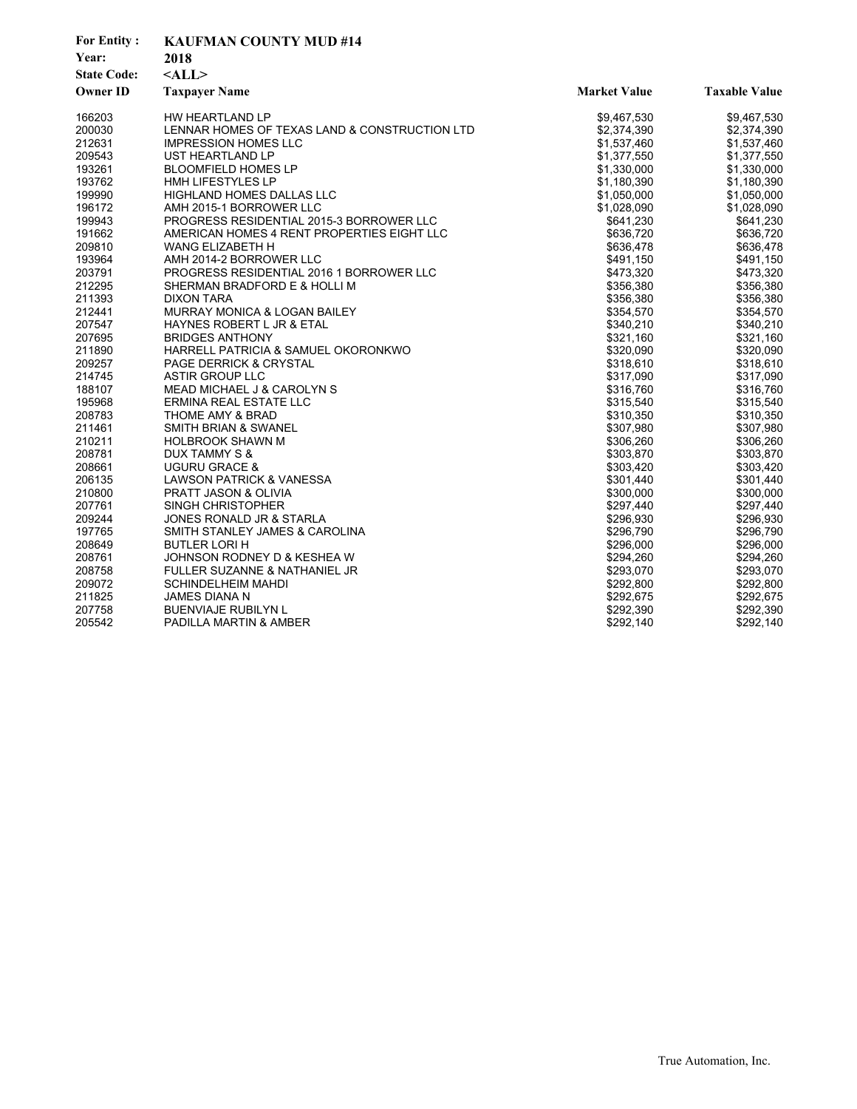| <b>For Entity:</b> | <b>KAUFMAN COUNTY MUD #14</b>                 |                     |                      |  |
|--------------------|-----------------------------------------------|---------------------|----------------------|--|
| Year:              | 2018                                          |                     |                      |  |
| <b>State Code:</b> | $<$ ALL $>$                                   |                     |                      |  |
| <b>Owner ID</b>    | <b>Taxpayer Name</b>                          | <b>Market Value</b> | <b>Taxable Value</b> |  |
| 166203             | HW HEARTLAND LP                               | \$9,467,530         | \$9,467,530          |  |
| 200030             | LENNAR HOMES OF TEXAS LAND & CONSTRUCTION LTD | \$2,374,390         | \$2,374,390          |  |
| 212631             | <b>IMPRESSION HOMES LLC</b>                   | \$1,537,460         | \$1,537,460          |  |
| 209543             | UST HEARTLAND LP                              | \$1,377,550         | \$1,377,550          |  |
| 193261             | <b>BLOOMFIELD HOMES LP</b>                    | \$1,330,000         | \$1,330,000          |  |
| 193762             | <b>HMH LIFESTYLES LP</b>                      | \$1,180,390         | \$1,180,390          |  |
| 199990             | HIGHLAND HOMES DALLAS LLC                     | \$1,050,000         | \$1,050,000          |  |
| 196172             | AMH 2015-1 BORROWER LLC                       | \$1,028,090         | \$1,028,090          |  |
| 199943             | PROGRESS RESIDENTIAL 2015-3 BORROWER LLC      | \$641,230           | \$641,230            |  |
| 191662             | AMERICAN HOMES 4 RENT PROPERTIES EIGHT LLC    | \$636,720           | \$636,720            |  |
| 209810             | <b>WANG ELIZABETH H</b>                       | \$636,478           | \$636,478            |  |
| 193964             | AMH 2014-2 BORROWER LLC                       | \$491,150           | \$491,150            |  |
| 203791             | PROGRESS RESIDENTIAL 2016 1 BORROWER LLC      | \$473,320           | \$473,320            |  |
| 212295             | SHERMAN BRADFORD E & HOLLI M                  | \$356,380           | \$356,380            |  |
| 211393             | <b>DIXON TARA</b>                             | \$356,380           | \$356,380            |  |
| 212441             | MURRAY MONICA & LOGAN BAILEY                  | \$354,570           | \$354,570            |  |
| 207547             | HAYNES ROBERT L JR & ETAL                     | \$340,210           | \$340,210            |  |
| 207695             | <b>BRIDGES ANTHONY</b>                        | \$321,160           | \$321,160            |  |
| 211890             | HARRELL PATRICIA & SAMUEL OKORONKWO           | \$320,090           | \$320,090            |  |
| 209257             | <b>PAGE DERRICK &amp; CRYSTAL</b>             | \$318,610           | \$318,610            |  |
| 214745             | <b>ASTIR GROUP LLC</b>                        | \$317,090           | \$317,090            |  |
| 188107             | MEAD MICHAEL J & CAROLYN S                    | \$316,760           | \$316,760            |  |
| 195968             | ERMINA REAL ESTATE LLC                        | \$315,540           | \$315,540            |  |
| 208783             | THOME AMY & BRAD                              | \$310,350           | \$310,350            |  |
| 211461             | SMITH BRIAN & SWANEL                          | \$307,980           | \$307,980            |  |
| 210211             | <b>HOLBROOK SHAWN M</b>                       | \$306,260           | \$306,260            |  |
| 208781             | DUX TAMMY S &                                 | \$303,870           | \$303,870            |  |
| 208661             | <b>UGURU GRACE &amp;</b>                      | \$303,420           | \$303,420            |  |
| 206135             | LAWSON PATRICK & VANESSA                      | \$301,440           | \$301,440            |  |
| 210800             | <b>PRATT JASON &amp; OLIVIA</b>               | \$300,000           | \$300,000            |  |
| 207761             | <b>SINGH CHRISTOPHER</b>                      | \$297,440           | \$297,440            |  |
| 209244             | JONES RONALD JR & STARLA                      | \$296,930           | \$296,930            |  |
| 197765             | SMITH STANLEY JAMES & CAROLINA                | \$296,790           | \$296,790            |  |
| 208649             | <b>BUTLER LORI H</b>                          | \$296,000           | \$296,000            |  |
| 208761             | JOHNSON RODNEY D & KESHEA W                   | \$294,260           | \$294,260            |  |
| 208758             | FULLER SUZANNE & NATHANIEL JR                 | \$293,070           | \$293,070            |  |
| 209072             | <b>SCHINDELHEIM MAHDI</b>                     | \$292,800           | \$292,800            |  |
| 211825             | JAMES DIANA N                                 | \$292,675           | \$292,675            |  |
| 207758             | <b>BUENVIAJE RUBILYN L</b>                    | \$292,390           | \$292,390            |  |
| 205542             | PADILLA MARTIN & AMBER                        | \$292,140           | \$292,140            |  |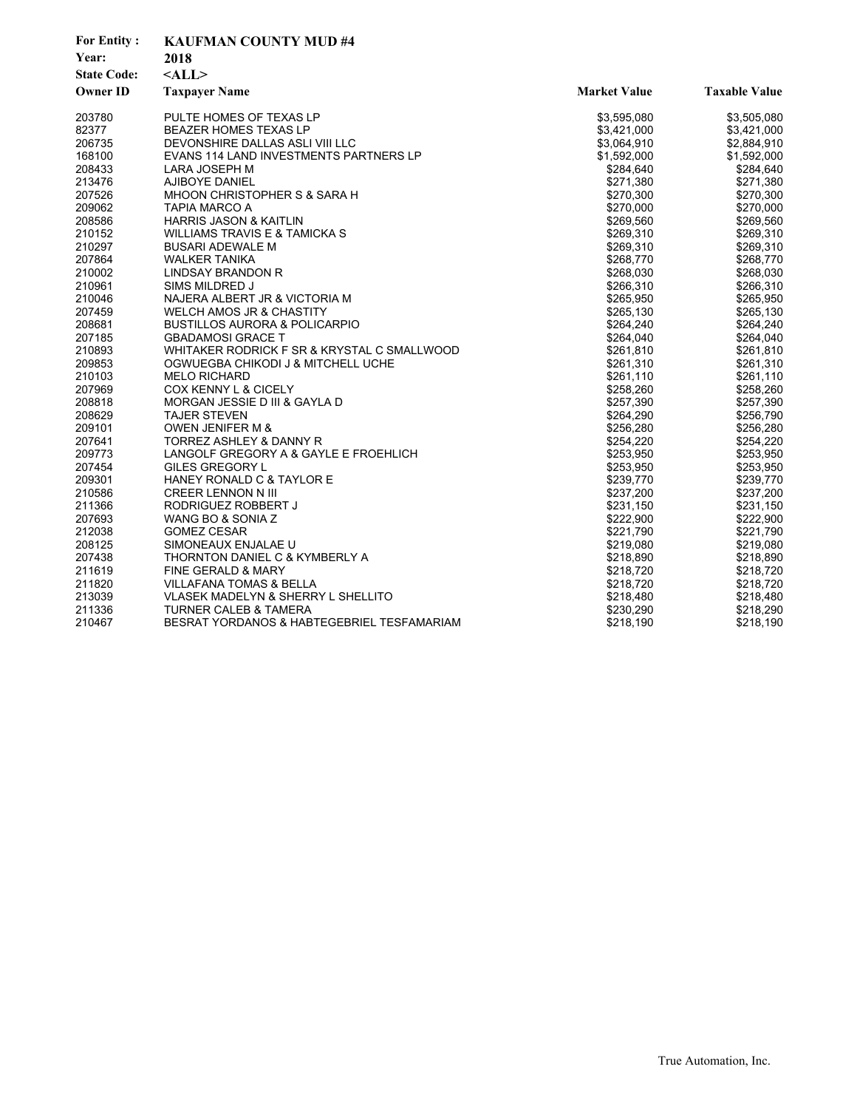| <b>For Entity:</b> | <b>KAUFMAN COUNTY MUD #4</b>                |                     |                      |
|--------------------|---------------------------------------------|---------------------|----------------------|
| Year:              | 2018                                        |                     |                      |
| <b>State Code:</b> | $<$ ALL $>$                                 |                     |                      |
| <b>Owner ID</b>    | <b>Taxpayer Name</b>                        | <b>Market Value</b> | <b>Taxable Value</b> |
| 203780             | PULTE HOMES OF TEXAS LP                     | \$3,595,080         | \$3,505,080          |
| 82377              | <b>BEAZER HOMES TEXAS LP</b>                | \$3,421,000         | \$3,421,000          |
| 206735             | DEVONSHIRE DALLAS ASLI VIII LLC             | \$3,064,910         | \$2,884,910          |
| 168100             | EVANS 114 LAND INVESTMENTS PARTNERS LP      | \$1,592,000         | \$1,592,000          |
| 208433             | LARA JOSEPH M                               | \$284,640           | \$284,640            |
| 213476             | AJIBOYE DANIEL                              | \$271,380           | \$271,380            |
| 207526             | MHOON CHRISTOPHER S & SARA H                | \$270,300           | \$270,300            |
| 209062             | TAPIA MARCO A                               | \$270,000           | \$270,000            |
| 208586             | HARRIS JASON & KAITLIN                      | \$269,560           | \$269,560            |
| 210152             | <b>WILLIAMS TRAVIS E &amp; TAMICKA S</b>    | \$269,310           | \$269,310            |
| 210297             | <b>BUSARI ADEWALE M</b>                     | \$269,310           | \$269,310            |
| 207864             | <b>WALKER TANIKA</b>                        | \$268,770           | \$268,770            |
| 210002             | <b>LINDSAY BRANDON R</b>                    | \$268,030           | \$268,030            |
| 210961             | SIMS MILDRED J                              | \$266,310           | \$266,310            |
| 210046             | NAJERA ALBERT JR & VICTORIA M               | \$265,950           | \$265,950            |
| 207459             | WELCH AMOS JR & CHASTITY                    | \$265,130           | \$265,130            |
| 208681             | <b>BUSTILLOS AURORA &amp; POLICARPIO</b>    | \$264,240           | \$264,240            |
| 207185             | <b>GBADAMOSI GRACE T</b>                    | \$264,040           | \$264,040            |
| 210893             | WHITAKER RODRICK F SR & KRYSTAL C SMALLWOOD | \$261,810           | \$261,810            |
| 209853             | OGWUEGBA CHIKODI J & MITCHELL UCHE          | \$261,310           | \$261,310            |
| 210103             | <b>MELO RICHARD</b>                         | \$261,110           | \$261,110            |
| 207969             | COX KENNY L & CICELY                        | \$258,260           | \$258,260            |
| 208818             | MORGAN JESSIE D III & GAYLA D               | \$257,390           | \$257,390            |
| 208629             | <b>TAJER STEVEN</b>                         | \$264,290           | \$256,790            |
| 209101             | <b>OWEN JENIFER M &amp;</b>                 | \$256,280           | \$256,280            |
| 207641             | TORREZ ASHLEY & DANNY R                     | \$254,220           | \$254,220            |
| 209773             | LANGOLF GREGORY A & GAYLE E FROEHLICH       | \$253,950           | \$253,950            |
| 207454             | GILES GREGORY L                             | \$253,950           | \$253,950            |
| 209301             | HANEY RONALD C & TAYLOR E                   | \$239,770           | \$239,770            |
| 210586             | CREER LENNON N III                          | \$237,200           | \$237,200            |
| 211366             | RODRIGUEZ ROBBERT J                         | \$231,150           | \$231,150            |
| 207693             | WANG BO & SONIA Z                           | \$222,900           | \$222,900            |
| 212038             | <b>GOMEZ CESAR</b>                          | \$221,790           | \$221,790            |
| 208125             | SIMONEAUX ENJALAE U                         | \$219,080           | \$219,080            |
| 207438             | THORNTON DANIEL C & KYMBERLY A              | \$218,890           | \$218,890            |
| 211619             | FINE GERALD & MARY                          | \$218,720           | \$218,720            |
| 211820             | <b>VILLAFANA TOMAS &amp; BELLA</b>          | \$218,720           | \$218,720            |
| 213039             | VLASEK MADELYN & SHERRY L SHELLITO          | \$218,480           | \$218,480            |
| 211336             | <b>TURNER CALEB &amp; TAMERA</b>            | \$230,290           | \$218,290            |
| 210467             | BESRAT YORDANOS & HABTEGEBRIEL TESFAMARIAM  | \$218,190           | \$218,190            |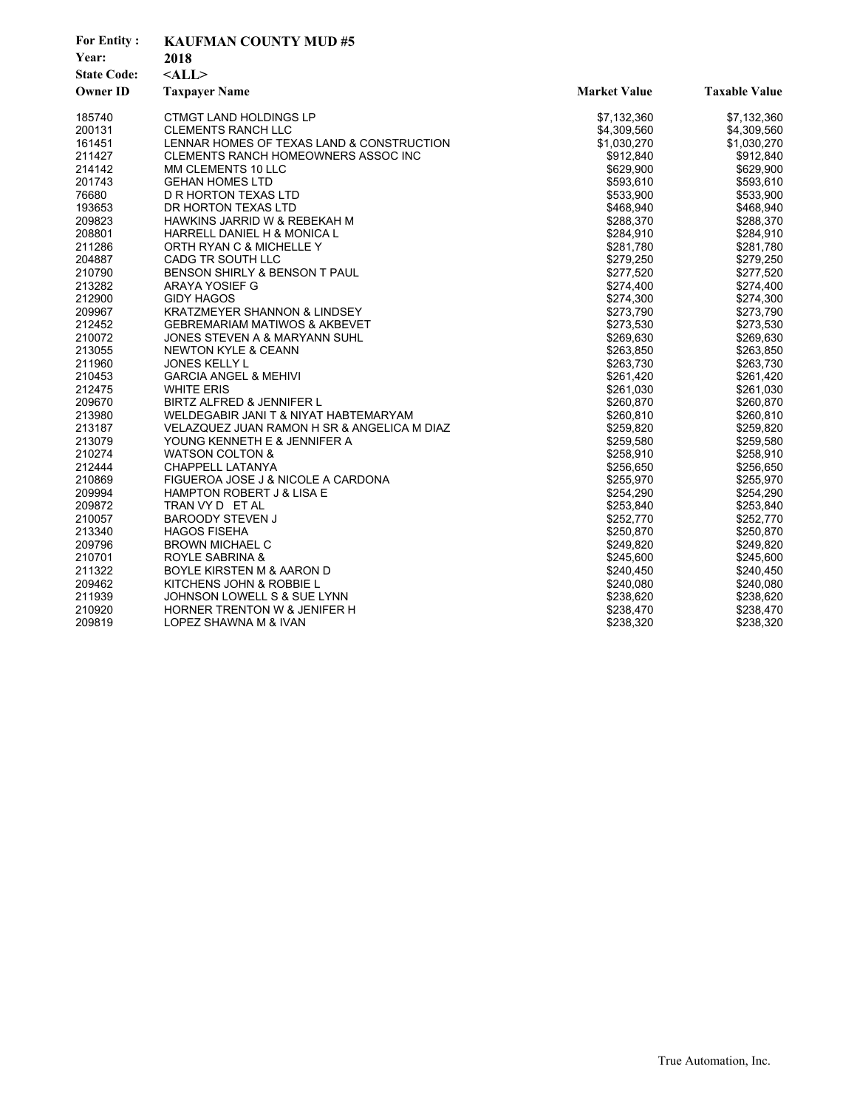| <b>For Entity:</b> | <b>KAUFMAN COUNTY MUD#5</b>                 |                     |                      |  |
|--------------------|---------------------------------------------|---------------------|----------------------|--|
| Year:              | 2018                                        |                     |                      |  |
| <b>State Code:</b> | $<$ ALL>                                    |                     |                      |  |
| <b>Owner ID</b>    | <b>Taxpayer Name</b>                        | <b>Market Value</b> | <b>Taxable Value</b> |  |
| 185740             | <b>CTMGT LAND HOLDINGS LP</b>               | \$7,132,360         | \$7,132,360          |  |
| 200131             | <b>CLEMENTS RANCH LLC</b>                   | \$4,309,560         | \$4,309,560          |  |
| 161451             | LENNAR HOMES OF TEXAS LAND & CONSTRUCTION   | \$1,030,270         | \$1,030,270          |  |
| 211427             | CLEMENTS RANCH HOMEOWNERS ASSOC INC         | \$912,840           | \$912,840            |  |
| 214142             | MM CLEMENTS 10 LLC                          | \$629,900           | \$629,900            |  |
| 201743             | <b>GEHAN HOMES LTD</b>                      | \$593,610           | \$593,610            |  |
| 76680              | D R HORTON TEXAS LTD                        | \$533,900           | \$533,900            |  |
| 193653             | DR HORTON TEXAS LTD                         | \$468,940           | \$468,940            |  |
| 209823             | HAWKINS JARRID W & REBEKAH M                | \$288,370           | \$288,370            |  |
| 208801             | HARRELL DANIEL H & MONICA L                 | \$284,910           | \$284,910            |  |
| 211286             | ORTH RYAN C & MICHELLE Y                    | \$281,780           | \$281,780            |  |
| 204887             | CADG TR SOUTH LLC                           | \$279,250           | \$279,250            |  |
| 210790             | BENSON SHIRLY & BENSON T PAUL               | \$277,520           | \$277,520            |  |
| 213282             | ARAYA YOSIEF G                              | \$274,400           | \$274,400            |  |
| 212900             | <b>GIDY HAGOS</b>                           | \$274,300           | \$274,300            |  |
| 209967             | <b>KRATZMEYER SHANNON &amp; LINDSEY</b>     | \$273,790           | \$273,790            |  |
| 212452             | <b>GEBREMARIAM MATIWOS &amp; AKBEVET</b>    | \$273,530           | \$273,530            |  |
| 210072             | JONES STEVEN A & MARYANN SUHL               | \$269,630           | \$269,630            |  |
| 213055             | <b>NEWTON KYLE &amp; CEANN</b>              | \$263,850           | \$263,850            |  |
| 211960             | <b>JONES KELLY L</b>                        | \$263,730           | \$263,730            |  |
| 210453             | <b>GARCIA ANGEL &amp; MEHIVI</b>            | \$261,420           | \$261,420            |  |
| 212475             | <b>WHITE ERIS</b>                           | \$261,030           | \$261,030            |  |
| 209670             | BIRTZ ALFRED & JENNIFER L                   | \$260,870           | \$260,870            |  |
| 213980             | WELDEGABIR JANI T & NIYAT HABTEMARYAM       | \$260,810           | \$260,810            |  |
| 213187             | VELAZQUEZ JUAN RAMON H SR & ANGELICA M DIAZ | \$259,820           | \$259,820            |  |
| 213079             | YOUNG KENNETH E & JENNIFER A                | \$259,580           | \$259,580            |  |
| 210274             | WATSON COLTON &                             | \$258,910           | \$258,910            |  |
| 212444             | CHAPPELL LATANYA                            | \$256,650           | \$256,650            |  |
| 210869             | FIGUEROA JOSE J & NICOLE A CARDONA          | \$255,970           | \$255,970            |  |
| 209994             | HAMPTON ROBERT J & LISA E                   | \$254,290           | \$254,290            |  |
| 209872             | TRAN VY D ET AL                             | \$253,840           | \$253,840            |  |
| 210057             | <b>BAROODY STEVEN J</b>                     | \$252,770           | \$252,770            |  |
| 213340             | <b>HAGOS FISEHA</b>                         | \$250,870           | \$250,870            |  |
| 209796             | <b>BROWN MICHAEL C</b>                      | \$249,820           | \$249,820            |  |
| 210701             | ROYLE SABRINA &                             | \$245,600           | \$245,600            |  |
| 211322             | BOYLE KIRSTEN M & AARON D                   | \$240,450           | \$240,450            |  |
| 209462             | KITCHENS JOHN & ROBBIE L                    | \$240,080           | \$240,080            |  |
| 211939             | JOHNSON LOWELL S & SUE LYNN                 | \$238,620           | \$238,620            |  |
| 210920             | HORNER TRENTON W & JENIFER H                | \$238,470           | \$238,470            |  |
| 209819             | LOPEZ SHAWNA M & IVAN                       | \$238,320           | \$238,320            |  |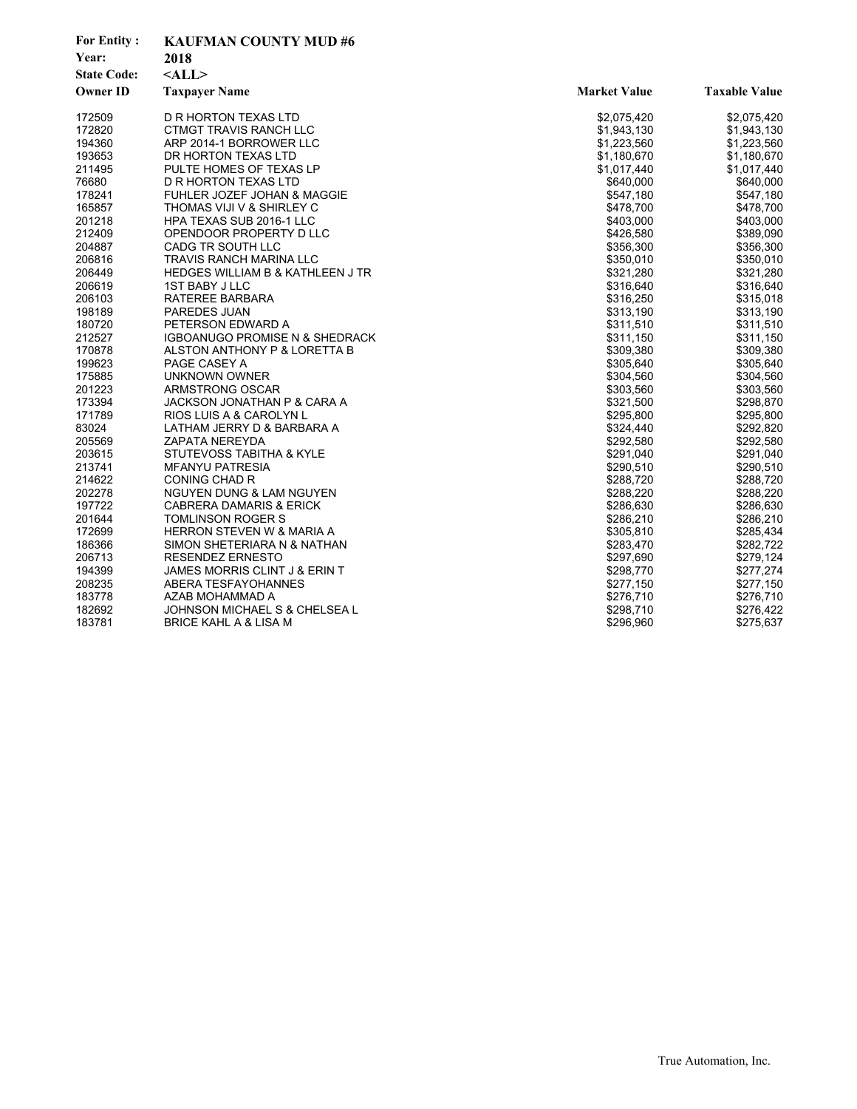| <b>For Entity:</b> | <b>KAUFMAN COUNTY MUD#6</b>               |                     |                      |  |
|--------------------|-------------------------------------------|---------------------|----------------------|--|
| Year:              | 2018                                      |                     |                      |  |
| <b>State Code:</b> | $<$ ALL $>$                               |                     |                      |  |
| <b>Owner ID</b>    | <b>Taxpayer Name</b>                      | <b>Market Value</b> | <b>Taxable Value</b> |  |
| 172509             | D R HORTON TEXAS LTD                      | \$2,075,420         | \$2,075,420          |  |
| 172820             | CTMGT TRAVIS RANCH LLC                    | \$1,943,130         | \$1,943,130          |  |
| 194360             | ARP 2014-1 BORROWER LLC                   | \$1,223,560         | \$1,223,560          |  |
| 193653             | DR HORTON TEXAS LTD                       | \$1,180,670         | \$1,180,670          |  |
| 211495             | PULTE HOMES OF TEXAS LP                   | \$1,017,440         | \$1,017,440          |  |
| 76680              | D R HORTON TEXAS LTD                      | \$640.000           | \$640,000            |  |
| 178241             | FUHLER JOZEF JOHAN & MAGGIE               | \$547,180           | \$547,180            |  |
| 165857             | THOMAS VIJI V & SHIRLEY C                 | \$478,700           | \$478,700            |  |
| 201218             | HPA TEXAS SUB 2016-1 LLC                  | \$403,000           | \$403,000            |  |
| 212409             | OPENDOOR PROPERTY D LLC                   | \$426,580           | \$389,090            |  |
| 204887             | CADG TR SOUTH LLC                         | \$356,300           | \$356,300            |  |
| 206816             | TRAVIS RANCH MARINA LLC                   | \$350,010           | \$350,010            |  |
| 206449             | HEDGES WILLIAM B & KATHLEEN J TR          | \$321,280           | \$321,280            |  |
| 206619             | <b>1ST BABY J LLC</b>                     | \$316,640           | \$316,640            |  |
| 206103             | RATEREE BARBARA                           | \$316,250           | \$315,018            |  |
| 198189             | PAREDES JUAN                              | \$313,190           | \$313,190            |  |
| 180720             | PETERSON EDWARD A                         | \$311,510           | \$311,510            |  |
| 212527             | <b>IGBOANUGO PROMISE N &amp; SHEDRACK</b> | \$311,150           | \$311,150            |  |
| 170878             | ALSTON ANTHONY P & LORETTA B              | \$309,380           | \$309,380            |  |
| 199623             | PAGE CASEY A                              | \$305,640           | \$305,640            |  |
| 175885             | <b>UNKNOWN OWNER</b>                      | \$304,560           | \$304,560            |  |
| 201223             | ARMSTRONG OSCAR                           | \$303,560           | \$303,560            |  |
| 173394             | JACKSON JONATHAN P & CARA A               | \$321,500           | \$298,870            |  |
| 171789             | RIOS LUIS A & CAROLYN L                   | \$295,800           | \$295,800            |  |
| 83024              | LATHAM JERRY D & BARBARA A                | \$324,440           | \$292,820            |  |
| 205569             | <b>ZAPATA NEREYDA</b>                     | \$292,580           | \$292,580            |  |
| 203615             | STUTEVOSS TABITHA & KYLE                  | \$291,040           | \$291,040            |  |
| 213741             | <b>MFANYU PATRESIA</b>                    | \$290,510           | \$290,510            |  |
| 214622             | <b>CONING CHAD R</b>                      | \$288,720           | \$288,720            |  |
| 202278             | <b>NGUYEN DUNG &amp; LAM NGUYEN</b>       | \$288,220           | \$288,220            |  |
| 197722             | <b>CABRERA DAMARIS &amp; ERICK</b>        | \$286,630           | \$286,630            |  |
| 201644             | TOMLINSON ROGER S                         | \$286,210           | \$286,210            |  |
| 172699             | <b>HERRON STEVEN W &amp; MARIA A</b>      | \$305,810           | \$285,434            |  |
| 186366             | SIMON SHETERIARA N & NATHAN               | \$283,470           | \$282,722            |  |
| 206713             | RESENDEZ ERNESTO                          | \$297,690           | \$279,124            |  |
| 194399             | JAMES MORRIS CLINT J & ERIN T             | \$298,770           | \$277,274            |  |
| 208235             | ABERA TESFAYOHANNES                       | \$277,150           | \$277,150            |  |
| 183778             | AZAB MOHAMMAD A                           | \$276,710           | \$276,710            |  |
| 182692             | JOHNSON MICHAEL S & CHELSEA L             | \$298,710           | \$276,422            |  |
| 183781             | BRICE KAHL A & LISA M                     | \$296,960           | \$275,637            |  |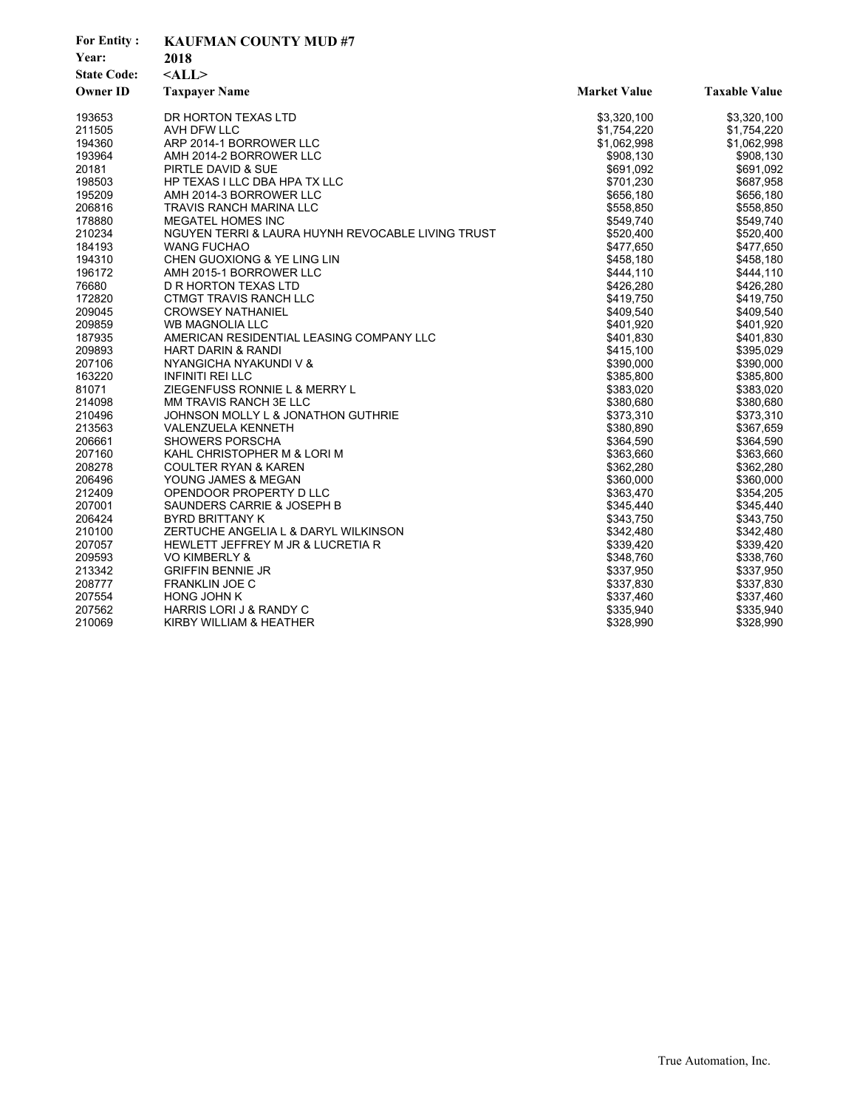| <b>For Entity:</b> | <b>KAUFMAN COUNTY MUD#7</b>                       |                     |                      |  |
|--------------------|---------------------------------------------------|---------------------|----------------------|--|
| Year:              | 2018                                              |                     |                      |  |
| <b>State Code:</b> | $<$ ALL $>$                                       |                     |                      |  |
| <b>Owner ID</b>    | <b>Taxpayer Name</b>                              | <b>Market Value</b> | <b>Taxable Value</b> |  |
| 193653             | DR HORTON TEXAS LTD                               | \$3,320,100         | \$3,320,100          |  |
| 211505             | AVH DFW LLC                                       | \$1,754,220         | \$1,754,220          |  |
| 194360             | ARP 2014-1 BORROWER LLC                           | \$1,062,998         | \$1,062,998          |  |
| 193964             | AMH 2014-2 BORROWER LLC                           | \$908,130           | \$908,130            |  |
| 20181              | PIRTLE DAVID & SUE                                | \$691,092           | \$691,092            |  |
| 198503             | HP TEXAS I LLC DBA HPA TX LLC                     | \$701,230           | \$687,958            |  |
| 195209             | AMH 2014-3 BORROWER LLC                           | \$656,180           | \$656,180            |  |
| 206816             | TRAVIS RANCH MARINA LLC                           | \$558,850           | \$558,850            |  |
| 178880             | <b>MEGATEL HOMES INC</b>                          | \$549,740           | \$549,740            |  |
| 210234             | NGUYEN TERRI & LAURA HUYNH REVOCABLE LIVING TRUST | \$520,400           | \$520,400            |  |
| 184193             | <b>WANG FUCHAO</b>                                | \$477,650           | \$477,650            |  |
| 194310             | CHEN GUOXIONG & YE LING LIN                       | \$458,180           | \$458,180            |  |
| 196172             | AMH 2015-1 BORROWER LLC                           | \$444,110           | \$444,110            |  |
| 76680              | D R HORTON TEXAS LTD                              | \$426,280           | \$426,280            |  |
| 172820             | CTMGT TRAVIS RANCH LLC                            | \$419,750           | \$419,750            |  |
| 209045             | <b>CROWSEY NATHANIEL</b>                          | \$409,540           | \$409,540            |  |
| 209859             | <b>WB MAGNOLIA LLC</b>                            | \$401,920           | \$401,920            |  |
| 187935             | AMERICAN RESIDENTIAL LEASING COMPANY LLC          | \$401,830           | \$401,830            |  |
| 209893             | HART DARIN & RANDI                                | \$415,100           | \$395,029            |  |
| 207106             | NYANGICHA NYAKUNDI V &                            | \$390,000           | \$390,000            |  |
| 163220             | <b>INFINITI REI LLC</b>                           | \$385,800           | \$385,800            |  |
| 81071              | ZIEGENFUSS RONNIE L & MERRY L                     | \$383,020           | \$383,020            |  |
| 214098             | MM TRAVIS RANCH 3E LLC                            | \$380,680           | \$380,680            |  |
| 210496             | JOHNSON MOLLY L & JONATHON GUTHRIE                | \$373,310           | \$373,310            |  |
| 213563             | VALENZUELA KENNETH                                | \$380,890           | \$367,659            |  |
| 206661             | <b>SHOWERS PORSCHA</b>                            | \$364,590           | \$364,590            |  |
| 207160             | KAHL CHRISTOPHER M & LORI M                       | \$363,660           | \$363,660            |  |
| 208278             | <b>COULTER RYAN &amp; KAREN</b>                   | \$362,280           | \$362,280            |  |
| 206496             | YOUNG JAMES & MEGAN                               | \$360,000           | \$360,000            |  |
| 212409             | OPENDOOR PROPERTY D LLC                           | \$363,470           | \$354,205            |  |
| 207001             | SAUNDERS CARRIE & JOSEPH B                        | \$345,440           | \$345,440            |  |
| 206424             | <b>BYRD BRITTANY K</b>                            | \$343,750           | \$343,750            |  |
| 210100             | ZERTUCHE ANGELIA L & DARYL WILKINSON              | \$342,480           | \$342,480            |  |
| 207057             | HEWLETT JEFFREY M JR & LUCRETIA R                 | \$339,420           | \$339,420            |  |
| 209593             | VO KIMBERLY &                                     | \$348,760           | \$338,760            |  |
| 213342             | <b>GRIFFIN BENNIE JR</b>                          | \$337,950           | \$337,950            |  |
| 208777             | <b>FRANKLIN JOE C</b>                             | \$337,830           | \$337,830            |  |
| 207554             | <b>HONG JOHN K</b>                                | \$337,460           | \$337,460            |  |
| 207562             | HARRIS LORI J & RANDY C                           | \$335,940           | \$335,940            |  |
| 210069             | KIRBY WILLIAM & HEATHER                           | \$328,990           | \$328,990            |  |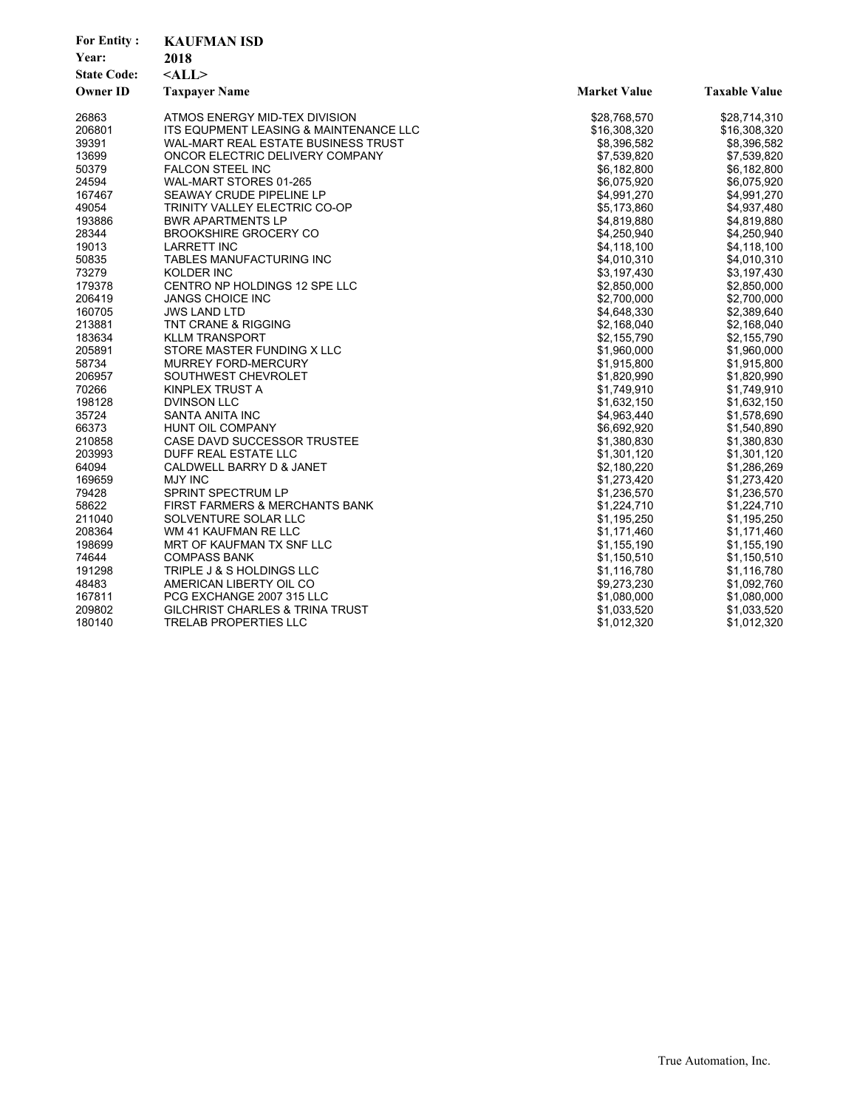| <b>For Entity:</b><br>Year:<br><b>State Code:</b><br><b>Owner ID</b> | <b>KAUFMAN ISD</b><br>2018<br>$<$ ALL $>$<br><b>Taxpayer Name</b> | <b>Market Value</b> | <b>Taxable Value</b> |
|----------------------------------------------------------------------|-------------------------------------------------------------------|---------------------|----------------------|
| 26863                                                                | ATMOS ENERGY MID-TEX DIVISION                                     | \$28,768,570        | \$28,714,310         |
| 206801                                                               | ITS EQUPMENT LEASING & MAINTENANCE LLC                            | \$16,308,320        | \$16,308,320         |
| 39391                                                                | WAL-MART REAL ESTATE BUSINESS TRUST                               | \$8,396,582         | \$8,396,582          |
| 13699                                                                | ONCOR ELECTRIC DELIVERY COMPANY                                   | \$7,539,820         | \$7,539,820          |
| 50379                                                                | <b>FALCON STEEL INC</b>                                           | \$6,182,800         | \$6,182,800          |
| 24594                                                                | WAL-MART STORES 01-265                                            | \$6,075,920         | \$6,075,920          |
| 167467                                                               | SEAWAY CRUDE PIPELINE LP                                          | \$4,991,270         | \$4,991,270          |
| 49054                                                                | TRINITY VALLEY ELECTRIC CO-OP                                     | \$5,173,860         | \$4,937,480          |
| 193886                                                               | <b>BWR APARTMENTS LP</b>                                          | \$4,819,880         | \$4,819,880          |
| 28344                                                                | <b>BROOKSHIRE GROCERY CO</b>                                      | \$4,250,940         | \$4,250,940          |
| 19013                                                                | <b>LARRETT INC</b>                                                | \$4,118,100         | \$4,118,100          |
| 50835                                                                | TABLES MANUFACTURING INC                                          | \$4,010,310         | \$4,010,310          |
| 73279                                                                | KOLDER INC                                                        | \$3,197,430         | \$3,197,430          |
| 179378                                                               | CENTRO NP HOLDINGS 12 SPE LLC                                     | \$2,850,000         | \$2,850,000          |
| 206419                                                               | <b>JANGS CHOICE INC</b>                                           | \$2,700,000         | \$2,700,000          |
| 160705                                                               | <b>JWS LAND LTD</b>                                               | \$4,648,330         | \$2,389,640          |
| 213881                                                               | TNT CRANE & RIGGING                                               | \$2,168,040         | \$2,168,040          |
| 183634                                                               | <b>KLLM TRANSPORT</b>                                             | \$2,155,790         | \$2,155,790          |
| 205891                                                               | STORE MASTER FUNDING X LLC                                        | \$1,960,000         | \$1,960,000          |
| 58734                                                                | MURREY FORD-MERCURY                                               | \$1,915,800         | \$1,915,800          |
| 206957                                                               | SOUTHWEST CHEVROLET                                               | \$1,820,990         | \$1,820,990          |
| 70266                                                                | KINPLEX TRUST A                                                   | \$1,749,910         | \$1,749,910          |
| 198128                                                               | <b>DVINSON LLC</b>                                                | \$1,632,150         | \$1,632,150          |
| 35724                                                                | SANTA ANITA INC                                                   | \$4,963,440         | \$1,578,690          |
| 66373                                                                | HUNT OIL COMPANY                                                  | \$6,692,920         | \$1,540,890          |
| 210858                                                               | CASE DAVD SUCCESSOR TRUSTEE                                       | \$1,380,830         | \$1,380,830          |
| 203993                                                               | DUFF REAL ESTATE LLC                                              | \$1,301,120         | \$1,301,120          |
| 64094                                                                | CALDWELL BARRY D & JANET                                          | \$2,180,220         | \$1,286,269          |
| 169659                                                               | <b>MJY INC</b>                                                    | \$1,273,420         | \$1,273,420          |
| 79428                                                                | SPRINT SPECTRUM LP                                                | \$1,236,570         | \$1,236,570          |
| 58622                                                                | FIRST FARMERS & MERCHANTS BANK                                    | \$1,224,710         | \$1,224,710          |
| 211040                                                               | SOLVENTURE SOLAR LLC                                              | \$1,195,250         | \$1,195,250          |
| 208364                                                               | WM 41 KAUFMAN RE LLC                                              | \$1,171,460         | \$1,171,460          |
| 198699                                                               | MRT OF KAUFMAN TX SNF LLC                                         | \$1,155,190         | \$1,155,190          |
| 74644                                                                | <b>COMPASS BANK</b>                                               | \$1,150,510         | \$1,150,510          |
| 191298                                                               | TRIPLE J & S HOLDINGS LLC                                         | \$1,116,780         | \$1,116,780          |
| 48483                                                                | AMERICAN LIBERTY OIL CO                                           | \$9,273,230         | \$1,092,760          |
| 167811                                                               | PCG EXCHANGE 2007 315 LLC                                         | \$1,080,000         | \$1,080,000          |
| 209802                                                               | <b>GILCHRIST CHARLES &amp; TRINA TRUST</b>                        | \$1,033,520         | \$1,033,520          |
| 180140                                                               | <b>TRELAB PROPERTIES LLC</b>                                      | \$1,012,320         | \$1,012,320          |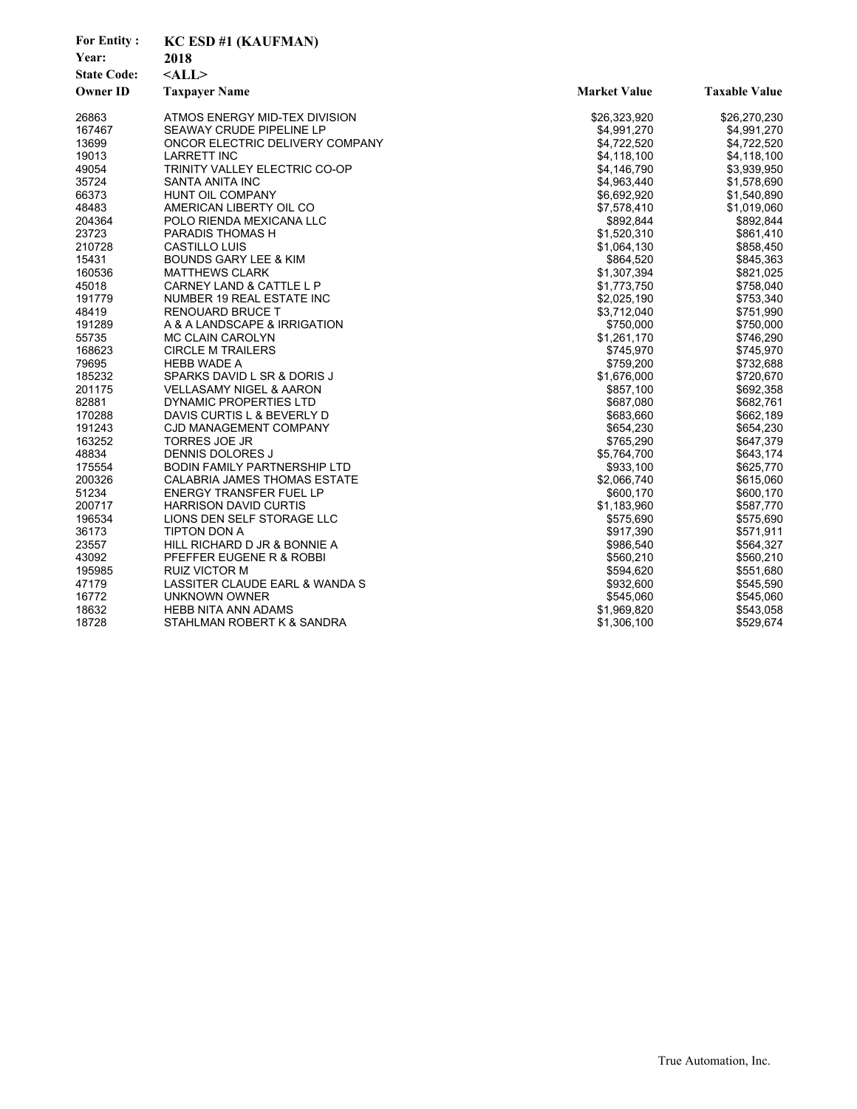| <b>For Entity:</b><br>Year:<br><b>State Code:</b><br><b>Owner ID</b> | <b>KC ESD #1 (KAUFMAN)</b><br>2018<br>$<$ ALL $>$<br><b>Taxpayer Name</b> | <b>Market Value</b> | <b>Taxable Value</b> |
|----------------------------------------------------------------------|---------------------------------------------------------------------------|---------------------|----------------------|
| 26863                                                                | ATMOS ENERGY MID-TEX DIVISION                                             | \$26,323,920        | \$26,270,230         |
| 167467                                                               | SEAWAY CRUDE PIPELINE LP                                                  | \$4,991,270         | \$4,991,270          |
| 13699                                                                | ONCOR ELECTRIC DELIVERY COMPANY                                           | \$4,722,520         | \$4,722,520          |
| 19013                                                                | <b>LARRETT INC</b>                                                        | \$4,118,100         | \$4,118,100          |
| 49054                                                                | TRINITY VALLEY ELECTRIC CO-OP                                             | \$4,146,790         | \$3,939,950          |
| 35724                                                                | SANTA ANITA INC                                                           | \$4,963,440         | \$1,578,690          |
| 66373                                                                | HUNT OIL COMPANY                                                          | \$6,692,920         | \$1,540,890          |
| 48483                                                                | AMERICAN LIBERTY OIL CO                                                   | \$7,578,410         | \$1,019,060          |
| 204364                                                               | POLO RIENDA MEXICANA LLC                                                  | \$892,844           | \$892,844            |
| 23723                                                                | PARADIS THOMAS H                                                          | \$1,520,310         | \$861,410            |
| 210728                                                               | <b>CASTILLO LUIS</b>                                                      | \$1,064,130         | \$858,450            |
| 15431                                                                | <b>BOUNDS GARY LEE &amp; KIM</b>                                          | \$864,520           | \$845,363            |
| 160536                                                               | <b>MATTHEWS CLARK</b>                                                     | \$1,307,394         | \$821,025            |
| 45018                                                                | <b>CARNEY LAND &amp; CATTLE L P</b>                                       | \$1,773,750         | \$758,040            |
| 191779                                                               | NUMBER 19 REAL ESTATE INC                                                 | \$2,025,190         | \$753,340            |
| 48419                                                                | <b>RENOUARD BRUCE T</b>                                                   | \$3,712,040         | \$751,990            |
| 191289                                                               | A & A LANDSCAPE & IRRIGATION                                              | \$750,000           | \$750,000            |
| 55735                                                                | <b>MC CLAIN CAROLYN</b>                                                   | \$1,261,170         | \$746,290            |
| 168623                                                               | <b>CIRCLE M TRAILERS</b>                                                  | \$745,970           | \$745,970            |
| 79695                                                                | <b>HEBB WADE A</b>                                                        | \$759,200           | \$732,688            |
| 185232                                                               | SPARKS DAVID L SR & DORIS J                                               | \$1,676,000         | \$720,670            |
| 201175                                                               | <b>VELLASAMY NIGEL &amp; AARON</b>                                        | \$857,100           | \$692,358            |
| 82881                                                                | <b>DYNAMIC PROPERTIES LTD</b>                                             | \$687,080           | \$682,761            |
| 170288                                                               | DAVIS CURTIS L & BEVERLY D                                                | \$683,660           | \$662,189            |
| 191243                                                               | CJD MANAGEMENT COMPANY                                                    | \$654,230           | \$654,230            |
| 163252                                                               | <b>TORRES JOE JR</b>                                                      | \$765,290           | \$647,379            |
| 48834                                                                | DENNIS DOLORES J                                                          | \$5,764,700         | \$643,174            |
| 175554                                                               | BODIN FAMILY PARTNERSHIP LTD                                              | \$933,100           | \$625,770            |
| 200326                                                               | CALABRIA JAMES THOMAS ESTATE                                              | \$2,066,740         | \$615,060            |
| 51234                                                                | <b>ENERGY TRANSFER FUEL LP</b>                                            | \$600,170           | \$600,170            |
| 200717                                                               | <b>HARRISON DAVID CURTIS</b>                                              | \$1,183,960         | \$587,770            |
| 196534                                                               | LIONS DEN SELF STORAGE LLC                                                | \$575,690           | \$575,690            |
| 36173                                                                | <b>TIPTON DON A</b>                                                       | \$917,390           | \$571,911            |
| 23557                                                                | HILL RICHARD D JR & BONNIE A                                              | \$986,540           | \$564,327            |
| 43092                                                                | PFEFFER EUGENE R & ROBBI                                                  | \$560,210           | \$560,210            |
| 195985                                                               | RUIZ VICTOR M                                                             | \$594,620           | \$551,680            |
| 47179                                                                | LASSITER CLAUDE EARL & WANDA S                                            | \$932,600           | \$545,590            |
| 16772                                                                | UNKNOWN OWNER                                                             | \$545,060           | \$545,060            |
| 18632                                                                | <b>HEBB NITA ANN ADAMS</b>                                                | \$1,969,820         | \$543,058            |
| 18728                                                                | STAHLMAN ROBERT K & SANDRA                                                | \$1,306,100         | \$529,674            |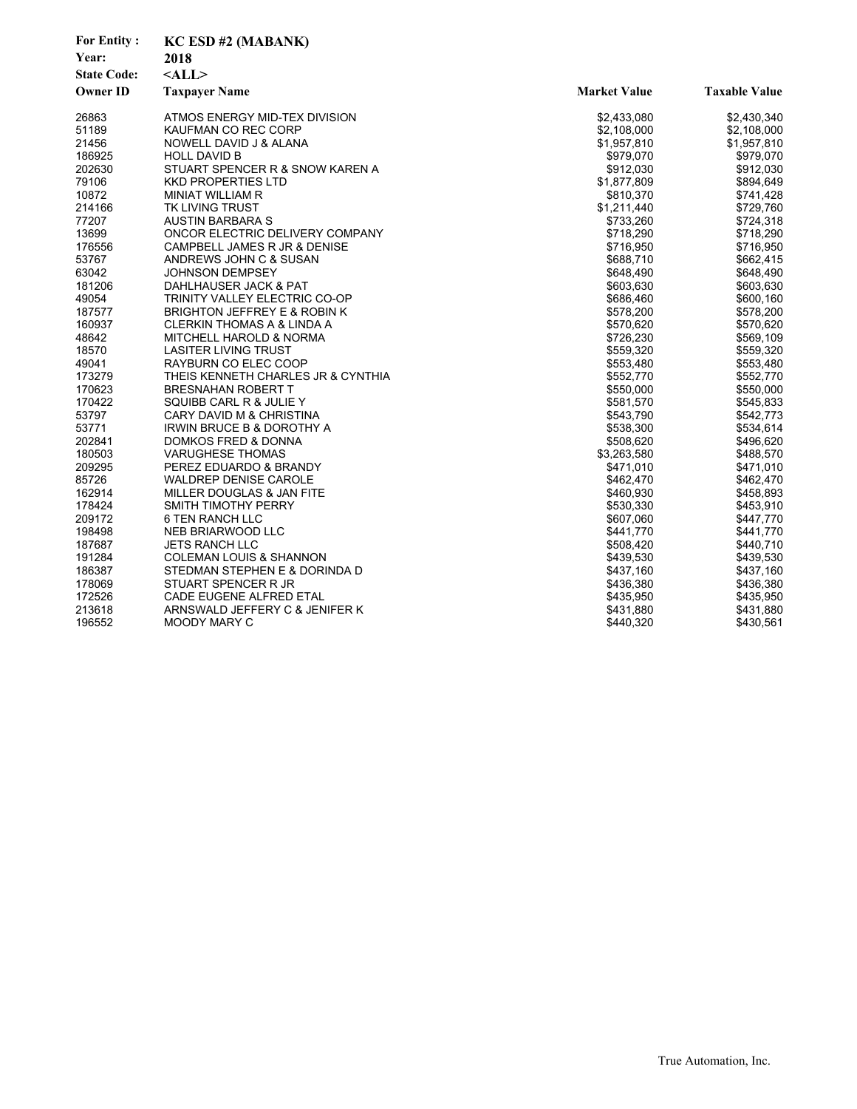| <b>For Entity:</b> | <b>KC ESD #2 (MABANK)</b>             |                     |                      |  |
|--------------------|---------------------------------------|---------------------|----------------------|--|
| Year:              | 2018                                  |                     |                      |  |
| <b>State Code:</b> | $<$ ALL $>$                           |                     |                      |  |
| <b>Owner ID</b>    | <b>Taxpayer Name</b>                  | <b>Market Value</b> | <b>Taxable Value</b> |  |
|                    |                                       |                     |                      |  |
| 26863              | ATMOS ENERGY MID-TEX DIVISION         | \$2,433,080         | \$2,430,340          |  |
| 51189              | KAUFMAN CO REC CORP                   | \$2,108,000         | \$2,108,000          |  |
| 21456              | NOWELL DAVID J & ALANA                | \$1,957,810         | \$1,957,810          |  |
| 186925             | <b>HOLL DAVID B</b>                   | \$979,070           | \$979,070            |  |
| 202630             | STUART SPENCER R & SNOW KAREN A       | \$912,030           | \$912,030            |  |
| 79106              | <b>KKD PROPERTIES LTD</b>             | \$1,877,809         | \$894,649            |  |
| 10872              | MINIAT WILLIAM R                      | \$810,370           | \$741,428            |  |
| 214166             | TK LIVING TRUST                       | \$1,211,440         | \$729,760            |  |
| 77207              | <b>AUSTIN BARBARA S</b>               | \$733,260           | \$724,318            |  |
| 13699              | ONCOR ELECTRIC DELIVERY COMPANY       | \$718,290           | \$718,290            |  |
| 176556             | CAMPBELL JAMES R JR & DENISE          | \$716,950           | \$716,950            |  |
| 53767              | ANDREWS JOHN C & SUSAN                | \$688,710           | \$662,415            |  |
| 63042              | <b>JOHNSON DEMPSEY</b>                | \$648,490           | \$648,490            |  |
| 181206             | DAHLHAUSER JACK & PAT                 | \$603,630           | \$603,630            |  |
| 49054              | TRINITY VALLEY ELECTRIC CO-OP         | \$686,460           | \$600,160            |  |
| 187577             | BRIGHTON JEFFREY E & ROBIN K          | \$578,200           | \$578,200            |  |
| 160937             | <b>CLERKIN THOMAS A &amp; LINDA A</b> | \$570,620           | \$570,620            |  |
| 48642              | MITCHELL HAROLD & NORMA               | \$726,230           | \$569,109            |  |
| 18570              | <b>LASITER LIVING TRUST</b>           | \$559,320           | \$559,320            |  |
| 49041              | RAYBURN CO ELEC COOP                  | \$553,480           | \$553,480            |  |
| 173279             | THEIS KENNETH CHARLES JR & CYNTHIA    | \$552,770           | \$552,770            |  |
| 170623             | <b>BRESNAHAN ROBERT T</b>             | \$550,000           | \$550,000            |  |
| 170422             | SQUIBB CARL R & JULIE Y               | \$581,570           | \$545,833            |  |
| 53797              | CARY DAVID M & CHRISTINA              | \$543,790           | \$542,773            |  |
| 53771              | <b>IRWIN BRUCE B &amp; DOROTHY A</b>  | \$538,300           | \$534,614            |  |
| 202841             | <b>DOMKOS FRED &amp; DONNA</b>        | \$508,620           | \$496,620            |  |
| 180503             | <b>VARUGHESE THOMAS</b>               | \$3,263,580         | \$488,570            |  |
| 209295             | PEREZ EDUARDO & BRANDY                | \$471,010           | \$471,010            |  |
| 85726              | <b>WALDREP DENISE CAROLE</b>          | \$462,470           | \$462,470            |  |
| 162914             | MILLER DOUGLAS & JAN FITE             | \$460,930           | \$458,893            |  |
| 178424             | SMITH TIMOTHY PERRY                   | \$530,330           | \$453,910            |  |
| 209172             | 6 TEN RANCH LLC                       | \$607,060           | \$447,770            |  |
| 198498             | NEB BRIARWOOD LLC                     | \$441,770           | \$441,770            |  |
| 187687             | <b>JETS RANCH LLC</b>                 | \$508,420           | \$440,710            |  |
| 191284             | <b>COLEMAN LOUIS &amp; SHANNON</b>    | \$439,530           | \$439,530            |  |
| 186387             | STEDMAN STEPHEN E & DORINDA D         | \$437,160           | \$437,160            |  |
| 178069             | STUART SPENCER R JR                   | \$436,380           | \$436,380            |  |
| 172526             | CADE EUGENE ALFRED ETAL               | \$435,950           | \$435,950            |  |
| 213618             | ARNSWALD JEFFERY C & JENIFER K        | \$431,880           | \$431,880            |  |
| 196552             | MOODY MARY C                          | \$440,320           | \$430,561            |  |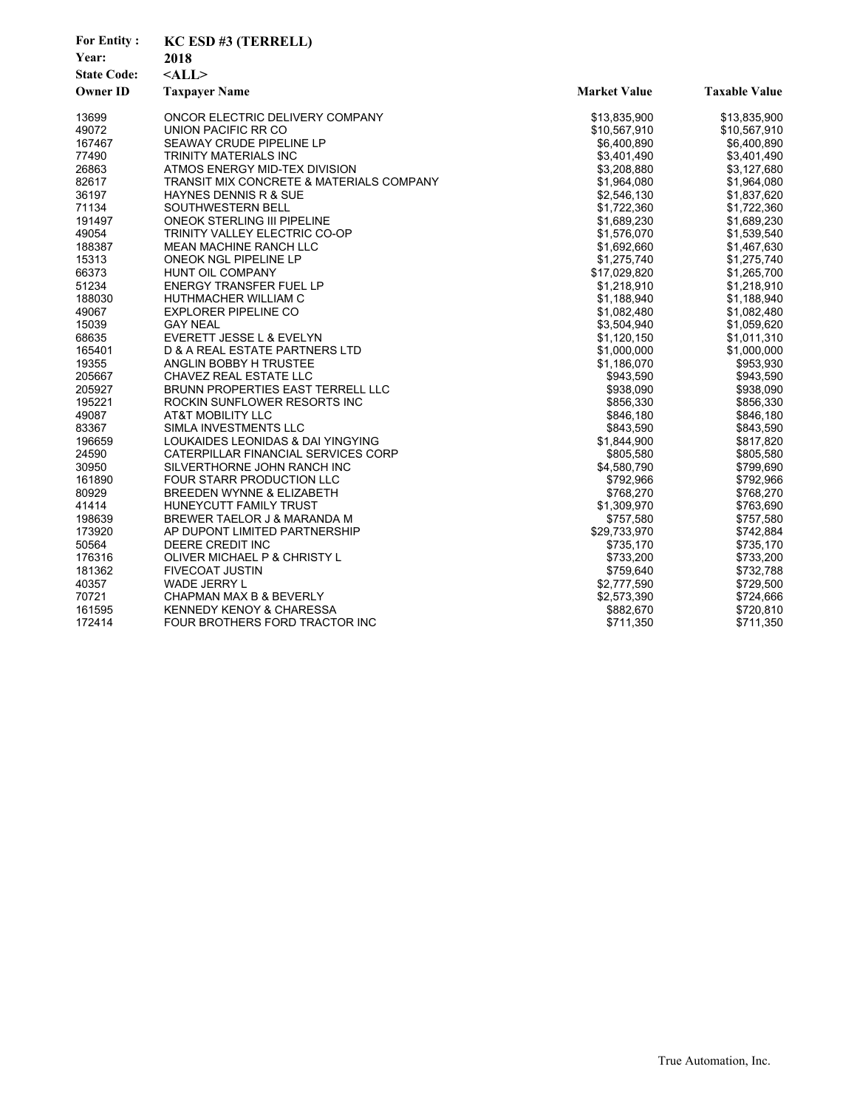| <b>For Entity:</b> | KC ESD #3 (TERRELL)                      |                     |                      |
|--------------------|------------------------------------------|---------------------|----------------------|
| Year:              | 2018                                     |                     |                      |
| <b>State Code:</b> | $<$ ALL $>$                              |                     |                      |
| <b>Owner ID</b>    | <b>Taxpayer Name</b>                     | <b>Market Value</b> | <b>Taxable Value</b> |
|                    |                                          |                     |                      |
| 13699              | ONCOR ELECTRIC DELIVERY COMPANY          | \$13,835,900        | \$13,835,900         |
| 49072              | UNION PACIFIC RR CO                      | \$10,567,910        | \$10,567,910         |
| 167467             | SEAWAY CRUDE PIPELINE LP                 | \$6,400,890         | \$6,400,890          |
| 77490              | TRINITY MATERIALS INC                    | \$3,401,490         | \$3,401,490          |
| 26863              | ATMOS ENERGY MID-TEX DIVISION            | \$3,208,880         | \$3,127,680          |
| 82617              | TRANSIT MIX CONCRETE & MATERIALS COMPANY | \$1,964,080         | \$1,964,080          |
| 36197              | HAYNES DENNIS R & SUE                    | \$2,546,130         | \$1,837,620          |
| 71134              | SOUTHWESTERN BELL                        | \$1,722,360         | \$1,722,360          |
| 191497             | <b>ONEOK STERLING III PIPELINE</b>       | \$1,689,230         | \$1,689,230          |
| 49054              | TRINITY VALLEY ELECTRIC CO-OP            | \$1,576,070         | \$1,539,540          |
| 188387             | MEAN MACHINE RANCH LLC                   | \$1,692,660         | \$1,467,630          |
| 15313              | ONEOK NGL PIPELINE LP                    | \$1,275,740         | \$1,275,740          |
| 66373              | HUNT OIL COMPANY                         | \$17,029,820        | \$1,265,700          |
| 51234              | <b>ENERGY TRANSFER FUEL LP</b>           | \$1,218,910         | \$1,218,910          |
| 188030             | HUTHMACHER WILLIAM C                     | \$1,188,940         | \$1,188,940          |
| 49067              | <b>EXPLORER PIPELINE CO</b>              | \$1,082,480         | \$1,082,480          |
| 15039              | <b>GAY NEAL</b>                          | \$3,504,940         | \$1,059,620          |
| 68635              | EVERETT JESSE L & EVELYN                 | \$1,120,150         | \$1,011,310          |
| 165401             | D & A REAL ESTATE PARTNERS LTD           | \$1,000,000         | \$1,000,000          |
| 19355              | ANGLIN BOBBY H TRUSTEE                   | \$1,186,070         | \$953,930            |
| 205667             | CHAVEZ REAL ESTATE LLC                   | \$943,590           | \$943,590            |
| 205927             | <b>BRUNN PROPERTIES EAST TERRELL LLC</b> | \$938,090           | \$938,090            |
| 195221             | ROCKIN SUNFLOWER RESORTS INC             | \$856,330           | \$856,330            |
| 49087              | AT&T MOBILITY LLC                        | \$846,180           | \$846,180            |
| 83367              | SIMLA INVESTMENTS LLC                    | \$843,590           | \$843,590            |
| 196659             | LOUKAIDES LEONIDAS & DAI YINGYING        | \$1,844,900         | \$817,820            |
| 24590              | CATERPILLAR FINANCIAL SERVICES CORP      | \$805,580           | \$805,580            |
| 30950              | SILVERTHORNE JOHN RANCH INC              | \$4,580,790         | \$799,690            |
| 161890             | FOUR STARR PRODUCTION LLC                | \$792,966           | \$792,966            |
| 80929              | BREEDEN WYNNE & ELIZABETH                | \$768,270           | \$768,270            |
| 41414              | HUNEYCUTT FAMILY TRUST                   | \$1,309,970         | \$763,690            |
| 198639             | BREWER TAELOR J & MARANDA M              | \$757,580           | \$757,580            |
| 173920             | AP DUPONT LIMITED PARTNERSHIP            | \$29,733,970        | \$742,884            |
| 50564              | DEERE CREDIT INC                         | \$735,170           | \$735,170            |
| 176316             | OLIVER MICHAEL P & CHRISTY L             | \$733,200           | \$733,200            |
| 181362             | <b>FIVECOAT JUSTIN</b>                   | \$759,640           | \$732,788            |
| 40357              | WADE JERRY L                             | \$2,777,590         | \$729,500            |
| 70721              | CHAPMAN MAX B & BEVERLY                  | \$2,573,390         | \$724,666            |
| 161595             | <b>KENNEDY KENOY &amp; CHARESSA</b>      | \$882,670           | \$720,810            |
| 172414             | FOUR BROTHERS FORD TRACTOR INC           | \$711,350           | \$711,350            |
|                    |                                          |                     |                      |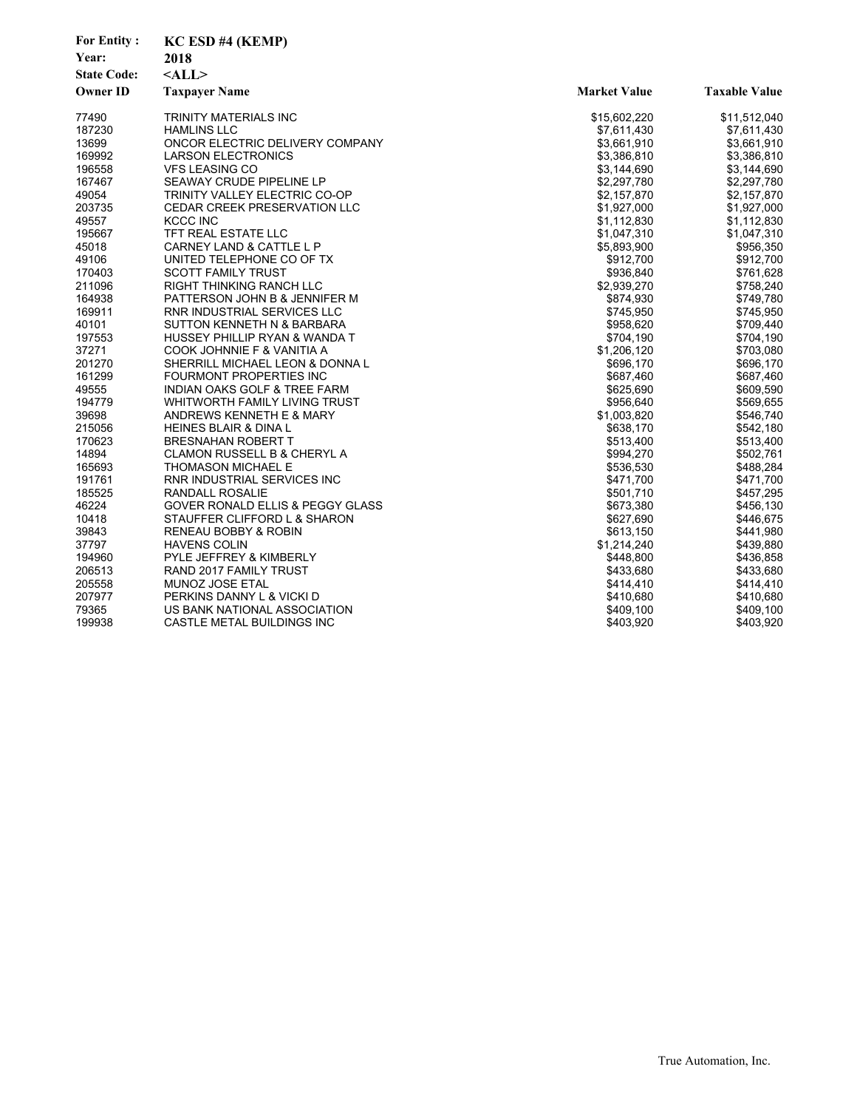| 2018<br>Year:<br>$<$ ALL $>$<br><b>State Code:</b><br><b>Owner ID</b><br><b>Market Value</b><br><b>Taxpayer Name</b><br><b>Taxable Value</b><br>77490<br>TRINITY MATERIALS INC<br>\$15,602,220<br>\$11,512,040<br>187230<br>\$7,611,430<br><b>HAMLINS LLC</b><br>\$7,611,430<br>13699<br>ONCOR ELECTRIC DELIVERY COMPANY<br>\$3,661,910<br>\$3,661,910<br>169992<br>\$3,386,810<br>\$3,386,810<br><b>LARSON ELECTRONICS</b><br>196558<br><b>VFS LEASING CO</b><br>\$3,144,690<br>\$3,144,690<br>167467<br>SEAWAY CRUDE PIPELINE LP<br>\$2,297,780<br>\$2,297,780<br>49054<br>TRINITY VALLEY ELECTRIC CO-OP<br>\$2,157,870<br>\$2,157,870<br>\$1,927,000<br>203735<br>CEDAR CREEK PRESERVATION LLC<br>\$1,927,000<br>49557<br>KCCC INC<br>\$1,112,830<br>\$1,112,830<br>TFT REAL ESTATE LLC<br>195667<br>\$1,047,310<br>\$1,047,310<br>45018<br>\$956,350<br><b>CARNEY LAND &amp; CATTLE L P</b><br>\$5,893,900<br>\$912,700<br>49106<br>UNITED TELEPHONE CO OF TX<br>\$912,700<br><b>SCOTT FAMILY TRUST</b><br>\$936,840<br>\$761,628<br>211096<br>\$2,939,270<br>\$758,240<br>RIGHT THINKING RANCH LLC<br>164938<br>PATTERSON JOHN B & JENNIFER M<br>\$874,930<br>\$749,780<br>169911<br>RNR INDUSTRIAL SERVICES LLC<br>\$745,950<br>\$745,950<br>40101<br>SUTTON KENNETH N & BARBARA<br>\$958,620<br>\$709,440<br>197553<br>\$704,190<br>\$704,190<br>HUSSEY PHILLIP RYAN & WANDA T<br>\$1,206,120<br>\$703,080<br>37271<br>COOK JOHNNIE F & VANITIA A<br>201270<br>SHERRILL MICHAEL LEON & DONNA L<br>\$696,170<br>\$696,170<br>161299<br>\$687,460<br>FOURMONT PROPERTIES INC<br>\$687,460<br>49555<br><b>INDIAN OAKS GOLF &amp; TREE FARM</b><br>\$625,690<br>\$609,590<br>194779<br>WHITWORTH FAMILY LIVING TRUST<br>\$956,640<br>\$569,655<br>39698<br>ANDREWS KENNETH E & MARY<br>\$1,003,820<br>\$546,740<br>215056<br>\$638,170<br>\$542,180<br><b>HEINES BLAIR &amp; DINA L</b><br>170623<br>\$513,400<br><b>BRESNAHAN ROBERT T</b><br>\$513,400<br>14894<br>CLAMON RUSSELL B & CHERYL A<br>\$994,270<br>\$502,761<br>165693<br>\$536,530<br>\$488,284<br><b>THOMASON MICHAEL E</b><br>191761<br>RNR INDUSTRIAL SERVICES INC<br>\$471,700<br>\$471,700<br>185525<br>RANDALL ROSALIE<br>\$501,710<br>\$457,295<br>46224<br>GOVER RONALD ELLIS & PEGGY GLASS<br>\$673,380<br>\$456,130<br>10418<br>STAUFFER CLIFFORD L & SHARON<br>\$627,690<br>\$446,675<br>39843<br>RENEAU BOBBY & ROBIN<br>\$613,150<br>\$441,980<br>37797<br><b>HAVENS COLIN</b><br>\$1,214,240<br>\$439,880<br>194960<br><b>PYLE JEFFREY &amp; KIMBERLY</b><br>\$448.800<br>\$436,858<br>206513<br>\$433,680<br>\$433,680<br>RAND 2017 FAMILY TRUST<br>205558<br>MUNOZ JOSE ETAL<br>\$414,410<br>\$414,410<br>207977<br>PERKINS DANNY L & VICKI D<br>\$410,680<br>\$410,680<br>79365<br>US BANK NATIONAL ASSOCIATION<br>\$409,100<br>\$409,100<br>199938<br>CASTLE METAL BUILDINGS INC<br>\$403,920<br>\$403,920 | <b>For Entity:</b> | KC ESD #4 (KEMP) |  |
|------------------------------------------------------------------------------------------------------------------------------------------------------------------------------------------------------------------------------------------------------------------------------------------------------------------------------------------------------------------------------------------------------------------------------------------------------------------------------------------------------------------------------------------------------------------------------------------------------------------------------------------------------------------------------------------------------------------------------------------------------------------------------------------------------------------------------------------------------------------------------------------------------------------------------------------------------------------------------------------------------------------------------------------------------------------------------------------------------------------------------------------------------------------------------------------------------------------------------------------------------------------------------------------------------------------------------------------------------------------------------------------------------------------------------------------------------------------------------------------------------------------------------------------------------------------------------------------------------------------------------------------------------------------------------------------------------------------------------------------------------------------------------------------------------------------------------------------------------------------------------------------------------------------------------------------------------------------------------------------------------------------------------------------------------------------------------------------------------------------------------------------------------------------------------------------------------------------------------------------------------------------------------------------------------------------------------------------------------------------------------------------------------------------------------------------------------------------------------------------------------------------------------------------------------------------------------------------------------------------------------------------------------------------------------------------------------------------------------------------------------------------------------------------------------------------------------------------------------------------------------------------------|--------------------|------------------|--|
|                                                                                                                                                                                                                                                                                                                                                                                                                                                                                                                                                                                                                                                                                                                                                                                                                                                                                                                                                                                                                                                                                                                                                                                                                                                                                                                                                                                                                                                                                                                                                                                                                                                                                                                                                                                                                                                                                                                                                                                                                                                                                                                                                                                                                                                                                                                                                                                                                                                                                                                                                                                                                                                                                                                                                                                                                                                                                                |                    |                  |  |
|                                                                                                                                                                                                                                                                                                                                                                                                                                                                                                                                                                                                                                                                                                                                                                                                                                                                                                                                                                                                                                                                                                                                                                                                                                                                                                                                                                                                                                                                                                                                                                                                                                                                                                                                                                                                                                                                                                                                                                                                                                                                                                                                                                                                                                                                                                                                                                                                                                                                                                                                                                                                                                                                                                                                                                                                                                                                                                |                    |                  |  |
|                                                                                                                                                                                                                                                                                                                                                                                                                                                                                                                                                                                                                                                                                                                                                                                                                                                                                                                                                                                                                                                                                                                                                                                                                                                                                                                                                                                                                                                                                                                                                                                                                                                                                                                                                                                                                                                                                                                                                                                                                                                                                                                                                                                                                                                                                                                                                                                                                                                                                                                                                                                                                                                                                                                                                                                                                                                                                                |                    |                  |  |
|                                                                                                                                                                                                                                                                                                                                                                                                                                                                                                                                                                                                                                                                                                                                                                                                                                                                                                                                                                                                                                                                                                                                                                                                                                                                                                                                                                                                                                                                                                                                                                                                                                                                                                                                                                                                                                                                                                                                                                                                                                                                                                                                                                                                                                                                                                                                                                                                                                                                                                                                                                                                                                                                                                                                                                                                                                                                                                |                    |                  |  |
|                                                                                                                                                                                                                                                                                                                                                                                                                                                                                                                                                                                                                                                                                                                                                                                                                                                                                                                                                                                                                                                                                                                                                                                                                                                                                                                                                                                                                                                                                                                                                                                                                                                                                                                                                                                                                                                                                                                                                                                                                                                                                                                                                                                                                                                                                                                                                                                                                                                                                                                                                                                                                                                                                                                                                                                                                                                                                                |                    |                  |  |
|                                                                                                                                                                                                                                                                                                                                                                                                                                                                                                                                                                                                                                                                                                                                                                                                                                                                                                                                                                                                                                                                                                                                                                                                                                                                                                                                                                                                                                                                                                                                                                                                                                                                                                                                                                                                                                                                                                                                                                                                                                                                                                                                                                                                                                                                                                                                                                                                                                                                                                                                                                                                                                                                                                                                                                                                                                                                                                |                    |                  |  |
|                                                                                                                                                                                                                                                                                                                                                                                                                                                                                                                                                                                                                                                                                                                                                                                                                                                                                                                                                                                                                                                                                                                                                                                                                                                                                                                                                                                                                                                                                                                                                                                                                                                                                                                                                                                                                                                                                                                                                                                                                                                                                                                                                                                                                                                                                                                                                                                                                                                                                                                                                                                                                                                                                                                                                                                                                                                                                                |                    |                  |  |
|                                                                                                                                                                                                                                                                                                                                                                                                                                                                                                                                                                                                                                                                                                                                                                                                                                                                                                                                                                                                                                                                                                                                                                                                                                                                                                                                                                                                                                                                                                                                                                                                                                                                                                                                                                                                                                                                                                                                                                                                                                                                                                                                                                                                                                                                                                                                                                                                                                                                                                                                                                                                                                                                                                                                                                                                                                                                                                |                    |                  |  |
|                                                                                                                                                                                                                                                                                                                                                                                                                                                                                                                                                                                                                                                                                                                                                                                                                                                                                                                                                                                                                                                                                                                                                                                                                                                                                                                                                                                                                                                                                                                                                                                                                                                                                                                                                                                                                                                                                                                                                                                                                                                                                                                                                                                                                                                                                                                                                                                                                                                                                                                                                                                                                                                                                                                                                                                                                                                                                                |                    |                  |  |
|                                                                                                                                                                                                                                                                                                                                                                                                                                                                                                                                                                                                                                                                                                                                                                                                                                                                                                                                                                                                                                                                                                                                                                                                                                                                                                                                                                                                                                                                                                                                                                                                                                                                                                                                                                                                                                                                                                                                                                                                                                                                                                                                                                                                                                                                                                                                                                                                                                                                                                                                                                                                                                                                                                                                                                                                                                                                                                |                    |                  |  |
|                                                                                                                                                                                                                                                                                                                                                                                                                                                                                                                                                                                                                                                                                                                                                                                                                                                                                                                                                                                                                                                                                                                                                                                                                                                                                                                                                                                                                                                                                                                                                                                                                                                                                                                                                                                                                                                                                                                                                                                                                                                                                                                                                                                                                                                                                                                                                                                                                                                                                                                                                                                                                                                                                                                                                                                                                                                                                                |                    |                  |  |
|                                                                                                                                                                                                                                                                                                                                                                                                                                                                                                                                                                                                                                                                                                                                                                                                                                                                                                                                                                                                                                                                                                                                                                                                                                                                                                                                                                                                                                                                                                                                                                                                                                                                                                                                                                                                                                                                                                                                                                                                                                                                                                                                                                                                                                                                                                                                                                                                                                                                                                                                                                                                                                                                                                                                                                                                                                                                                                |                    |                  |  |
|                                                                                                                                                                                                                                                                                                                                                                                                                                                                                                                                                                                                                                                                                                                                                                                                                                                                                                                                                                                                                                                                                                                                                                                                                                                                                                                                                                                                                                                                                                                                                                                                                                                                                                                                                                                                                                                                                                                                                                                                                                                                                                                                                                                                                                                                                                                                                                                                                                                                                                                                                                                                                                                                                                                                                                                                                                                                                                |                    |                  |  |
|                                                                                                                                                                                                                                                                                                                                                                                                                                                                                                                                                                                                                                                                                                                                                                                                                                                                                                                                                                                                                                                                                                                                                                                                                                                                                                                                                                                                                                                                                                                                                                                                                                                                                                                                                                                                                                                                                                                                                                                                                                                                                                                                                                                                                                                                                                                                                                                                                                                                                                                                                                                                                                                                                                                                                                                                                                                                                                |                    |                  |  |
|                                                                                                                                                                                                                                                                                                                                                                                                                                                                                                                                                                                                                                                                                                                                                                                                                                                                                                                                                                                                                                                                                                                                                                                                                                                                                                                                                                                                                                                                                                                                                                                                                                                                                                                                                                                                                                                                                                                                                                                                                                                                                                                                                                                                                                                                                                                                                                                                                                                                                                                                                                                                                                                                                                                                                                                                                                                                                                |                    |                  |  |
|                                                                                                                                                                                                                                                                                                                                                                                                                                                                                                                                                                                                                                                                                                                                                                                                                                                                                                                                                                                                                                                                                                                                                                                                                                                                                                                                                                                                                                                                                                                                                                                                                                                                                                                                                                                                                                                                                                                                                                                                                                                                                                                                                                                                                                                                                                                                                                                                                                                                                                                                                                                                                                                                                                                                                                                                                                                                                                | 170403             |                  |  |
|                                                                                                                                                                                                                                                                                                                                                                                                                                                                                                                                                                                                                                                                                                                                                                                                                                                                                                                                                                                                                                                                                                                                                                                                                                                                                                                                                                                                                                                                                                                                                                                                                                                                                                                                                                                                                                                                                                                                                                                                                                                                                                                                                                                                                                                                                                                                                                                                                                                                                                                                                                                                                                                                                                                                                                                                                                                                                                |                    |                  |  |
|                                                                                                                                                                                                                                                                                                                                                                                                                                                                                                                                                                                                                                                                                                                                                                                                                                                                                                                                                                                                                                                                                                                                                                                                                                                                                                                                                                                                                                                                                                                                                                                                                                                                                                                                                                                                                                                                                                                                                                                                                                                                                                                                                                                                                                                                                                                                                                                                                                                                                                                                                                                                                                                                                                                                                                                                                                                                                                |                    |                  |  |
|                                                                                                                                                                                                                                                                                                                                                                                                                                                                                                                                                                                                                                                                                                                                                                                                                                                                                                                                                                                                                                                                                                                                                                                                                                                                                                                                                                                                                                                                                                                                                                                                                                                                                                                                                                                                                                                                                                                                                                                                                                                                                                                                                                                                                                                                                                                                                                                                                                                                                                                                                                                                                                                                                                                                                                                                                                                                                                |                    |                  |  |
|                                                                                                                                                                                                                                                                                                                                                                                                                                                                                                                                                                                                                                                                                                                                                                                                                                                                                                                                                                                                                                                                                                                                                                                                                                                                                                                                                                                                                                                                                                                                                                                                                                                                                                                                                                                                                                                                                                                                                                                                                                                                                                                                                                                                                                                                                                                                                                                                                                                                                                                                                                                                                                                                                                                                                                                                                                                                                                |                    |                  |  |
|                                                                                                                                                                                                                                                                                                                                                                                                                                                                                                                                                                                                                                                                                                                                                                                                                                                                                                                                                                                                                                                                                                                                                                                                                                                                                                                                                                                                                                                                                                                                                                                                                                                                                                                                                                                                                                                                                                                                                                                                                                                                                                                                                                                                                                                                                                                                                                                                                                                                                                                                                                                                                                                                                                                                                                                                                                                                                                |                    |                  |  |
|                                                                                                                                                                                                                                                                                                                                                                                                                                                                                                                                                                                                                                                                                                                                                                                                                                                                                                                                                                                                                                                                                                                                                                                                                                                                                                                                                                                                                                                                                                                                                                                                                                                                                                                                                                                                                                                                                                                                                                                                                                                                                                                                                                                                                                                                                                                                                                                                                                                                                                                                                                                                                                                                                                                                                                                                                                                                                                |                    |                  |  |
|                                                                                                                                                                                                                                                                                                                                                                                                                                                                                                                                                                                                                                                                                                                                                                                                                                                                                                                                                                                                                                                                                                                                                                                                                                                                                                                                                                                                                                                                                                                                                                                                                                                                                                                                                                                                                                                                                                                                                                                                                                                                                                                                                                                                                                                                                                                                                                                                                                                                                                                                                                                                                                                                                                                                                                                                                                                                                                |                    |                  |  |
|                                                                                                                                                                                                                                                                                                                                                                                                                                                                                                                                                                                                                                                                                                                                                                                                                                                                                                                                                                                                                                                                                                                                                                                                                                                                                                                                                                                                                                                                                                                                                                                                                                                                                                                                                                                                                                                                                                                                                                                                                                                                                                                                                                                                                                                                                                                                                                                                                                                                                                                                                                                                                                                                                                                                                                                                                                                                                                |                    |                  |  |
|                                                                                                                                                                                                                                                                                                                                                                                                                                                                                                                                                                                                                                                                                                                                                                                                                                                                                                                                                                                                                                                                                                                                                                                                                                                                                                                                                                                                                                                                                                                                                                                                                                                                                                                                                                                                                                                                                                                                                                                                                                                                                                                                                                                                                                                                                                                                                                                                                                                                                                                                                                                                                                                                                                                                                                                                                                                                                                |                    |                  |  |
|                                                                                                                                                                                                                                                                                                                                                                                                                                                                                                                                                                                                                                                                                                                                                                                                                                                                                                                                                                                                                                                                                                                                                                                                                                                                                                                                                                                                                                                                                                                                                                                                                                                                                                                                                                                                                                                                                                                                                                                                                                                                                                                                                                                                                                                                                                                                                                                                                                                                                                                                                                                                                                                                                                                                                                                                                                                                                                |                    |                  |  |
|                                                                                                                                                                                                                                                                                                                                                                                                                                                                                                                                                                                                                                                                                                                                                                                                                                                                                                                                                                                                                                                                                                                                                                                                                                                                                                                                                                                                                                                                                                                                                                                                                                                                                                                                                                                                                                                                                                                                                                                                                                                                                                                                                                                                                                                                                                                                                                                                                                                                                                                                                                                                                                                                                                                                                                                                                                                                                                |                    |                  |  |
|                                                                                                                                                                                                                                                                                                                                                                                                                                                                                                                                                                                                                                                                                                                                                                                                                                                                                                                                                                                                                                                                                                                                                                                                                                                                                                                                                                                                                                                                                                                                                                                                                                                                                                                                                                                                                                                                                                                                                                                                                                                                                                                                                                                                                                                                                                                                                                                                                                                                                                                                                                                                                                                                                                                                                                                                                                                                                                |                    |                  |  |
|                                                                                                                                                                                                                                                                                                                                                                                                                                                                                                                                                                                                                                                                                                                                                                                                                                                                                                                                                                                                                                                                                                                                                                                                                                                                                                                                                                                                                                                                                                                                                                                                                                                                                                                                                                                                                                                                                                                                                                                                                                                                                                                                                                                                                                                                                                                                                                                                                                                                                                                                                                                                                                                                                                                                                                                                                                                                                                |                    |                  |  |
|                                                                                                                                                                                                                                                                                                                                                                                                                                                                                                                                                                                                                                                                                                                                                                                                                                                                                                                                                                                                                                                                                                                                                                                                                                                                                                                                                                                                                                                                                                                                                                                                                                                                                                                                                                                                                                                                                                                                                                                                                                                                                                                                                                                                                                                                                                                                                                                                                                                                                                                                                                                                                                                                                                                                                                                                                                                                                                |                    |                  |  |
|                                                                                                                                                                                                                                                                                                                                                                                                                                                                                                                                                                                                                                                                                                                                                                                                                                                                                                                                                                                                                                                                                                                                                                                                                                                                                                                                                                                                                                                                                                                                                                                                                                                                                                                                                                                                                                                                                                                                                                                                                                                                                                                                                                                                                                                                                                                                                                                                                                                                                                                                                                                                                                                                                                                                                                                                                                                                                                |                    |                  |  |
|                                                                                                                                                                                                                                                                                                                                                                                                                                                                                                                                                                                                                                                                                                                                                                                                                                                                                                                                                                                                                                                                                                                                                                                                                                                                                                                                                                                                                                                                                                                                                                                                                                                                                                                                                                                                                                                                                                                                                                                                                                                                                                                                                                                                                                                                                                                                                                                                                                                                                                                                                                                                                                                                                                                                                                                                                                                                                                |                    |                  |  |
|                                                                                                                                                                                                                                                                                                                                                                                                                                                                                                                                                                                                                                                                                                                                                                                                                                                                                                                                                                                                                                                                                                                                                                                                                                                                                                                                                                                                                                                                                                                                                                                                                                                                                                                                                                                                                                                                                                                                                                                                                                                                                                                                                                                                                                                                                                                                                                                                                                                                                                                                                                                                                                                                                                                                                                                                                                                                                                |                    |                  |  |
|                                                                                                                                                                                                                                                                                                                                                                                                                                                                                                                                                                                                                                                                                                                                                                                                                                                                                                                                                                                                                                                                                                                                                                                                                                                                                                                                                                                                                                                                                                                                                                                                                                                                                                                                                                                                                                                                                                                                                                                                                                                                                                                                                                                                                                                                                                                                                                                                                                                                                                                                                                                                                                                                                                                                                                                                                                                                                                |                    |                  |  |
|                                                                                                                                                                                                                                                                                                                                                                                                                                                                                                                                                                                                                                                                                                                                                                                                                                                                                                                                                                                                                                                                                                                                                                                                                                                                                                                                                                                                                                                                                                                                                                                                                                                                                                                                                                                                                                                                                                                                                                                                                                                                                                                                                                                                                                                                                                                                                                                                                                                                                                                                                                                                                                                                                                                                                                                                                                                                                                |                    |                  |  |
|                                                                                                                                                                                                                                                                                                                                                                                                                                                                                                                                                                                                                                                                                                                                                                                                                                                                                                                                                                                                                                                                                                                                                                                                                                                                                                                                                                                                                                                                                                                                                                                                                                                                                                                                                                                                                                                                                                                                                                                                                                                                                                                                                                                                                                                                                                                                                                                                                                                                                                                                                                                                                                                                                                                                                                                                                                                                                                |                    |                  |  |
|                                                                                                                                                                                                                                                                                                                                                                                                                                                                                                                                                                                                                                                                                                                                                                                                                                                                                                                                                                                                                                                                                                                                                                                                                                                                                                                                                                                                                                                                                                                                                                                                                                                                                                                                                                                                                                                                                                                                                                                                                                                                                                                                                                                                                                                                                                                                                                                                                                                                                                                                                                                                                                                                                                                                                                                                                                                                                                |                    |                  |  |
|                                                                                                                                                                                                                                                                                                                                                                                                                                                                                                                                                                                                                                                                                                                                                                                                                                                                                                                                                                                                                                                                                                                                                                                                                                                                                                                                                                                                                                                                                                                                                                                                                                                                                                                                                                                                                                                                                                                                                                                                                                                                                                                                                                                                                                                                                                                                                                                                                                                                                                                                                                                                                                                                                                                                                                                                                                                                                                |                    |                  |  |
|                                                                                                                                                                                                                                                                                                                                                                                                                                                                                                                                                                                                                                                                                                                                                                                                                                                                                                                                                                                                                                                                                                                                                                                                                                                                                                                                                                                                                                                                                                                                                                                                                                                                                                                                                                                                                                                                                                                                                                                                                                                                                                                                                                                                                                                                                                                                                                                                                                                                                                                                                                                                                                                                                                                                                                                                                                                                                                |                    |                  |  |
|                                                                                                                                                                                                                                                                                                                                                                                                                                                                                                                                                                                                                                                                                                                                                                                                                                                                                                                                                                                                                                                                                                                                                                                                                                                                                                                                                                                                                                                                                                                                                                                                                                                                                                                                                                                                                                                                                                                                                                                                                                                                                                                                                                                                                                                                                                                                                                                                                                                                                                                                                                                                                                                                                                                                                                                                                                                                                                |                    |                  |  |
|                                                                                                                                                                                                                                                                                                                                                                                                                                                                                                                                                                                                                                                                                                                                                                                                                                                                                                                                                                                                                                                                                                                                                                                                                                                                                                                                                                                                                                                                                                                                                                                                                                                                                                                                                                                                                                                                                                                                                                                                                                                                                                                                                                                                                                                                                                                                                                                                                                                                                                                                                                                                                                                                                                                                                                                                                                                                                                |                    |                  |  |
|                                                                                                                                                                                                                                                                                                                                                                                                                                                                                                                                                                                                                                                                                                                                                                                                                                                                                                                                                                                                                                                                                                                                                                                                                                                                                                                                                                                                                                                                                                                                                                                                                                                                                                                                                                                                                                                                                                                                                                                                                                                                                                                                                                                                                                                                                                                                                                                                                                                                                                                                                                                                                                                                                                                                                                                                                                                                                                |                    |                  |  |
|                                                                                                                                                                                                                                                                                                                                                                                                                                                                                                                                                                                                                                                                                                                                                                                                                                                                                                                                                                                                                                                                                                                                                                                                                                                                                                                                                                                                                                                                                                                                                                                                                                                                                                                                                                                                                                                                                                                                                                                                                                                                                                                                                                                                                                                                                                                                                                                                                                                                                                                                                                                                                                                                                                                                                                                                                                                                                                |                    |                  |  |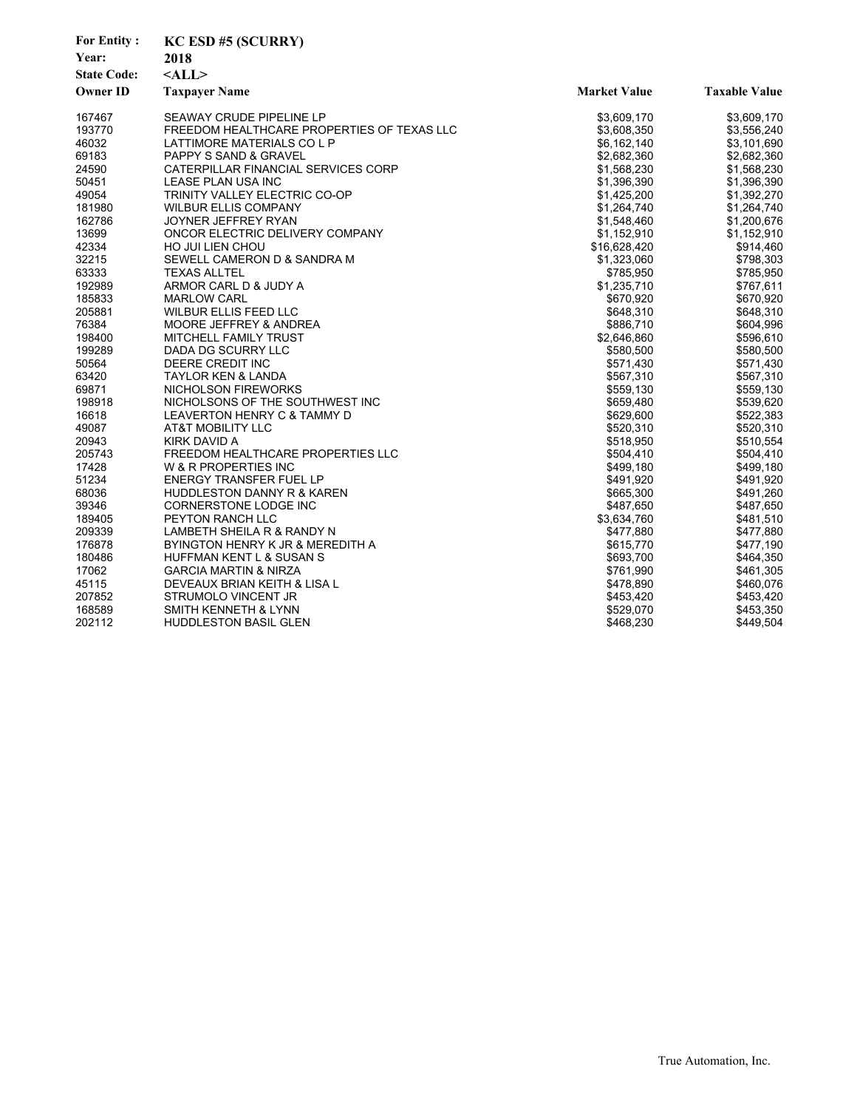| <b>For Entity:</b> | <b>KC ESD #5 (SCURRY)</b>                  |                     |                      |
|--------------------|--------------------------------------------|---------------------|----------------------|
| Year:              | 2018                                       |                     |                      |
| <b>State Code:</b> | $<$ ALL $>$                                |                     |                      |
| <b>Owner ID</b>    | <b>Taxpayer Name</b>                       | <b>Market Value</b> | <b>Taxable Value</b> |
|                    |                                            |                     |                      |
| 167467             | SEAWAY CRUDE PIPELINE LP                   | \$3,609,170         | \$3,609,170          |
| 193770             | FREEDOM HEALTHCARE PROPERTIES OF TEXAS LLC | \$3,608,350         | \$3,556,240          |
| 46032              | LATTIMORE MATERIALS CO L P                 | \$6,162,140         | \$3,101,690          |
| 69183              | <b>PAPPY S SAND &amp; GRAVEL</b>           | \$2,682,360         | \$2,682,360          |
| 24590              | CATERPILLAR FINANCIAL SERVICES CORP        | \$1,568,230         | \$1,568,230          |
| 50451              | LEASE PLAN USA INC                         | \$1,396,390         | \$1,396,390          |
| 49054              | TRINITY VALLEY ELECTRIC CO-OP              | \$1,425,200         | \$1,392,270          |
| 181980             | <b>WILBUR ELLIS COMPANY</b>                | \$1,264,740         | \$1,264,740          |
| 162786             | JOYNER JEFFREY RYAN                        | \$1,548,460         | \$1,200,676          |
| 13699              | ONCOR ELECTRIC DELIVERY COMPANY            | \$1,152,910         | \$1,152,910          |
| 42334              | <b>HO JUI LIEN CHOU</b>                    | \$16,628,420        | \$914,460            |
| 32215              | SEWELL CAMERON D & SANDRA M                | \$1,323,060         | \$798,303            |
| 63333              | <b>TEXAS ALLTEL</b>                        | \$785,950           | \$785,950            |
| 192989             | ARMOR CARL D & JUDY A                      | \$1,235,710         | \$767,611            |
| 185833             | <b>MARLOW CARL</b>                         | \$670,920           | \$670,920            |
| 205881             | WILBUR ELLIS FEED LLC                      | \$648,310           | \$648,310            |
| 76384              | MOORE JEFFREY & ANDREA                     | \$886,710           | \$604,996            |
| 198400             | MITCHELL FAMILY TRUST                      | \$2,646,860         | \$596,610            |
| 199289             | DADA DG SCURRY LLC                         | \$580,500           | \$580,500            |
| 50564              | DEERE CREDIT INC                           | \$571,430           | \$571,430            |
| 63420              | <b>TAYLOR KEN &amp; LANDA</b>              | \$567,310           | \$567,310            |
| 69871              | <b>NICHOLSON FIREWORKS</b>                 | \$559,130           | \$559,130            |
| 198918             | NICHOLSONS OF THE SOUTHWEST INC            | \$659,480           | \$539,620            |
| 16618              | LEAVERTON HENRY C & TAMMY D                | \$629,600           | \$522,383            |
| 49087              | <b>AT&amp;T MOBILITY LLC</b>               | \$520,310           | \$520,310            |
| 20943              | <b>KIRK DAVID A</b>                        | \$518,950           | \$510,554            |
| 205743             | FREEDOM HEALTHCARE PROPERTIES LLC          | \$504,410           | \$504,410            |
| 17428              | W & R PROPERTIES INC                       | \$499,180           | \$499,180            |
| 51234              | ENERGY TRANSFER FUEL LP                    | \$491,920           | \$491,920            |
| 68036              | HUDDLESTON DANNY R & KAREN                 | \$665,300           | \$491,260            |
| 39346              | CORNERSTONE LODGE INC                      | \$487,650           | \$487,650            |
| 189405             | <b>PEYTON RANCH LLC</b>                    | \$3,634,760         | \$481,510            |
| 209339             | LAMBETH SHEILA R & RANDY N                 | \$477,880           | \$477,880            |
| 176878             | BYINGTON HENRY K JR & MEREDITH A           | \$615,770           | \$477,190            |
| 180486             | <b>HUFFMAN KENT L &amp; SUSAN S</b>        | \$693.700           | \$464,350            |
| 17062              | <b>GARCIA MARTIN &amp; NIRZA</b>           | \$761,990           | \$461,305            |
| 45115              | DEVEAUX BRIAN KEITH & LISA L               | \$478,890           | \$460,076            |
| 207852             | STRUMOLO VINCENT JR                        | \$453,420           | \$453,420            |
| 168589             | <b>SMITH KENNETH &amp; LYNN</b>            | \$529,070           | \$453,350            |
| 202112             | <b>HUDDLESTON BASIL GLEN</b>               | \$468,230           | \$449,504            |
|                    |                                            |                     |                      |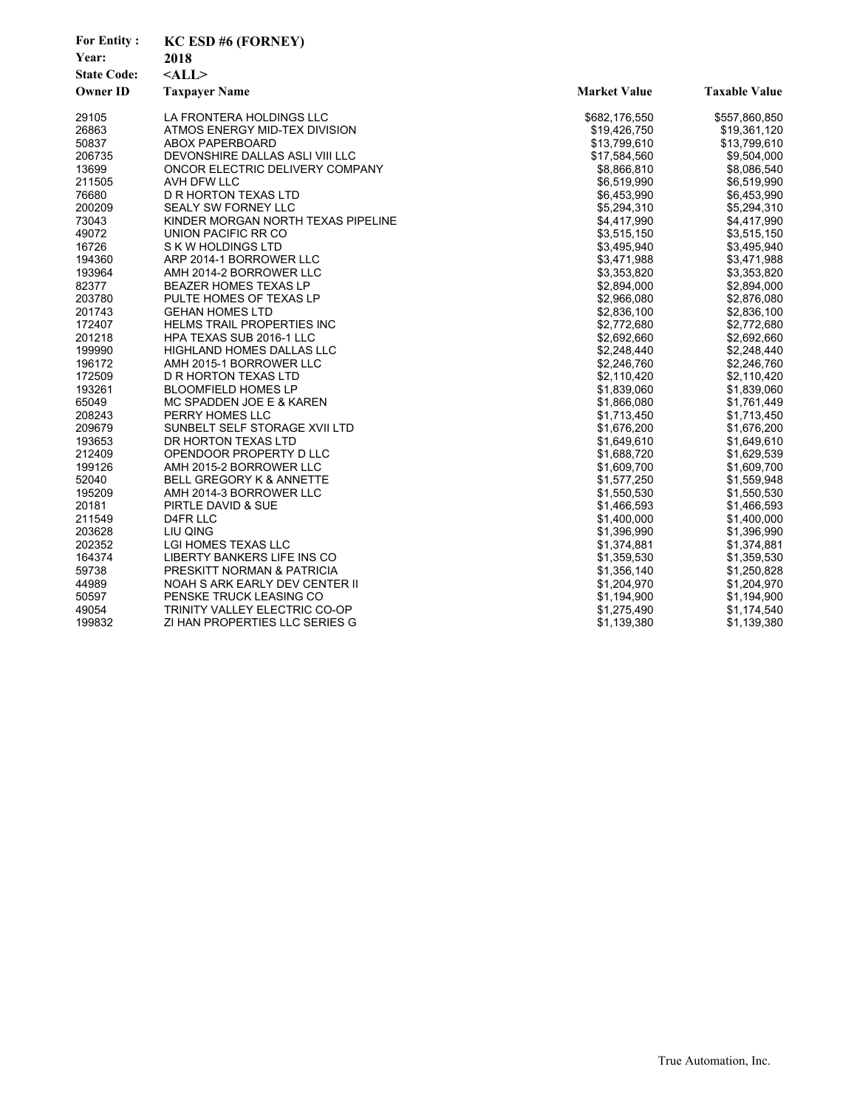| <b>For Entity:</b> | <b>KC ESD #6 (FORNEY)</b>          |                     |                      |
|--------------------|------------------------------------|---------------------|----------------------|
| Year:              | 2018                               |                     |                      |
| <b>State Code:</b> | $<$ ALL>                           |                     |                      |
| <b>Owner ID</b>    | <b>Taxpayer Name</b>               | <b>Market Value</b> | <b>Taxable Value</b> |
| 29105              | LA FRONTERA HOLDINGS LLC           | \$682,176,550       | \$557,860,850        |
| 26863              | ATMOS ENERGY MID-TEX DIVISION      | \$19,426,750        | \$19,361,120         |
| 50837              | <b>ABOX PAPERBOARD</b>             | \$13,799,610        | \$13,799,610         |
| 206735             | DEVONSHIRE DALLAS ASLI VIII LLC    | \$17,584,560        | \$9,504,000          |
| 13699              | ONCOR ELECTRIC DELIVERY COMPANY    | \$8,866,810         | \$8,086,540          |
| 211505             | AVH DFW LLC                        | \$6,519,990         | \$6,519,990          |
| 76680              | D R HORTON TEXAS LTD               | \$6,453,990         | \$6,453,990          |
| 200209             | <b>SEALY SW FORNEY LLC</b>         | \$5,294,310         | \$5,294,310          |
| 73043              | KINDER MORGAN NORTH TEXAS PIPELINE | \$4,417,990         | \$4,417,990          |
| 49072              | UNION PACIFIC RR CO                | \$3,515,150         | \$3,515,150          |
| 16726              | S K W HOLDINGS LTD                 | \$3,495,940         | \$3,495,940          |
| 194360             | ARP 2014-1 BORROWER LLC            | \$3,471,988         | \$3,471,988          |
| 193964             | AMH 2014-2 BORROWER LLC            | \$3,353,820         | \$3,353,820          |
| 82377              | <b>BEAZER HOMES TEXAS LP</b>       | \$2,894,000         | \$2,894,000          |
| 203780             | PULTE HOMES OF TEXAS LP            | \$2,966,080         | \$2,876,080          |
| 201743             | <b>GEHAN HOMES LTD</b>             | \$2,836,100         | \$2,836,100          |
| 172407             | <b>HELMS TRAIL PROPERTIES INC</b>  | \$2,772,680         | \$2,772,680          |
| 201218             | HPA TEXAS SUB 2016-1 LLC           | \$2,692,660         | \$2,692,660          |
| 199990             | HIGHLAND HOMES DALLAS LLC          | \$2,248,440         | \$2,248,440          |
| 196172             | AMH 2015-1 BORROWER LLC            | \$2,246,760         | \$2,246,760          |
| 172509             | D R HORTON TEXAS LTD               | \$2,110,420         | \$2,110,420          |
| 193261             | <b>BLOOMFIELD HOMES LP</b>         | \$1,839,060         | \$1,839,060          |
| 65049              | MC SPADDEN JOE E & KAREN           | \$1,866,080         | \$1,761,449          |
| 208243             | PERRY HOMES LLC                    | \$1,713,450         | \$1,713,450          |
| 209679             | SUNBELT SELF STORAGE XVII LTD      | \$1,676,200         | \$1,676,200          |
| 193653             | DR HORTON TEXAS LTD                | \$1,649,610         | \$1,649,610          |
| 212409             | OPENDOOR PROPERTY D LLC            | \$1,688,720         | \$1,629,539          |
| 199126             | AMH 2015-2 BORROWER LLC            | \$1,609,700         | \$1,609,700          |
| 52040              | BELL GREGORY K & ANNETTE           | \$1,577,250         | \$1,559,948          |
| 195209             | AMH 2014-3 BORROWER LLC            | \$1,550,530         | \$1,550,530          |
| 20181              | PIRTLE DAVID & SUE                 | \$1,466,593         | \$1,466,593          |
| 211549             | D4FR LLC                           | \$1,400,000         | \$1,400,000          |
| 203628             | LIU QING                           | \$1,396,990         | \$1,396,990          |
| 202352             | LGI HOMES TEXAS LLC                | \$1,374,881         | \$1,374,881          |
| 164374             | LIBERTY BANKERS LIFE INS CO        | \$1,359,530         | \$1,359,530          |
| 59738              | PRESKITT NORMAN & PATRICIA         | \$1,356,140         | \$1,250,828          |
| 44989              | NOAH S ARK EARLY DEV CENTER II     | \$1,204,970         | \$1,204,970          |
| 50597              | PENSKE TRUCK LEASING CO            | \$1,194,900         | \$1,194,900          |
| 49054              | TRINITY VALLEY ELECTRIC CO-OP      | \$1,275,490         | \$1,174,540          |
| 199832             | ZI HAN PROPERTIES LLC SERIES G     | \$1,139,380         | \$1,139,380          |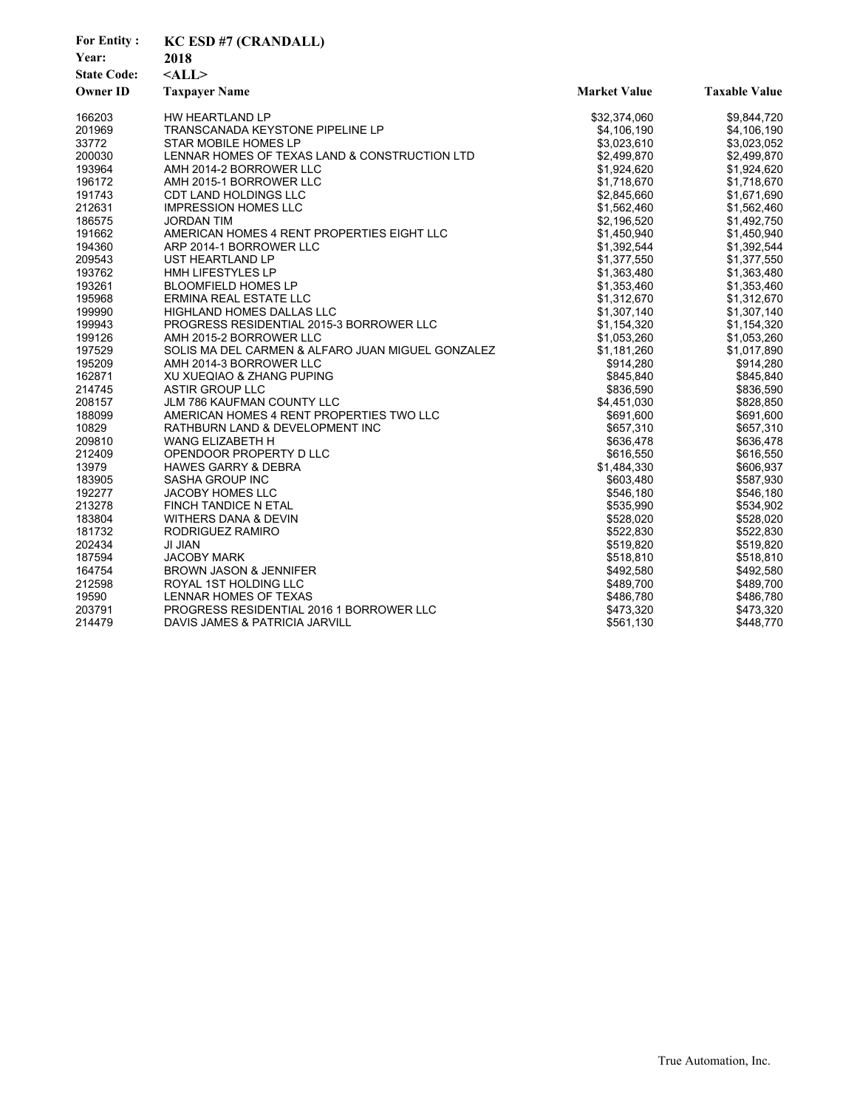| <b>For Entity:</b> | <b>KC ESD #7 (CRANDALL)</b>                       |                     |                      |
|--------------------|---------------------------------------------------|---------------------|----------------------|
| Year:              | 2018                                              |                     |                      |
| <b>State Code:</b> | $<$ ALL $>$                                       |                     |                      |
| <b>Owner ID</b>    | <b>Taxpayer Name</b>                              | <b>Market Value</b> | <b>Taxable Value</b> |
| 166203             | HW HEARTLAND LP                                   | \$32,374,060        | \$9,844,720          |
| 201969             | TRANSCANADA KEYSTONE PIPELINE LP                  | \$4,106,190         | \$4,106,190          |
| 33772              | STAR MOBILE HOMES LP                              | \$3,023,610         | \$3,023,052          |
| 200030             | LENNAR HOMES OF TEXAS LAND & CONSTRUCTION LTD     | \$2,499,870         | \$2,499,870          |
| 193964             | AMH 2014-2 BORROWER LLC                           | \$1,924,620         | \$1,924,620          |
| 196172             | AMH 2015-1 BORROWER LLC                           | \$1,718,670         | \$1,718,670          |
| 191743             | CDT LAND HOLDINGS LLC                             | \$2,845,660         | \$1,671,690          |
| 212631             | <b>IMPRESSION HOMES LLC</b>                       | \$1,562,460         | \$1,562,460          |
| 186575             | <b>JORDAN TIM</b>                                 | \$2,196,520         | \$1,492,750          |
| 191662             | AMERICAN HOMES 4 RENT PROPERTIES EIGHT LLC        | \$1,450,940         | \$1,450,940          |
| 194360             | ARP 2014-1 BORROWER LLC                           | \$1,392,544         | \$1,392,544          |
| 209543             | UST HEARTLAND LP                                  | \$1,377,550         | \$1,377,550          |
| 193762             | HMH LIFESTYLES LP                                 | \$1,363,480         | \$1,363,480          |
| 193261             | <b>BLOOMFIELD HOMES LP</b>                        | \$1,353,460         | \$1,353,460          |
| 195968             | ERMINA REAL ESTATE LLC                            | \$1,312,670         | \$1,312,670          |
| 199990             | HIGHLAND HOMES DALLAS LLC                         | \$1,307,140         | \$1,307,140          |
| 199943             | PROGRESS RESIDENTIAL 2015-3 BORROWER LLC          | \$1,154,320         | \$1,154,320          |
| 199126             | AMH 2015-2 BORROWER LLC                           | \$1,053,260         | \$1,053,260          |
| 197529             | SOLIS MA DEL CARMEN & ALFARO JUAN MIGUEL GONZALEZ | \$1,181,260         | \$1,017,890          |
| 195209             | AMH 2014-3 BORROWER LLC                           | \$914,280           | \$914,280            |
| 162871             | XU XUEQIAO & ZHANG PUPING                         | \$845,840           | \$845,840            |
| 214745             | <b>ASTIR GROUP LLC</b>                            | \$836,590           | \$836,590            |
| 208157             | <b>JLM 786 KAUFMAN COUNTY LLC</b>                 | \$4,451,030         | \$828,850            |
| 188099             | AMERICAN HOMES 4 RENT PROPERTIES TWO LLC          | \$691,600           | \$691,600            |
| 10829              | RATHBURN LAND & DEVELOPMENT INC                   | \$657,310           | \$657,310            |
| 209810             | WANG ELIZABETH H                                  | \$636,478           | \$636,478            |
| 212409             | OPENDOOR PROPERTY D LLC                           | \$616,550           | \$616,550            |
| 13979              | <b>HAWES GARRY &amp; DEBRA</b>                    | \$1,484,330         | \$606,937            |
| 183905             | <b>SASHA GROUP INC</b>                            | \$603,480           | \$587,930            |
| 192277             | <b>JACOBY HOMES LLC</b>                           | \$546.180           | \$546,180            |
| 213278             | FINCH TANDICE N ETAL                              | \$535,990           | \$534,902            |
| 183804             | WITHERS DANA & DEVIN                              | \$528,020           | \$528,020            |
| 181732             | RODRIGUEZ RAMIRO                                  | \$522,830           | \$522,830            |
| 202434             | <b>JI JIAN</b>                                    | \$519,820           | \$519,820            |
| 187594             | <b>JACOBY MARK</b>                                | \$518,810           | \$518,810            |
| 164754             | <b>BROWN JASON &amp; JENNIFER</b>                 | \$492,580           | \$492,580            |
| 212598             | ROYAL 1ST HOLDING LLC                             | \$489,700           | \$489,700            |
| 19590              | LENNAR HOMES OF TEXAS                             | \$486,780           | \$486,780            |
| 203791             | PROGRESS RESIDENTIAL 2016 1 BORROWER LLC          | \$473,320           | \$473,320            |
| 214479             | DAVIS JAMES & PATRICIA JARVILL                    | \$561,130           | \$448,770            |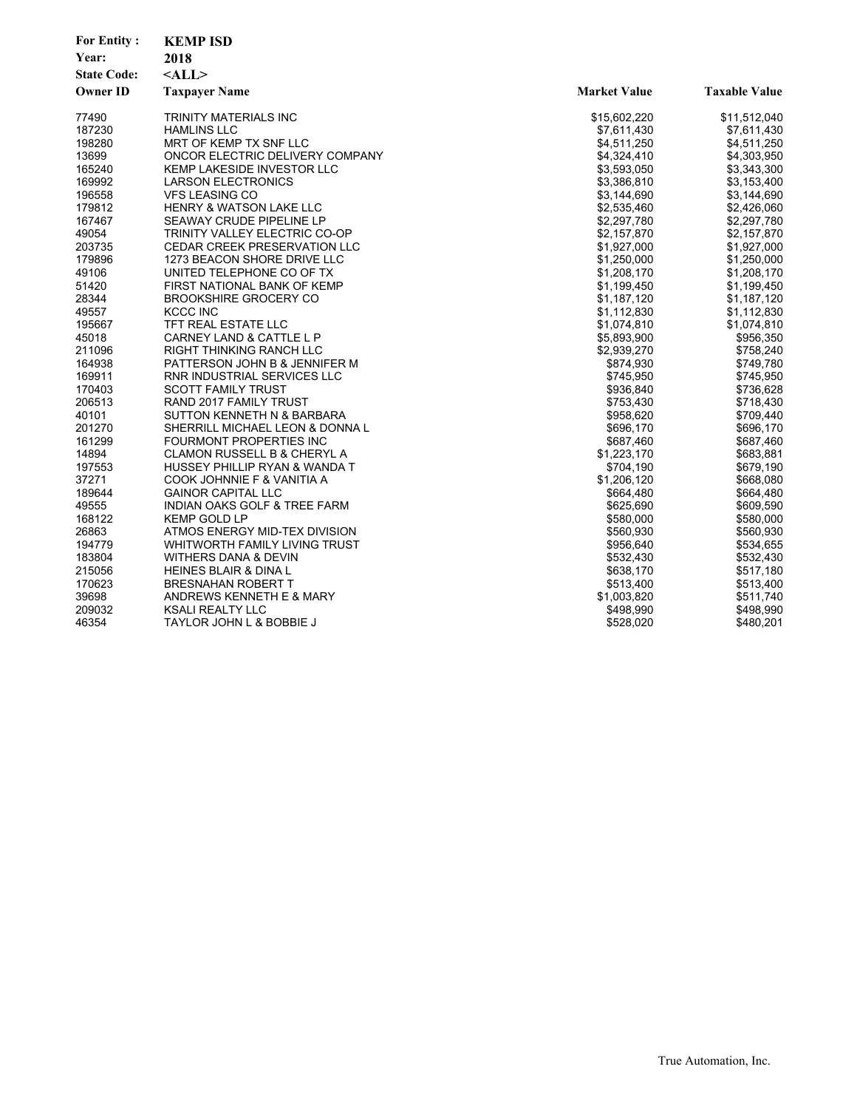| Year:<br>2018                                                  |                      |
|----------------------------------------------------------------|----------------------|
|                                                                |                      |
| <b>State Code:</b><br>$<$ ALL $>$                              |                      |
| <b>Owner ID</b><br><b>Taxpayer Name</b><br><b>Market Value</b> | <b>Taxable Value</b> |
| 77490<br>TRINITY MATERIALS INC<br>\$15,602,220                 | \$11,512,040         |
| 187230<br><b>HAMLINS LLC</b><br>\$7,611,430                    | \$7,611,430          |
| 198280<br>MRT OF KEMP TX SNF LLC<br>\$4,511,250                | \$4,511,250          |
| 13699<br>ONCOR ELECTRIC DELIVERY COMPANY<br>\$4,324,410        | \$4,303,950          |
| 165240<br><b>KEMP LAKESIDE INVESTOR LLC</b><br>\$3,593,050     | \$3,343,300          |
| 169992<br><b>LARSON ELECTRONICS</b><br>\$3,386,810             | \$3,153,400          |
| 196558<br><b>VFS LEASING CO</b><br>\$3,144,690                 | \$3,144,690          |
| 179812<br><b>HENRY &amp; WATSON LAKE LLC</b><br>\$2,535,460    | \$2,426,060          |
| 167467<br>SEAWAY CRUDE PIPELINE LP<br>\$2,297,780              | \$2,297,780          |
| 49054<br>TRINITY VALLEY ELECTRIC CO-OP<br>\$2,157,870          | \$2,157,870          |
| 203735<br><b>CEDAR CREEK PRESERVATION LLC</b><br>\$1,927,000   | \$1,927,000          |
| 179896<br>1273 BEACON SHORE DRIVE LLC<br>\$1,250,000           | \$1,250,000          |
| 49106<br>UNITED TELEPHONE CO OF TX<br>\$1,208,170              | \$1,208,170          |
| 51420<br>FIRST NATIONAL BANK OF KEMP<br>\$1,199,450            | \$1,199,450          |
| 28344<br><b>BROOKSHIRE GROCERY CO</b><br>\$1,187,120           | \$1,187,120          |
| 49557<br><b>KCCC INC</b><br>\$1,112,830                        | \$1,112,830          |
| 195667<br>TFT REAL ESTATE LLC<br>\$1,074,810                   | \$1,074,810          |
| 45018<br>CARNEY LAND & CATTLE L P<br>\$5,893,900               | \$956,350            |
| 211096<br><b>RIGHT THINKING RANCH LLC</b><br>\$2,939,270       | \$758,240            |
| 164938<br>PATTERSON JOHN B & JENNIFER M<br>\$874,930           | \$749,780            |
| 169911<br>RNR INDUSTRIAL SERVICES LLC<br>\$745,950             | \$745,950            |
| 170403<br><b>SCOTT FAMILY TRUST</b><br>\$936,840               | \$736,628            |
| 206513<br>RAND 2017 FAMILY TRUST<br>\$753,430                  | \$718,430            |
| 40101<br>SUTTON KENNETH N & BARBARA<br>\$958,620               | \$709,440            |
| 201270<br>\$696,170<br>SHERRILL MICHAEL LEON & DONNA L         | \$696,170            |
| 161299<br><b>FOURMONT PROPERTIES INC</b><br>\$687,460          | \$687,460            |
| 14894<br><b>CLAMON RUSSELL B &amp; CHERYL A</b><br>\$1,223,170 | \$683,881            |
| 197553<br>HUSSEY PHILLIP RYAN & WANDA T<br>\$704,190           | \$679,190            |
| 37271<br>\$1,206,120<br>COOK JOHNNIE F & VANITIA A             | \$668,080            |
| 189644<br><b>GAINOR CAPITAL LLC</b><br>\$664,480               | \$664,480            |
| 49555<br>INDIAN OAKS GOLF & TREE FARM<br>\$625,690             | \$609,590            |
| 168122<br><b>KEMP GOLD LP</b><br>\$580,000                     | \$580,000            |
| 26863<br>ATMOS ENERGY MID-TEX DIVISION<br>\$560,930            | \$560,930            |
| 194779<br>WHITWORTH FAMILY LIVING TRUST<br>\$956,640           | \$534,655            |
| 183804<br>\$532,430<br>WITHERS DANA & DEVIN                    | \$532,430            |
| 215056<br>HEINES BLAIR & DINA L<br>\$638,170                   | \$517,180            |
| 170623<br>\$513,400<br><b>BRESNAHAN ROBERT T</b>               | \$513,400            |
| 39698<br>\$1,003,820<br>ANDREWS KENNETH E & MARY               | \$511,740            |
| 209032<br><b>KSALI REALTY LLC</b><br>\$498,990                 | \$498,990            |
| 46354<br>\$528,020<br>TAYLOR JOHN L & BOBBIE J                 | \$480,201            |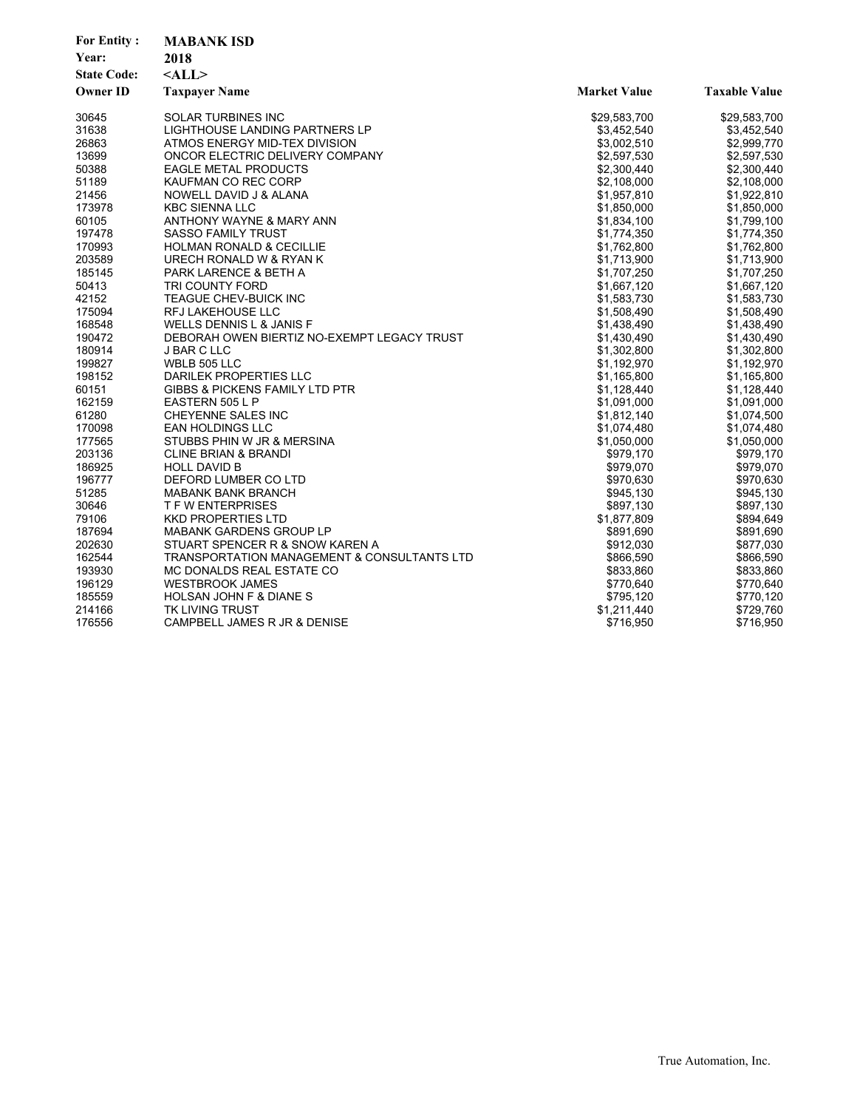| <b>For Entity:</b><br>Year:<br><b>State Code:</b><br><b>Owner ID</b> | <b>MABANK ISD</b><br>2018<br>$<$ ALL $>$<br><b>Taxpayer Name</b> | <b>Market Value</b> | <b>Taxable Value</b> |
|----------------------------------------------------------------------|------------------------------------------------------------------|---------------------|----------------------|
| 30645                                                                | <b>SOLAR TURBINES INC</b>                                        | \$29,583,700        | \$29,583,700         |
| 31638                                                                | LIGHTHOUSE LANDING PARTNERS LP                                   | \$3,452,540         | \$3,452,540          |
| 26863                                                                | ATMOS ENERGY MID-TEX DIVISION                                    | \$3,002,510         | \$2,999,770          |
| 13699                                                                | ONCOR ELECTRIC DELIVERY COMPANY                                  | \$2,597,530         | \$2,597,530          |
| 50388                                                                | <b>EAGLE METAL PRODUCTS</b>                                      | \$2,300,440         | \$2,300,440          |
| 51189                                                                | KAUFMAN CO REC CORP                                              | \$2,108,000         | \$2,108,000          |
| 21456                                                                | NOWELL DAVID J & ALANA                                           | \$1,957,810         | \$1,922,810          |
| 173978                                                               | <b>KBC SIENNA LLC</b>                                            | \$1,850,000         | \$1,850,000          |
| 60105                                                                | ANTHONY WAYNE & MARY ANN                                         | \$1,834,100         | \$1,799,100          |
| 197478                                                               | <b>SASSO FAMILY TRUST</b>                                        | \$1,774,350         | \$1,774,350          |
| 170993                                                               | <b>HOLMAN RONALD &amp; CECILLIE</b>                              | \$1,762,800         | \$1,762,800          |
| 203589                                                               | URECH RONALD W & RYAN K                                          | \$1,713,900         | \$1,713,900          |
| 185145                                                               | PARK LARENCE & BETH A                                            | \$1,707,250         | \$1,707,250          |
| 50413                                                                | TRI COUNTY FORD                                                  | \$1,667,120         | \$1,667,120          |
| 42152                                                                | TEAGUE CHEV-BUICK INC                                            | \$1,583,730         | \$1,583,730          |
| 175094                                                               | <b>RFJ LAKEHOUSE LLC</b>                                         | \$1,508,490         | \$1,508,490          |
| 168548                                                               | WELLS DENNIS L & JANIS F                                         | \$1,438,490         | \$1,438,490          |
| 190472                                                               | DEBORAH OWEN BIERTIZ NO-EXEMPT LEGACY TRUST                      | \$1,430,490         | \$1,430,490          |
| 180914                                                               | J BAR C LLC                                                      | \$1,302,800         | \$1,302,800          |
| 199827                                                               | WBLB 505 LLC                                                     | \$1,192,970         | \$1,192,970          |
| 198152                                                               | DARILEK PROPERTIES LLC                                           | \$1,165,800         | \$1,165,800          |
| 60151                                                                | <b>GIBBS &amp; PICKENS FAMILY LTD PTR</b>                        | \$1,128,440         | \$1,128,440          |
| 162159                                                               | EASTERN 505 L P                                                  | \$1,091,000         | \$1,091,000          |
| 61280                                                                | CHEYENNE SALES INC                                               | \$1,812,140         | \$1,074,500          |
| 170098                                                               | <b>EAN HOLDINGS LLC</b>                                          | \$1,074,480         | \$1,074,480          |
| 177565                                                               | STUBBS PHIN W JR & MERSINA                                       | \$1,050,000         | \$1,050,000          |
| 203136                                                               | <b>CLINE BRIAN &amp; BRANDI</b>                                  | \$979,170           | \$979,170            |
| 186925                                                               | <b>HOLL DAVID B</b>                                              | \$979,070           | \$979,070            |
| 196777                                                               | DEFORD LUMBER CO LTD                                             | \$970,630           | \$970,630            |
| 51285                                                                | <b>MABANK BANK BRANCH</b>                                        | \$945,130           | \$945,130            |
| 30646                                                                | <b>T F W ENTERPRISES</b>                                         | \$897,130           | \$897,130            |
| 79106                                                                | <b>KKD PROPERTIES LTD</b>                                        | \$1,877,809         | \$894,649            |
| 187694                                                               | MABANK GARDENS GROUP LP                                          | \$891,690           | \$891,690            |
| 202630                                                               | STUART SPENCER R & SNOW KAREN A                                  | \$912,030           | \$877,030            |
| 162544                                                               | <b>TRANSPORTATION MANAGEMENT &amp; CONSULTANTS LTD</b>           | \$866,590           | \$866,590            |
| 193930                                                               | MC DONALDS REAL ESTATE CO                                        | \$833,860           | \$833,860            |
| 196129                                                               | <b>WESTBROOK JAMES</b>                                           | \$770,640           | \$770,640            |
| 185559                                                               | HOLSAN JOHN F & DIANE S                                          | \$795,120           | \$770,120            |
| 214166                                                               | TK LIVING TRUST                                                  | \$1,211,440         | \$729,760            |
| 176556                                                               | CAMPBELL JAMES R JR & DENISE                                     | \$716,950           | \$716,950            |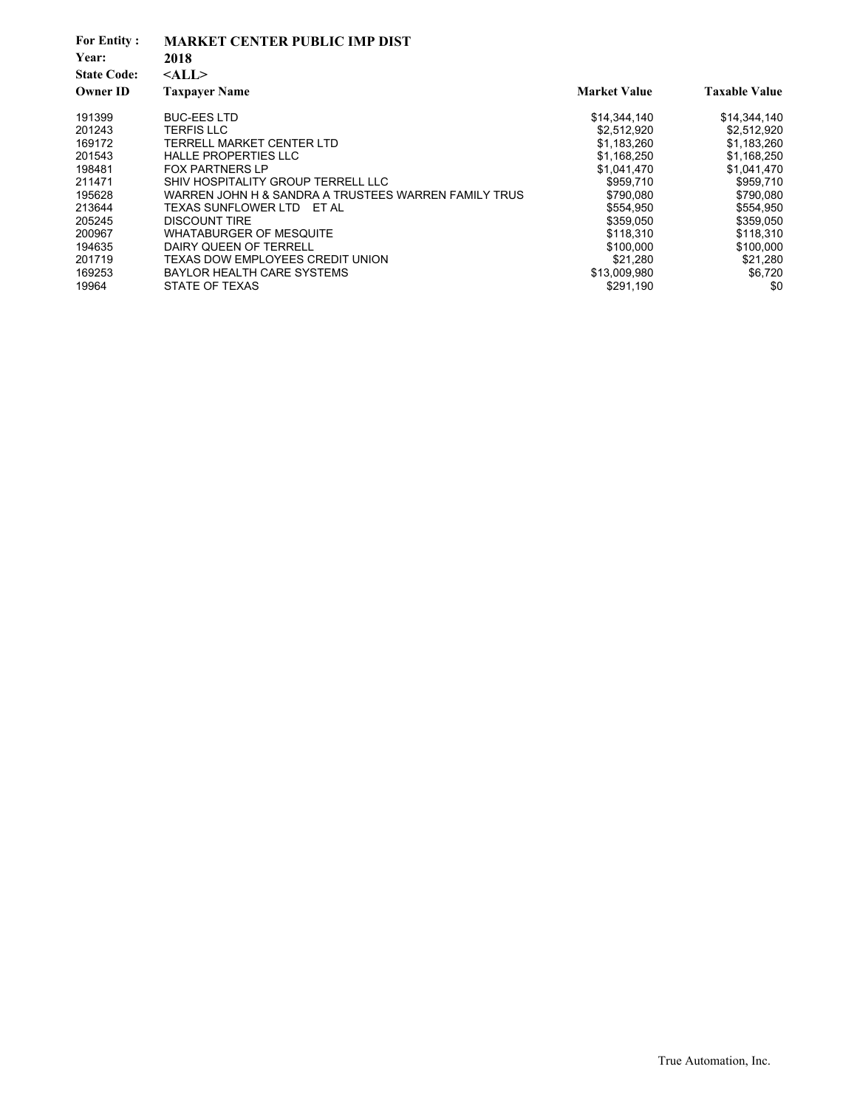| <b>For Entity:</b><br>Year:<br><b>State Code:</b> | <b>MARKET CENTER PUBLIC IMP DIST</b><br>2018<br>$<$ ALL $>$ |                     |                      |
|---------------------------------------------------|-------------------------------------------------------------|---------------------|----------------------|
| <b>Owner ID</b>                                   | <b>Taxpayer Name</b>                                        | <b>Market Value</b> | <b>Taxable Value</b> |
| 191399                                            | <b>BUC-EES LTD</b>                                          | \$14,344,140        | \$14,344,140         |
| 201243                                            | TERFIS LLC                                                  | \$2,512,920         | \$2,512,920          |
| 169172                                            | TERRELL MARKET CENTER LTD                                   | \$1,183,260         | \$1,183,260          |
| 201543                                            | <b>HALLE PROPERTIES LLC</b>                                 | \$1,168,250         | \$1,168,250          |
| 198481                                            | <b>FOX PARTNERS LP</b>                                      | \$1,041,470         | \$1,041,470          |
| 211471                                            | SHIV HOSPITALITY GROUP TERRELL LLC                          | \$959,710           | \$959,710            |
| 195628                                            | WARREN JOHN H & SANDRA A TRUSTEES WARREN FAMILY TRUS        | \$790,080           | \$790,080            |
| 213644                                            | TEXAS SUNFLOWER LTD ET AL                                   | \$554,950           | \$554,950            |
| 205245                                            | <b>DISCOUNT TIRE</b>                                        | \$359,050           | \$359,050            |
| 200967                                            | <b>WHATABURGER OF MESQUITE</b>                              | \$118,310           | \$118,310            |
| 194635                                            | DAIRY QUEEN OF TERRELL                                      | \$100.000           | \$100,000            |
| 201719                                            | TEXAS DOW EMPLOYEES CREDIT UNION                            | \$21,280            | \$21,280             |
| 169253                                            | <b>BAYLOR HEALTH CARE SYSTEMS</b>                           | \$13,009,980        | \$6,720              |
| 19964                                             | STATE OF TEXAS                                              | \$291,190           | \$0                  |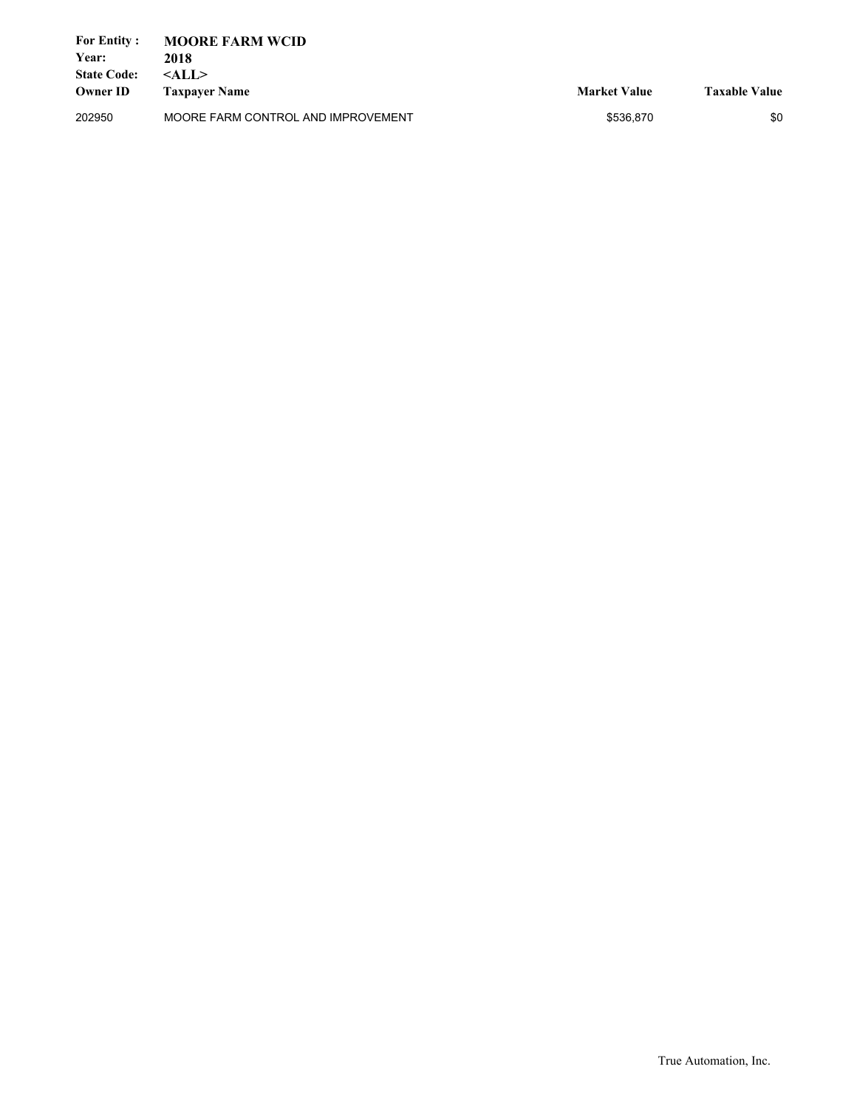| <b>For Entity:</b> | <b>MOORE FARM WCID</b>             |                     |                      |
|--------------------|------------------------------------|---------------------|----------------------|
| Year:              | 2018                               |                     |                      |
| <b>State Code:</b> | $<$ ALL $>$                        |                     |                      |
| <b>Owner ID</b>    | <b>Taxpayer Name</b>               | <b>Market Value</b> | <b>Taxable Value</b> |
| 202950             | MOORE FARM CONTROL AND IMPROVEMENT | \$536.870           | \$0                  |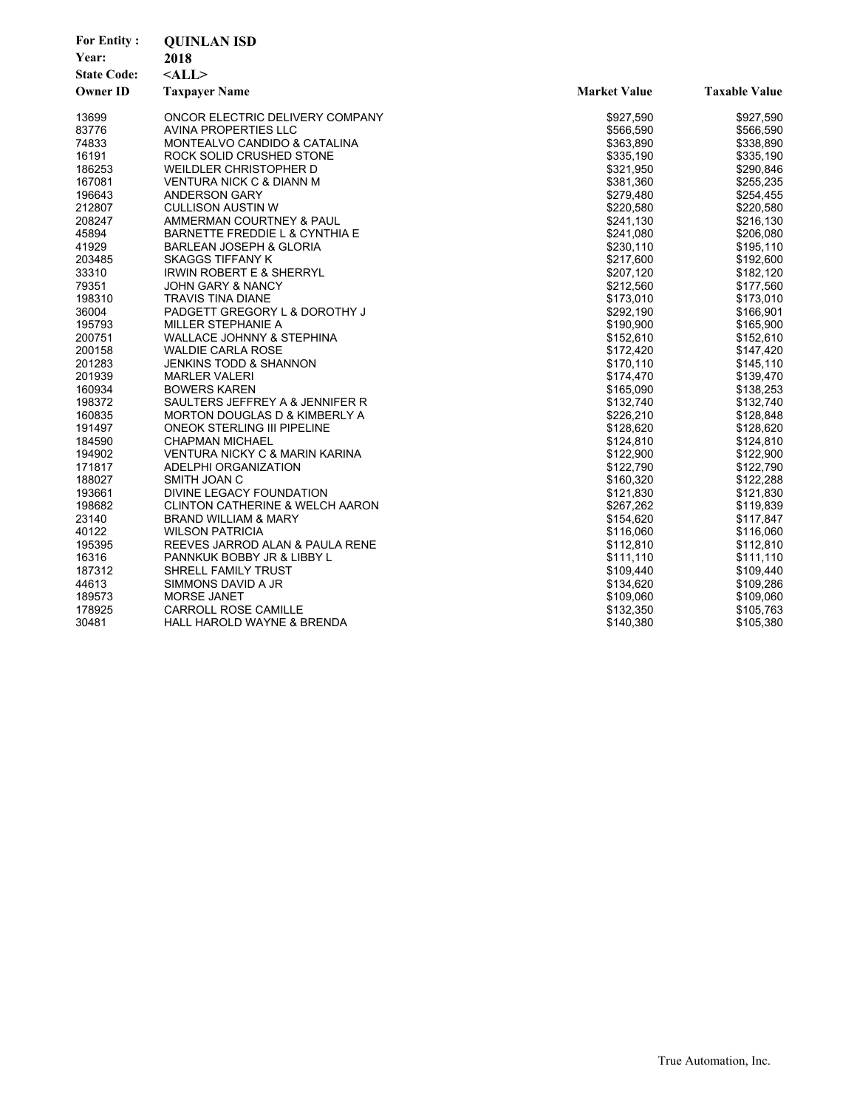| <b>For Entity:</b> | <b>QUINLAN ISD</b>                         |                     |                      |
|--------------------|--------------------------------------------|---------------------|----------------------|
| Year:              | 2018                                       |                     |                      |
| <b>State Code:</b> | $<$ ALL $>$                                |                     |                      |
| <b>Owner ID</b>    | <b>Taxpayer Name</b>                       | <b>Market Value</b> | <b>Taxable Value</b> |
| 13699              | ONCOR ELECTRIC DELIVERY COMPANY            | \$927,590           | \$927,590            |
| 83776              | AVINA PROPERTIES LLC                       | \$566,590           | \$566,590            |
| 74833              | MONTEALVO CANDIDO & CATALINA               | \$363,890           | \$338,890            |
| 16191              | ROCK SOLID CRUSHED STONE                   | \$335,190           | \$335,190            |
| 186253             | WEILDLER CHRISTOPHER D                     | \$321,950           | \$290,846            |
| 167081             | VENTURA NICK C & DIANN M                   | \$381,360           | \$255,235            |
| 196643             | <b>ANDERSON GARY</b>                       | \$279,480           | \$254,455            |
| 212807             | <b>CULLISON AUSTIN W</b>                   | \$220,580           | \$220,580            |
| 208247             | AMMERMAN COURTNEY & PAUL                   | \$241,130           | \$216,130            |
| 45894              | BARNETTE FREDDIE L & CYNTHIA E             | \$241,080           | \$206,080            |
| 41929              | <b>BARLEAN JOSEPH &amp; GLORIA</b>         | \$230,110           | \$195,110            |
| 203485             | SKAGGS TIFFANY K                           | \$217,600           | \$192,600            |
| 33310              | <b>IRWIN ROBERT E &amp; SHERRYL</b>        | \$207,120           | \$182,120            |
| 79351              | JOHN GARY & NANCY                          | \$212,560           | \$177,560            |
| 198310             | <b>TRAVIS TINA DIANE</b>                   | \$173,010           | \$173,010            |
| 36004              | PADGETT GREGORY L & DOROTHY J              | \$292,190           | \$166,901            |
| 195793             | MILLER STEPHANIE A                         | \$190,900           | \$165,900            |
| 200751             | <b>WALLACE JOHNNY &amp; STEPHINA</b>       | \$152,610           | \$152,610            |
| 200158             | <b>WALDIE CARLA ROSE</b>                   | \$172,420           | \$147,420            |
| 201283             | <b>JENKINS TODD &amp; SHANNON</b>          | \$170,110           | \$145,110            |
| 201939             | <b>MARLER VALERI</b>                       | \$174,470           | \$139,470            |
| 160934             | <b>BOWERS KAREN</b>                        | \$165,090           | \$138,253            |
| 198372             | SAULTERS JEFFREY A & JENNIFER R            | \$132,740           | \$132,740            |
| 160835             | <b>MORTON DOUGLAS D &amp; KIMBERLY A</b>   | \$226,210           | \$128,848            |
| 191497             | ONEOK STERLING III PIPELINE                | \$128,620           | \$128,620            |
| 184590             | <b>CHAPMAN MICHAEL</b>                     | \$124,810           | \$124,810            |
| 194902             | VENTURA NICKY C & MARIN KARINA             | \$122,900           | \$122,900            |
| 171817             | ADELPHI ORGANIZATION                       | \$122,790           | \$122,790            |
| 188027             | SMITH JOAN C                               | \$160,320           | \$122,288            |
| 193661             | DIVINE LEGACY FOUNDATION                   | \$121,830           | \$121,830            |
| 198682             | <b>CLINTON CATHERINE &amp; WELCH AARON</b> | \$267,262           | \$119,839            |
| 23140              | <b>BRAND WILLIAM &amp; MARY</b>            | \$154,620           | \$117,847            |
| 40122              | <b>WILSON PATRICIA</b>                     | \$116,060           | \$116,060            |
| 195395             | REEVES JARROD ALAN & PAULA RENE            | \$112,810           | \$112,810            |
| 16316              | PANNKUK BOBBY JR & LIBBY L                 | \$111,110           | \$111,110            |
| 187312             | <b>SHRELL FAMILY TRUST</b>                 | \$109,440           | \$109,440            |
| 44613              | SIMMONS DAVID A JR                         | \$134,620           | \$109,286            |
| 189573             | <b>MORSE JANET</b>                         | \$109,060           | \$109,060            |
| 178925             | <b>CARROLL ROSE CAMILLE</b>                | \$132,350           | \$105,763            |
| 30481              | HALL HAROLD WAYNE & BRENDA                 | \$140,380           | \$105,380            |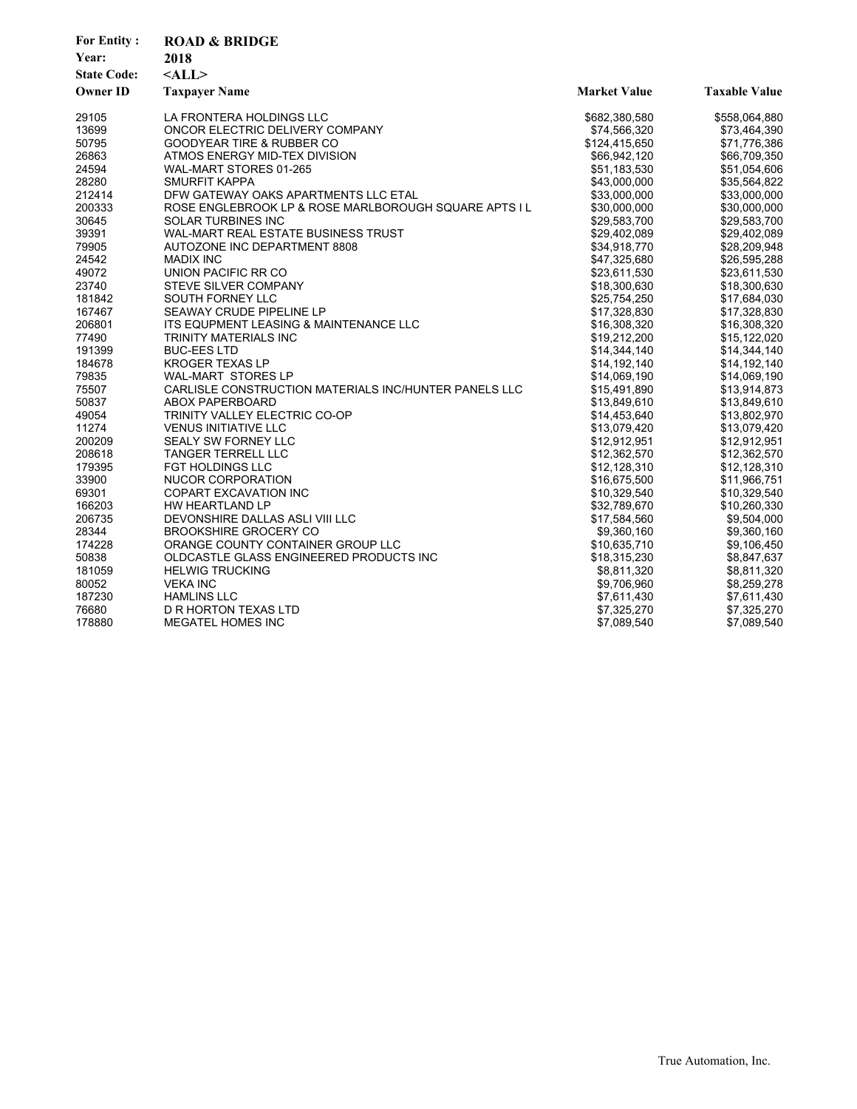| <b>For Entity:</b><br>Year:<br><b>State Code:</b> | <b>ROAD &amp; BRIDGE</b><br>2018<br>$<$ ALL $>$       |                     |                      |
|---------------------------------------------------|-------------------------------------------------------|---------------------|----------------------|
| <b>Owner ID</b>                                   | <b>Taxpayer Name</b>                                  | <b>Market Value</b> | <b>Taxable Value</b> |
| 29105                                             | LA FRONTERA HOLDINGS LLC                              | \$682,380,580       | \$558,064,880        |
| 13699                                             | ONCOR ELECTRIC DELIVERY COMPANY                       | \$74,566,320        | \$73,464,390         |
| 50795                                             | <b>GOODYEAR TIRE &amp; RUBBER CO</b>                  | \$124,415,650       | \$71,776,386         |
| 26863                                             | ATMOS ENERGY MID-TEX DIVISION                         | \$66,942,120        | \$66,709,350         |
| 24594                                             | WAL-MART STORES 01-265                                | \$51,183,530        | \$51,054,606         |
| 28280                                             | SMURFIT KAPPA                                         | \$43,000,000        | \$35,564,822         |
| 212414                                            | DFW GATEWAY OAKS APARTMENTS LLC ETAL                  | \$33,000,000        | \$33,000,000         |
| 200333                                            | ROSE ENGLEBROOK LP & ROSE MARLBOROUGH SQUARE APTS I L | \$30,000,000        | \$30,000,000         |
| 30645                                             | <b>SOLAR TURBINES INC</b>                             | \$29,583,700        | \$29,583,700         |
| 39391                                             | WAL-MART REAL ESTATE BUSINESS TRUST                   | \$29,402,089        | \$29,402,089         |
| 79905                                             | AUTOZONE INC DEPARTMENT 8808                          | \$34,918,770        | \$28,209,948         |
| 24542                                             | <b>MADIX INC</b>                                      | \$47,325,680        | \$26,595,288         |
| 49072                                             | UNION PACIFIC RR CO                                   | \$23,611,530        | \$23,611,530         |
| 23740                                             | STEVE SILVER COMPANY                                  | \$18,300,630        | \$18,300,630         |
| 181842                                            | SOUTH FORNEY LLC                                      | \$25,754,250        | \$17,684,030         |
| 167467                                            | SEAWAY CRUDE PIPELINE LP                              | \$17,328,830        | \$17,328,830         |
| 206801                                            | ITS EQUPMENT LEASING & MAINTENANCE LLC                | \$16,308,320        | \$16,308,320         |
| 77490                                             | TRINITY MATERIALS INC                                 | \$19,212,200        | \$15,122,020         |
| 191399                                            | <b>BUC-EES LTD</b>                                    | \$14,344,140        | \$14,344,140         |
| 184678                                            | <b>KROGER TEXAS LP</b>                                | \$14,192,140        | \$14,192,140         |
| 79835                                             | <b>WAL-MART STORES LP</b>                             | \$14,069,190        | \$14,069,190         |
| 75507                                             | CARLISLE CONSTRUCTION MATERIALS INC/HUNTER PANELS LLC | \$15,491,890        | \$13,914,873         |
| 50837                                             | <b>ABOX PAPERBOARD</b>                                | \$13,849,610        | \$13,849,610         |
| 49054                                             | TRINITY VALLEY ELECTRIC CO-OP                         | \$14,453,640        | \$13,802,970         |
| 11274                                             | <b>VENUS INITIATIVE LLC</b>                           | \$13,079,420        | \$13,079,420         |
| 200209                                            | SEALY SW FORNEY LLC                                   | \$12,912,951        | \$12,912,951         |
| 208618                                            | <b>TANGER TERRELL LLC</b>                             | \$12,362,570        | \$12,362,570         |
| 179395                                            | <b>FGT HOLDINGS LLC</b>                               | \$12,128,310        | \$12,128,310         |
| 33900                                             | NUCOR CORPORATION                                     | \$16,675,500        | \$11,966,751         |
| 69301                                             | <b>COPART EXCAVATION INC</b>                          | \$10,329,540        | \$10,329,540         |
| 166203                                            | HW HEARTLAND LP                                       | \$32,789,670        | \$10,260,330         |
| 206735                                            | DEVONSHIRE DALLAS ASLI VIII LLC                       | \$17,584,560        | \$9,504,000          |
| 28344                                             | <b>BROOKSHIRE GROCERY CO</b>                          | \$9,360,160         | \$9,360,160          |
| 174228                                            | ORANGE COUNTY CONTAINER GROUP LLC                     | \$10,635,710        | \$9,106,450          |
| 50838                                             | OLDCASTLE GLASS ENGINEERED PRODUCTS INC               | \$18,315,230        | \$8,847,637          |
| 181059                                            | <b>HELWIG TRUCKING</b>                                | \$8,811,320         | \$8,811,320          |
| 80052                                             | <b>VEKA INC</b>                                       | \$9,706,960         | \$8,259,278          |
| 187230                                            | <b>HAMLINS LLC</b>                                    | \$7,611,430         | \$7,611,430          |
| 76680                                             | D R HORTON TEXAS LTD                                  | \$7,325,270         | \$7,325,270          |
| 178880                                            | MEGATEL HOMES INC                                     | \$7,089,540         | \$7,089,540          |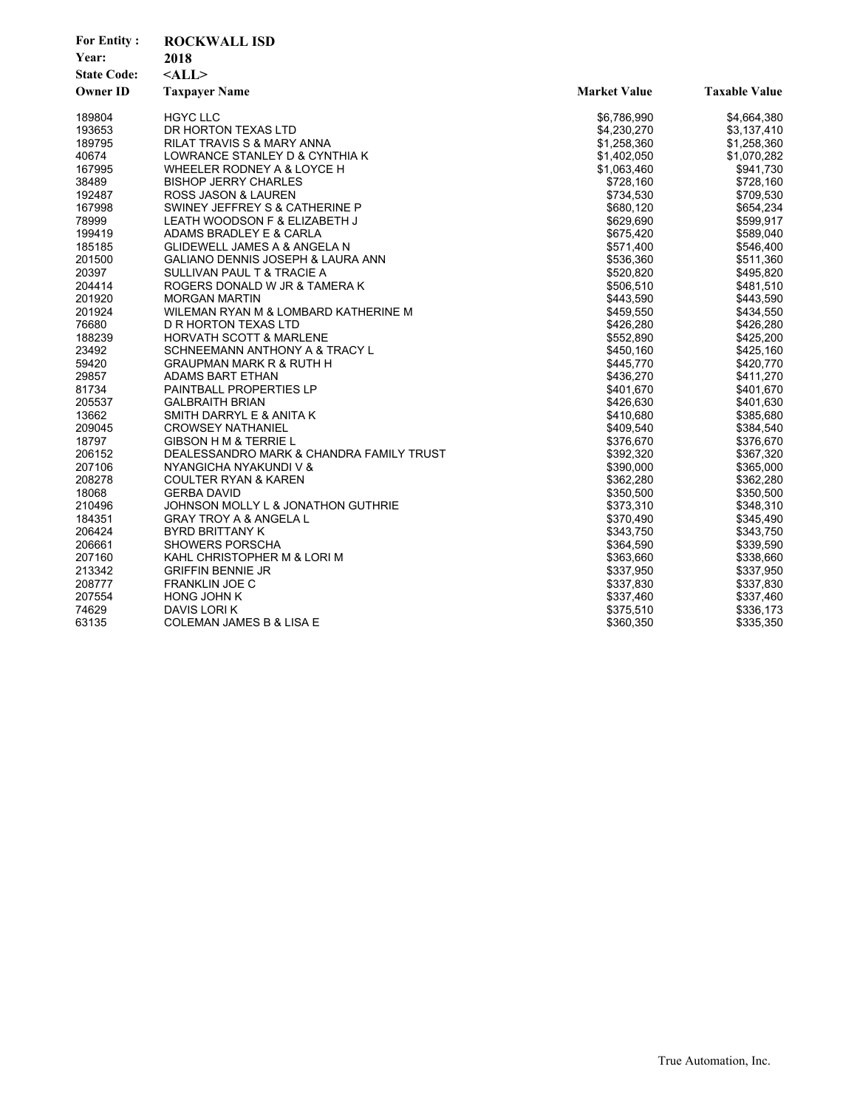| <b>For Entity:</b> | <b>ROCKWALL ISD</b>                      |                     |                      |  |
|--------------------|------------------------------------------|---------------------|----------------------|--|
| Year:              | 2018                                     |                     |                      |  |
| <b>State Code:</b> | $<$ ALL $>$                              |                     |                      |  |
| <b>Owner ID</b>    | <b>Taxpayer Name</b>                     | <b>Market Value</b> | <b>Taxable Value</b> |  |
| 189804             | <b>HGYC LLC</b>                          | \$6,786,990         | \$4,664,380          |  |
| 193653             | DR HORTON TEXAS LTD                      | \$4,230,270         | \$3,137,410          |  |
| 189795             | RILAT TRAVIS S & MARY ANNA               | \$1,258,360         | \$1,258,360          |  |
| 40674              | LOWRANCE STANLEY D & CYNTHIA K           | \$1,402,050         | \$1,070,282          |  |
| 167995             | WHEELER RODNEY A & LOYCE H               | \$1,063,460         | \$941,730            |  |
| 38489              | <b>BISHOP JERRY CHARLES</b>              | \$728,160           | \$728,160            |  |
| 192487             | ROSS JASON & LAUREN                      | \$734,530           | \$709,530            |  |
| 167998             | SWINEY JEFFREY S & CATHERINE P           | \$680,120           | \$654,234            |  |
| 78999              | LEATH WOODSON F & ELIZABETH J            | \$629,690           | \$599,917            |  |
| 199419             | ADAMS BRADLEY E & CARLA                  | \$675,420           | \$589,040            |  |
| 185185             | GLIDEWELL JAMES A & ANGELA N             | \$571,400           | \$546,400            |  |
| 201500             | GALIANO DENNIS JOSEPH & LAURA ANN        | \$536,360           | \$511,360            |  |
| 20397              | SULLIVAN PAUL T & TRACIE A               | \$520,820           | \$495,820            |  |
| 204414             | ROGERS DONALD W JR & TAMERA K            | \$506,510           | \$481,510            |  |
| 201920             | <b>MORGAN MARTIN</b>                     | \$443,590           | \$443,590            |  |
| 201924             | WILEMAN RYAN M & LOMBARD KATHERINE M     | \$459,550           | \$434,550            |  |
| 76680              | D R HORTON TEXAS LTD                     | \$426,280           | \$426,280            |  |
| 188239             | <b>HORVATH SCOTT &amp; MARLENE</b>       | \$552,890           | \$425,200            |  |
| 23492              | SCHNEEMANN ANTHONY A & TRACY L           | \$450,160           | \$425,160            |  |
| 59420              | <b>GRAUPMAN MARK R &amp; RUTH H</b>      | \$445,770           | \$420,770            |  |
| 29857              | ADAMS BART ETHAN                         | \$436,270           | \$411,270            |  |
| 81734              | <b>PAINTBALL PROPERTIES LP</b>           | \$401,670           | \$401,670            |  |
| 205537             | <b>GALBRAITH BRIAN</b>                   | \$426,630           | \$401,630            |  |
| 13662              | SMITH DARRYL E & ANITA K                 | \$410,680           | \$385,680            |  |
| 209045             | <b>CROWSEY NATHANIEL</b>                 | \$409,540           | \$384,540            |  |
| 18797              | <b>GIBSON H M &amp; TERRIE L</b>         | \$376,670           | \$376,670            |  |
| 206152             | DEALESSANDRO MARK & CHANDRA FAMILY TRUST | \$392,320           | \$367,320            |  |
| 207106             | NYANGICHA NYAKUNDI V &                   | \$390,000           | \$365,000            |  |
| 208278             | <b>COULTER RYAN &amp; KAREN</b>          | \$362,280           | \$362,280            |  |
| 18068              | <b>GERBA DAVID</b>                       | \$350,500           | \$350,500            |  |
| 210496             | JOHNSON MOLLY L & JONATHON GUTHRIE       | \$373,310           | \$348,310            |  |
| 184351             | <b>GRAY TROY A &amp; ANGELA L</b>        | \$370,490           | \$345,490            |  |
| 206424             | <b>BYRD BRITTANY K</b>                   | \$343,750           | \$343,750            |  |
| 206661             | <b>SHOWERS PORSCHA</b>                   | \$364,590           | \$339,590            |  |
| 207160             | KAHL CHRISTOPHER M & LORI M              | \$363,660           | \$338,660            |  |
| 213342             | <b>GRIFFIN BENNIE JR</b>                 | \$337,950           | \$337,950            |  |
| 208777             | <b>FRANKLIN JOE C</b>                    | \$337,830           | \$337,830            |  |
| 207554             | <b>HONG JOHN K</b>                       | \$337,460           | \$337,460            |  |
| 74629              | DAVIS LORI K                             | \$375,510           | \$336,173            |  |
| 63135              | COLEMAN JAMES B & LISA E                 | \$360,350           | \$335,350            |  |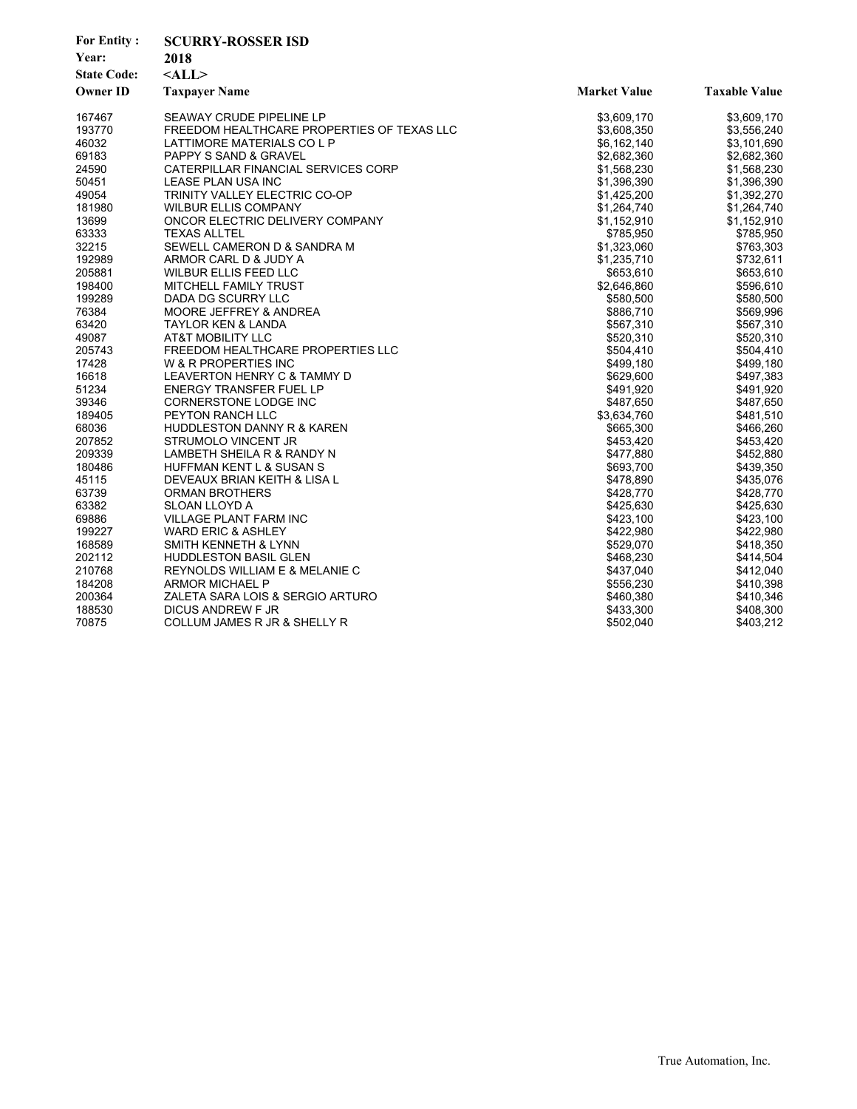| <b>For Entity:</b> | <b>SCURRY-ROSSER ISD</b>                   |                     |                      |
|--------------------|--------------------------------------------|---------------------|----------------------|
| Year:              | 2018                                       |                     |                      |
| <b>State Code:</b> | $<$ ALL $>$                                |                     |                      |
| <b>Owner ID</b>    | <b>Taxpayer Name</b>                       | <b>Market Value</b> | <b>Taxable Value</b> |
| 167467             | SEAWAY CRUDE PIPELINE LP                   | \$3,609,170         | \$3,609,170          |
| 193770             | FREEDOM HEALTHCARE PROPERTIES OF TEXAS LLC | \$3,608,350         | \$3,556,240          |
| 46032              | LATTIMORE MATERIALS CO L P                 | \$6,162,140         | \$3,101,690          |
| 69183              | PAPPY S SAND & GRAVEL                      | \$2,682,360         | \$2,682,360          |
| 24590              | CATERPILLAR FINANCIAL SERVICES CORP        | \$1,568,230         | \$1,568,230          |
| 50451              | LEASE PLAN USA INC                         | \$1,396,390         | \$1,396,390          |
| 49054              | TRINITY VALLEY ELECTRIC CO-OP              | \$1,425,200         | \$1,392,270          |
| 181980             | <b>WILBUR ELLIS COMPANY</b>                | \$1,264,740         | \$1,264,740          |
| 13699              | ONCOR ELECTRIC DELIVERY COMPANY            | \$1,152,910         | \$1,152,910          |
| 63333              | <b>TEXAS ALLTEL</b>                        | \$785,950           | \$785,950            |
| 32215              | SEWELL CAMERON D & SANDRA M                | \$1,323,060         | \$763,303            |
| 192989             | ARMOR CARL D & JUDY A                      | \$1,235,710         | \$732,611            |
| 205881             | <b>WILBUR ELLIS FEED LLC</b>               | \$653,610           | \$653,610            |
| 198400             | MITCHELL FAMILY TRUST                      | \$2,646,860         | \$596,610            |
| 199289             | DADA DG SCURRY LLC                         | \$580,500           | \$580,500            |
| 76384              | MOORE JEFFREY & ANDREA                     | \$886,710           | \$569,996            |
| 63420              | <b>TAYLOR KEN &amp; LANDA</b>              | \$567,310           | \$567,310            |
| 49087              | <b>AT&amp;T MOBILITY LLC</b>               | \$520,310           | \$520,310            |
| 205743             | FREEDOM HEALTHCARE PROPERTIES LLC          | \$504,410           | \$504,410            |
| 17428              | W & R PROPERTIES INC                       | \$499,180           | \$499,180            |
| 16618              | LEAVERTON HENRY C & TAMMY D                | \$629,600           | \$497,383            |
| 51234              | <b>ENERGY TRANSFER FUEL LP</b>             | \$491,920           | \$491,920            |
| 39346              | CORNERSTONE LODGE INC                      | \$487,650           | \$487,650            |
| 189405             | PEYTON RANCH LLC                           | \$3,634,760         | \$481,510            |
| 68036              | HUDDLESTON DANNY R & KAREN                 | \$665,300           | \$466,260            |
| 207852             | STRUMOLO VINCENT JR                        | \$453,420           | \$453,420            |
| 209339             | LAMBETH SHEILA R & RANDY N                 | \$477,880           | \$452,880            |
| 180486             | HUFFMAN KENT L & SUSAN S                   | \$693,700           | \$439,350            |
| 45115              | DEVEAUX BRIAN KEITH & LISA L               | \$478,890           | \$435,076            |
| 63739              | <b>ORMAN BROTHERS</b>                      | \$428.770           | \$428,770            |
| 63382              | SLOAN LLOYD A                              | \$425,630           | \$425,630            |
| 69886              | VILLAGE PLANT FARM INC                     | \$423,100           | \$423,100            |
| 199227             | <b>WARD ERIC &amp; ASHLEY</b>              | \$422,980           | \$422,980            |
| 168589             | SMITH KENNETH & LYNN                       | \$529,070           | \$418,350            |
| 202112             | <b>HUDDLESTON BASIL GLEN</b>               | \$468,230           | \$414,504            |
| 210768             | REYNOLDS WILLIAM E & MELANIE C             | \$437,040           | \$412,040            |
| 184208             | <b>ARMOR MICHAEL P</b>                     | \$556,230           | \$410,398            |
| 200364             | ZALETA SARA LOIS & SERGIO ARTURO           | \$460,380           | \$410,346            |
| 188530             | DICUS ANDREW F JR                          | \$433,300           | \$408,300            |
| 70875              | COLLUM JAMES R JR & SHELLY R               | \$502,040           | \$403,212            |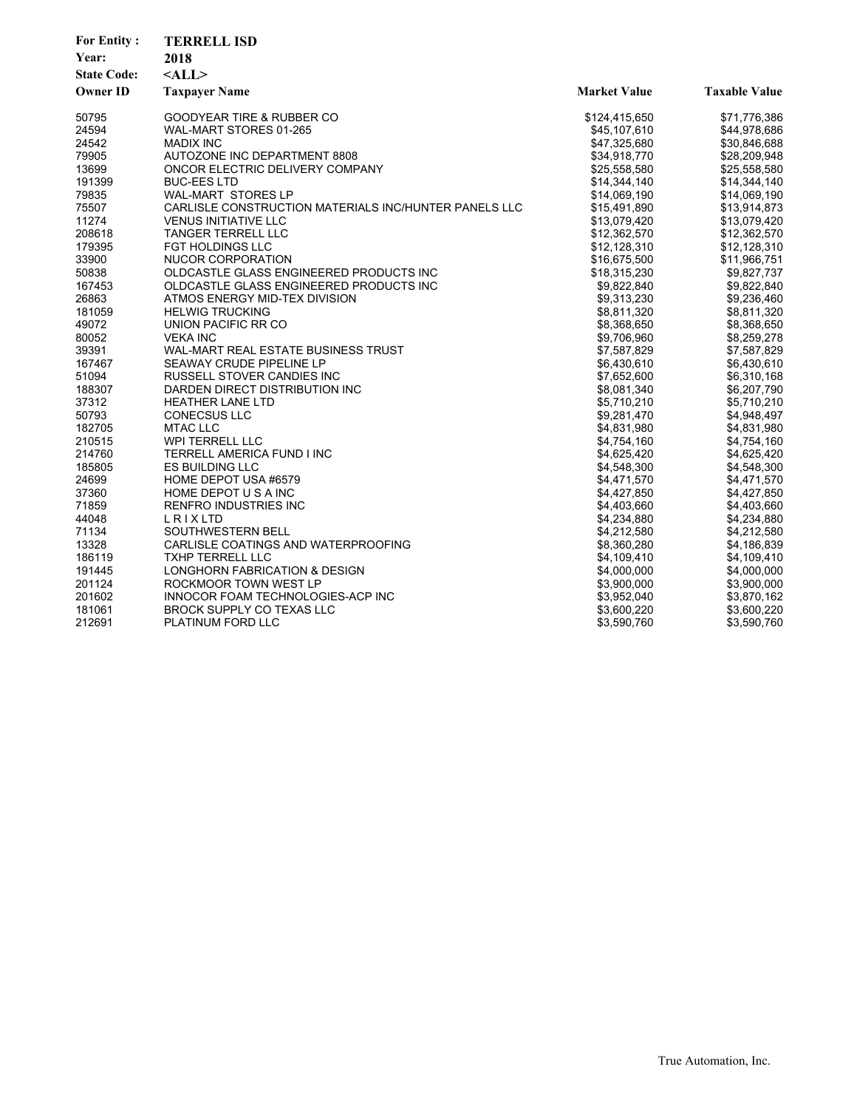| Year:<br>2018<br><b>State Code:</b><br>$<$ ALL $>$<br><b>Owner ID</b><br><b>Taxpayer Name</b><br><b>Market Value</b><br><b>Taxable Value</b><br><b>GOODYEAR TIRE &amp; RUBBER CO</b><br>50795<br>\$124,415,650<br>\$71,776,386<br>24594<br>WAL-MART STORES 01-265<br>\$45,107,610<br>\$44,978,686<br>24542<br><b>MADIX INC</b><br>\$47,325,680<br>\$30,846,688<br>79905<br>AUTOZONE INC DEPARTMENT 8808<br>\$34,918,770<br>\$28,209,948<br>13699<br>ONCOR ELECTRIC DELIVERY COMPANY<br>\$25,558,580<br>\$25,558,580<br>191399<br><b>BUC-EES LTD</b><br>\$14,344,140<br>\$14,344,140<br>79835<br>WAL-MART STORES LP<br>\$14,069,190<br>\$14,069,190<br>CARLISLE CONSTRUCTION MATERIALS INC/HUNTER PANELS LLC<br>75507<br>\$15,491,890<br>\$13,914,873<br>11274<br><b>VENUS INITIATIVE LLC</b><br>\$13,079,420<br>\$13,079,420 |
|------------------------------------------------------------------------------------------------------------------------------------------------------------------------------------------------------------------------------------------------------------------------------------------------------------------------------------------------------------------------------------------------------------------------------------------------------------------------------------------------------------------------------------------------------------------------------------------------------------------------------------------------------------------------------------------------------------------------------------------------------------------------------------------------------------------------------|
|                                                                                                                                                                                                                                                                                                                                                                                                                                                                                                                                                                                                                                                                                                                                                                                                                              |
|                                                                                                                                                                                                                                                                                                                                                                                                                                                                                                                                                                                                                                                                                                                                                                                                                              |
|                                                                                                                                                                                                                                                                                                                                                                                                                                                                                                                                                                                                                                                                                                                                                                                                                              |
|                                                                                                                                                                                                                                                                                                                                                                                                                                                                                                                                                                                                                                                                                                                                                                                                                              |
|                                                                                                                                                                                                                                                                                                                                                                                                                                                                                                                                                                                                                                                                                                                                                                                                                              |
|                                                                                                                                                                                                                                                                                                                                                                                                                                                                                                                                                                                                                                                                                                                                                                                                                              |
|                                                                                                                                                                                                                                                                                                                                                                                                                                                                                                                                                                                                                                                                                                                                                                                                                              |
|                                                                                                                                                                                                                                                                                                                                                                                                                                                                                                                                                                                                                                                                                                                                                                                                                              |
|                                                                                                                                                                                                                                                                                                                                                                                                                                                                                                                                                                                                                                                                                                                                                                                                                              |
|                                                                                                                                                                                                                                                                                                                                                                                                                                                                                                                                                                                                                                                                                                                                                                                                                              |
|                                                                                                                                                                                                                                                                                                                                                                                                                                                                                                                                                                                                                                                                                                                                                                                                                              |
|                                                                                                                                                                                                                                                                                                                                                                                                                                                                                                                                                                                                                                                                                                                                                                                                                              |
| 208618<br><b>TANGER TERRELL LLC</b><br>\$12,362,570<br>\$12,362,570                                                                                                                                                                                                                                                                                                                                                                                                                                                                                                                                                                                                                                                                                                                                                          |
| 179395<br><b>FGT HOLDINGS LLC</b><br>\$12,128,310<br>\$12,128,310                                                                                                                                                                                                                                                                                                                                                                                                                                                                                                                                                                                                                                                                                                                                                            |
| 33900<br>NUCOR CORPORATION<br>\$11,966,751<br>\$16,675,500                                                                                                                                                                                                                                                                                                                                                                                                                                                                                                                                                                                                                                                                                                                                                                   |
| 50838<br>OLDCASTLE GLASS ENGINEERED PRODUCTS INC<br>\$9,827,737<br>\$18,315,230                                                                                                                                                                                                                                                                                                                                                                                                                                                                                                                                                                                                                                                                                                                                              |
| 167453<br>OLDCASTLE GLASS ENGINEERED PRODUCTS INC<br>\$9,822,840<br>\$9,822,840                                                                                                                                                                                                                                                                                                                                                                                                                                                                                                                                                                                                                                                                                                                                              |
| 26863<br>ATMOS ENERGY MID-TEX DIVISION<br>\$9,313,230<br>\$9,236,460                                                                                                                                                                                                                                                                                                                                                                                                                                                                                                                                                                                                                                                                                                                                                         |
| 181059<br><b>HELWIG TRUCKING</b><br>\$8,811,320<br>\$8,811,320                                                                                                                                                                                                                                                                                                                                                                                                                                                                                                                                                                                                                                                                                                                                                               |
| 49072<br>UNION PACIFIC RR CO<br>\$8,368,650<br>\$8,368,650                                                                                                                                                                                                                                                                                                                                                                                                                                                                                                                                                                                                                                                                                                                                                                   |
| 80052<br>\$9,706,960<br><b>VEKA INC</b><br>\$8,259,278                                                                                                                                                                                                                                                                                                                                                                                                                                                                                                                                                                                                                                                                                                                                                                       |
| 39391<br>WAL-MART REAL ESTATE BUSINESS TRUST<br>\$7,587,829<br>\$7,587,829                                                                                                                                                                                                                                                                                                                                                                                                                                                                                                                                                                                                                                                                                                                                                   |
| 167467<br>SEAWAY CRUDE PIPELINE LP<br>\$6,430,610<br>\$6,430,610                                                                                                                                                                                                                                                                                                                                                                                                                                                                                                                                                                                                                                                                                                                                                             |
| 51094<br>RUSSELL STOVER CANDIES INC<br>\$7,652,600<br>\$6,310,168                                                                                                                                                                                                                                                                                                                                                                                                                                                                                                                                                                                                                                                                                                                                                            |
| 188307<br>DARDEN DIRECT DISTRIBUTION INC<br>\$8,081,340<br>\$6,207,790                                                                                                                                                                                                                                                                                                                                                                                                                                                                                                                                                                                                                                                                                                                                                       |
| 37312<br><b>HEATHER LANE LTD</b><br>\$5,710,210<br>\$5,710,210                                                                                                                                                                                                                                                                                                                                                                                                                                                                                                                                                                                                                                                                                                                                                               |
| 50793<br><b>CONECSUS LLC</b><br>\$9,281,470<br>\$4,948,497                                                                                                                                                                                                                                                                                                                                                                                                                                                                                                                                                                                                                                                                                                                                                                   |
| 182705<br><b>MTAC LLC</b><br>\$4,831,980<br>\$4,831,980                                                                                                                                                                                                                                                                                                                                                                                                                                                                                                                                                                                                                                                                                                                                                                      |
| 210515<br><b>WPI TERRELL LLC</b><br>\$4,754,160<br>\$4,754,160                                                                                                                                                                                                                                                                                                                                                                                                                                                                                                                                                                                                                                                                                                                                                               |
| 214760<br>TERRELL AMERICA FUND I INC<br>\$4,625,420<br>\$4,625,420                                                                                                                                                                                                                                                                                                                                                                                                                                                                                                                                                                                                                                                                                                                                                           |
| 185805<br><b>ES BUILDING LLC</b><br>\$4,548,300<br>\$4,548,300                                                                                                                                                                                                                                                                                                                                                                                                                                                                                                                                                                                                                                                                                                                                                               |
| 24699<br>HOME DEPOT USA #6579<br>\$4,471,570<br>\$4,471,570                                                                                                                                                                                                                                                                                                                                                                                                                                                                                                                                                                                                                                                                                                                                                                  |
| 37360<br>HOME DEPOT U S A INC<br>\$4,427,850<br>\$4,427,850                                                                                                                                                                                                                                                                                                                                                                                                                                                                                                                                                                                                                                                                                                                                                                  |
| 71859<br><b>RENFRO INDUSTRIES INC</b><br>\$4,403,660<br>\$4,403,660                                                                                                                                                                                                                                                                                                                                                                                                                                                                                                                                                                                                                                                                                                                                                          |
| 44048<br>LRIXLTD<br>\$4,234,880<br>\$4,234,880                                                                                                                                                                                                                                                                                                                                                                                                                                                                                                                                                                                                                                                                                                                                                                               |
| 71134<br>SOUTHWESTERN BELL<br>\$4,212,580<br>\$4,212,580                                                                                                                                                                                                                                                                                                                                                                                                                                                                                                                                                                                                                                                                                                                                                                     |
| 13328<br>CARLISLE COATINGS AND WATERPROOFING<br>\$8,360,280<br>\$4,186,839                                                                                                                                                                                                                                                                                                                                                                                                                                                                                                                                                                                                                                                                                                                                                   |
| 186119<br><b>TXHP TERRELL LLC</b><br>\$4,109,410<br>\$4,109,410                                                                                                                                                                                                                                                                                                                                                                                                                                                                                                                                                                                                                                                                                                                                                              |
| \$4,000,000<br>\$4,000,000<br>191445<br>LONGHORN FABRICATION & DESIGN                                                                                                                                                                                                                                                                                                                                                                                                                                                                                                                                                                                                                                                                                                                                                        |
| 201124<br>ROCKMOOR TOWN WEST LP<br>\$3,900,000<br>\$3,900,000                                                                                                                                                                                                                                                                                                                                                                                                                                                                                                                                                                                                                                                                                                                                                                |
| 201602<br>INNOCOR FOAM TECHNOLOGIES-ACP INC<br>\$3,952,040<br>\$3,870,162                                                                                                                                                                                                                                                                                                                                                                                                                                                                                                                                                                                                                                                                                                                                                    |
| 181061<br><b>BROCK SUPPLY CO TEXAS LLC</b><br>\$3,600,220<br>\$3,600,220                                                                                                                                                                                                                                                                                                                                                                                                                                                                                                                                                                                                                                                                                                                                                     |
| 212691<br>\$3,590,760<br>\$3,590,760<br>PLATINUM FORD LLC                                                                                                                                                                                                                                                                                                                                                                                                                                                                                                                                                                                                                                                                                                                                                                    |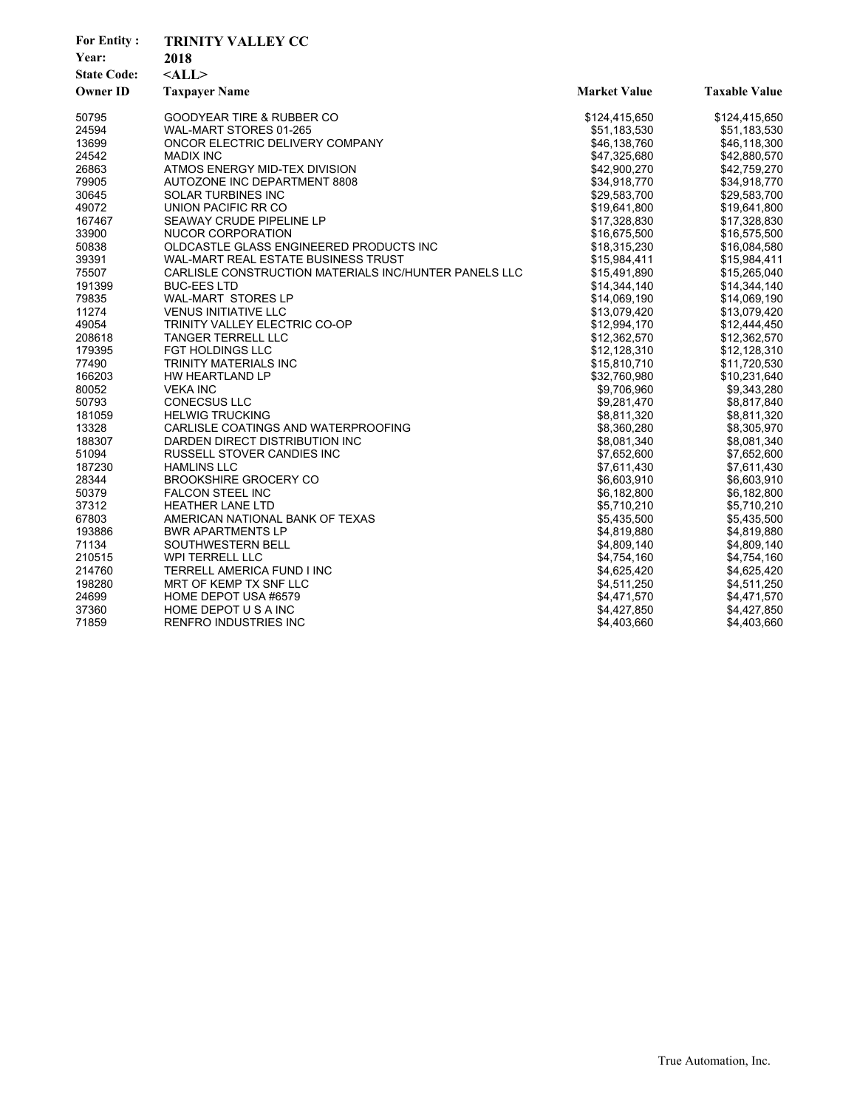| <b>For Entity:</b> | <b>TRINITY VALLEY CC</b>                              |                     |                      |
|--------------------|-------------------------------------------------------|---------------------|----------------------|
| Year:              | 2018                                                  |                     |                      |
| <b>State Code:</b> | $<$ ALL $>$                                           |                     |                      |
| <b>Owner ID</b>    | <b>Taxpayer Name</b>                                  | <b>Market Value</b> | <b>Taxable Value</b> |
| 50795              | <b>GOODYEAR TIRE &amp; RUBBER CO</b>                  | \$124,415,650       | \$124,415,650        |
| 24594              | WAL-MART STORES 01-265                                | \$51,183,530        | \$51,183,530         |
| 13699              | ONCOR ELECTRIC DELIVERY COMPANY                       | \$46,138,760        | \$46,118,300         |
| 24542              | <b>MADIX INC</b>                                      | \$47,325,680        | \$42,880,570         |
| 26863              | ATMOS ENERGY MID-TEX DIVISION                         | \$42,900,270        | \$42,759,270         |
| 79905              | AUTOZONE INC DEPARTMENT 8808                          | \$34.918.770        | \$34,918,770         |
| 30645              | <b>SOLAR TURBINES INC</b>                             | \$29,583,700        | \$29,583,700         |
| 49072              | UNION PACIFIC RR CO                                   | \$19,641,800        | \$19,641,800         |
| 167467             | SEAWAY CRUDE PIPELINE LP                              | \$17,328,830        | \$17,328,830         |
| 33900              | NUCOR CORPORATION                                     | \$16,675,500        | \$16,575,500         |
| 50838              | OLDCASTLE GLASS ENGINEERED PRODUCTS INC               | \$18,315,230        | \$16,084,580         |
| 39391              | WAL-MART REAL ESTATE BUSINESS TRUST                   | \$15,984,411        | \$15,984,411         |
| 75507              | CARLISLE CONSTRUCTION MATERIALS INC/HUNTER PANELS LLC | \$15,491,890        | \$15,265,040         |
| 191399             | <b>BUC-EES LTD</b>                                    | \$14,344,140        | \$14,344,140         |
| 79835              | <b>WAL-MART STORES LP</b>                             | \$14,069,190        | \$14,069,190         |
| 11274              | <b>VENUS INITIATIVE LLC</b>                           | \$13,079,420        | \$13,079,420         |
| 49054              | TRINITY VALLEY ELECTRIC CO-OP                         | \$12,994,170        | \$12,444,450         |
| 208618             | <b>TANGER TERRELL LLC</b>                             | \$12,362,570        | \$12,362,570         |
| 179395             | FGT HOLDINGS LLC                                      | \$12,128,310        | \$12,128,310         |
| 77490              | TRINITY MATERIALS INC                                 | \$15,810,710        | \$11,720,530         |
| 166203             | HW HEARTLAND LP                                       | \$32,760,980        | \$10,231,640         |
| 80052              | <b>VEKA INC</b>                                       | \$9,706,960         | \$9,343,280          |
| 50793              | <b>CONECSUS LLC</b>                                   | \$9,281,470         | \$8,817,840          |
| 181059             | <b>HELWIG TRUCKING</b>                                | \$8,811,320         | \$8,811,320          |
| 13328              | CARLISLE COATINGS AND WATERPROOFING                   | \$8,360,280         | \$8,305,970          |
| 188307             | DARDEN DIRECT DISTRIBUTION INC                        | \$8,081,340         | \$8,081,340          |
| 51094              | RUSSELL STOVER CANDIES INC                            | \$7,652,600         | \$7,652,600          |
| 187230             | <b>HAMLINS LLC</b>                                    | \$7,611,430         | \$7,611,430          |
| 28344              | <b>BROOKSHIRE GROCERY CO</b>                          | \$6,603,910         | \$6,603,910          |
| 50379              | <b>FALCON STEEL INC</b>                               | \$6,182,800         | \$6,182,800          |
| 37312              | <b>HEATHER LANE LTD</b>                               | \$5,710,210         | \$5,710,210          |
| 67803              | AMERICAN NATIONAL BANK OF TEXAS                       | \$5,435,500         | \$5,435,500          |
| 193886             | <b>BWR APARTMENTS LP</b>                              | \$4,819,880         | \$4,819,880          |
| 71134              | SOUTHWESTERN BELL                                     | \$4,809,140         | \$4,809,140          |
| 210515             | WPI TERRELL LLC                                       | \$4,754,160         | \$4,754,160          |
| 214760             | TERRELL AMERICA FUND I INC                            | \$4,625,420         | \$4,625,420          |
| 198280             | MRT OF KEMP TX SNF LLC                                | \$4,511,250         | \$4,511,250          |
| 24699              | HOME DEPOT USA #6579                                  | \$4,471,570         | \$4,471,570          |
| 37360              | HOME DEPOT U S A INC                                  | \$4,427,850         | \$4,427,850          |
| 71859              | RENFRO INDUSTRIES INC                                 | \$4,403,660         | \$4,403,660          |